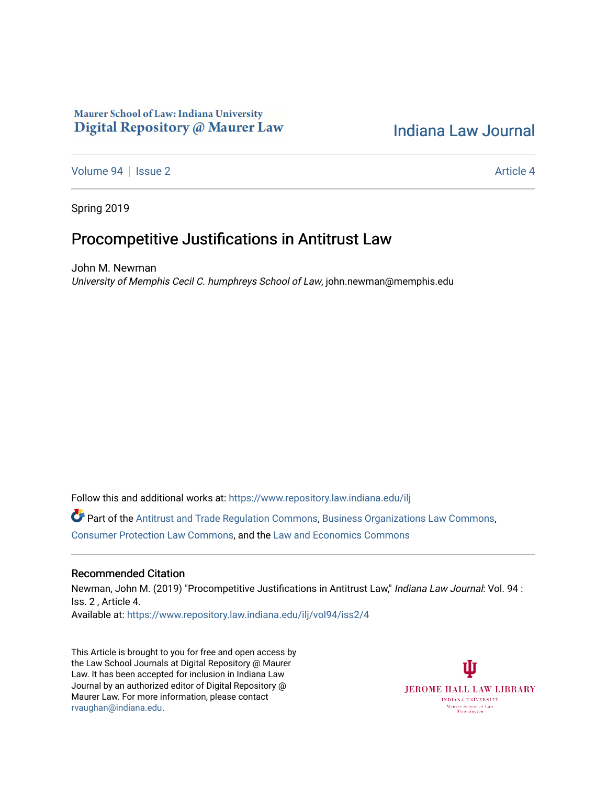# Maurer School of Law: Indiana University Digital Repository @ Maurer Law

# [Indiana Law Journal](https://www.repository.law.indiana.edu/ilj)

[Volume 94](https://www.repository.law.indiana.edu/ilj/vol94) | [Issue 2](https://www.repository.law.indiana.edu/ilj/vol94/iss2) Article 4

Spring 2019

# Procompetitive Justifications in Antitrust Law

John M. Newman University of Memphis Cecil C. humphreys School of Law, john.newman@memphis.edu

Follow this and additional works at: [https://www.repository.law.indiana.edu/ilj](https://www.repository.law.indiana.edu/ilj?utm_source=www.repository.law.indiana.edu%2Filj%2Fvol94%2Fiss2%2F4&utm_medium=PDF&utm_campaign=PDFCoverPages) 

Part of the [Antitrust and Trade Regulation Commons,](http://network.bepress.com/hgg/discipline/911?utm_source=www.repository.law.indiana.edu%2Filj%2Fvol94%2Fiss2%2F4&utm_medium=PDF&utm_campaign=PDFCoverPages) [Business Organizations Law Commons](http://network.bepress.com/hgg/discipline/900?utm_source=www.repository.law.indiana.edu%2Filj%2Fvol94%2Fiss2%2F4&utm_medium=PDF&utm_campaign=PDFCoverPages), [Consumer Protection Law Commons,](http://network.bepress.com/hgg/discipline/838?utm_source=www.repository.law.indiana.edu%2Filj%2Fvol94%2Fiss2%2F4&utm_medium=PDF&utm_campaign=PDFCoverPages) and the [Law and Economics Commons](http://network.bepress.com/hgg/discipline/612?utm_source=www.repository.law.indiana.edu%2Filj%2Fvol94%2Fiss2%2F4&utm_medium=PDF&utm_campaign=PDFCoverPages) 

# Recommended Citation

Newman, John M. (2019) "Procompetitive Justifications in Antitrust Law," Indiana Law Journal: Vol. 94 : Iss. 2 , Article 4. Available at: [https://www.repository.law.indiana.edu/ilj/vol94/iss2/4](https://www.repository.law.indiana.edu/ilj/vol94/iss2/4?utm_source=www.repository.law.indiana.edu%2Filj%2Fvol94%2Fiss2%2F4&utm_medium=PDF&utm_campaign=PDFCoverPages) 

This Article is brought to you for free and open access by the Law School Journals at Digital Repository @ Maurer Law. It has been accepted for inclusion in Indiana Law Journal by an authorized editor of Digital Repository @ Maurer Law. For more information, please contact [rvaughan@indiana.edu.](mailto:rvaughan@indiana.edu)

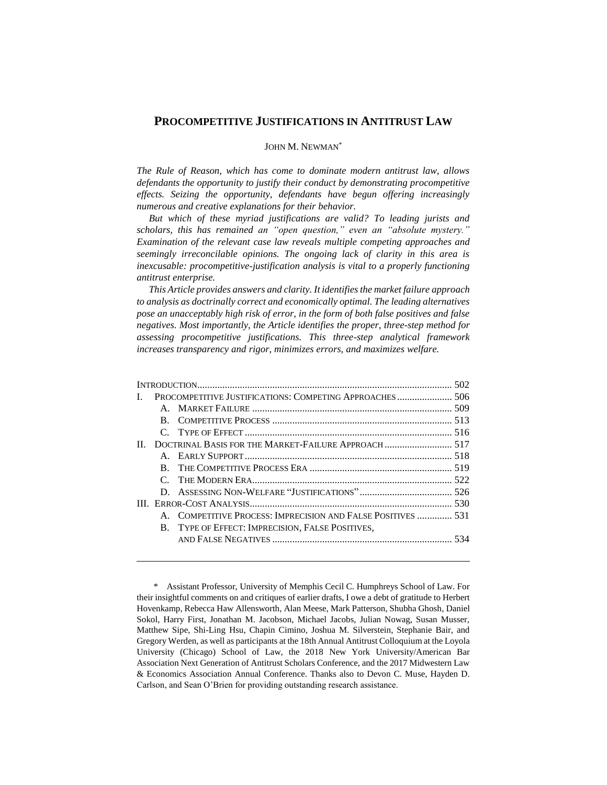# **PROCOMPETITIVE JUSTIFICATIONS IN ANTITRUST LAW**

# JOHN M. NEWMAN\*

*The Rule of Reason, which has come to dominate modern antitrust law, allows defendants the opportunity to justify their conduct by demonstrating procompetitive effects. Seizing the opportunity, defendants have begun offering increasingly numerous and creative explanations for their behavior.*

*But which of these myriad justifications are valid? To leading jurists and scholars, this has remained an "open question," even an "absolute mystery." Examination of the relevant case law reveals multiple competing approaches and seemingly irreconcilable opinions. The ongoing lack of clarity in this area is inexcusable: procompetitive-justification analysis is vital to a properly functioning antitrust enterprise.*

*This Article provides answers and clarity. It identifies the market failure approach to analysis as doctrinally correct and economically optimal. The leading alternatives pose an unacceptably high risk of error, in the form of both false positives and false negatives. Most importantly, the Article identifies the proper, three-step method for assessing procompetitive justifications. This three-step analytical framework increases transparency and rigor, minimizes errors, and maximizes welfare.*

| L  | PROCOMPETITIVE JUSTIFICATIONS: COMPETING APPROACHES 506 |                                                           |  |
|----|---------------------------------------------------------|-----------------------------------------------------------|--|
|    |                                                         |                                                           |  |
|    | B.                                                      |                                                           |  |
|    |                                                         |                                                           |  |
| П. |                                                         |                                                           |  |
|    |                                                         |                                                           |  |
|    | R.                                                      |                                                           |  |
|    |                                                         |                                                           |  |
|    |                                                         |                                                           |  |
|    |                                                         |                                                           |  |
|    |                                                         | COMPETITIVE PROCESS: IMPRECISION AND FALSE POSITIVES  531 |  |
|    |                                                         | B. TYPE OF EFFECT: IMPRECISION, FALSE POSITIVES,          |  |
|    |                                                         |                                                           |  |
|    |                                                         |                                                           |  |

<sup>\*.</sup> Assistant Professor, University of Memphis Cecil C. Humphreys School of Law. For their insightful comments on and critiques of earlier drafts, I owe a debt of gratitude to Herbert Hovenkamp, Rebecca Haw Allensworth, Alan Meese, Mark Patterson, Shubha Ghosh, Daniel Sokol, Harry First, Jonathan M. Jacobson, Michael Jacobs, Julian Nowag, Susan Musser, Matthew Sipe, Shi-Ling Hsu, Chapin Cimino, Joshua M. Silverstein, Stephanie Bair, and Gregory Werden, as well as participants at the 18th Annual Antitrust Colloquium at the Loyola University (Chicago) School of Law, the 2018 New York University/American Bar Association Next Generation of Antitrust Scholars Conference, and the 2017 Midwestern Law & Economics Association Annual Conference. Thanks also to Devon C. Muse, Hayden D. Carlson, and Sean O'Brien for providing outstanding research assistance.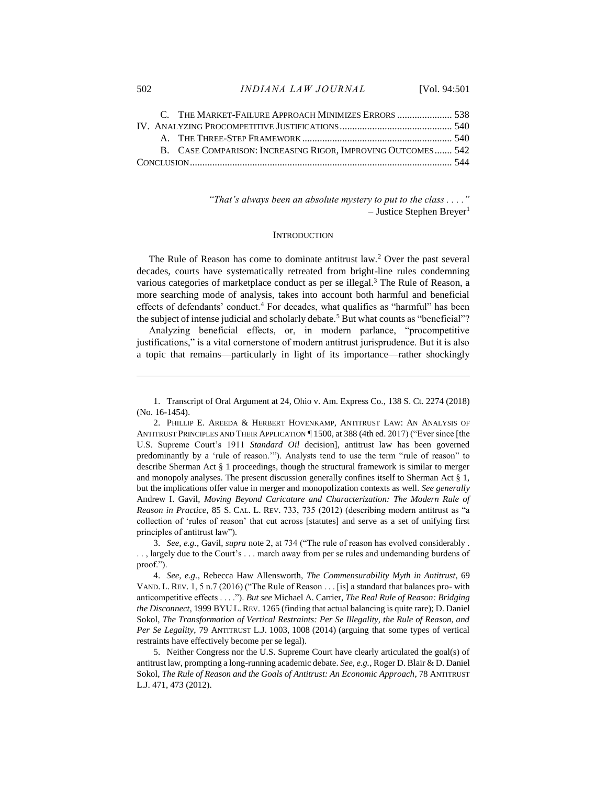|  |  | B. CASE COMPARISON: INCREASING RIGOR. IMPROVING OUTCOMES 542 |  |
|--|--|--------------------------------------------------------------|--|
|  |  |                                                              |  |
|  |  |                                                              |  |

*"That's always been an absolute mystery to put to the class . . . ."*  $-$  Justice Stephen Breyer<sup>1</sup>

#### <span id="page-2-2"></span><span id="page-2-1"></span><span id="page-2-0"></span>**INTRODUCTION**

The Rule of Reason has come to dominate antitrust law.<sup>2</sup> Over the past several decades, courts have systematically retreated from bright-line rules condemning various categories of marketplace conduct as per se illegal.<sup>3</sup> The Rule of Reason, a more searching mode of analysis, takes into account both harmful and beneficial effects of defendants' conduct.<sup>4</sup> For decades, what qualifies as "harmful" has been the subject of intense judicial and scholarly debate.<sup>5</sup> But what counts as "beneficial"?

Analyzing beneficial effects, or, in modern parlance, "procompetitive justifications," is a vital cornerstone of modern antitrust jurisprudence. But it is also a topic that remains—particularly in light of its importance—rather shockingly

3. *See, e.g.*, Gavil, *supra* not[e 2,](#page-2-0) at 734 ("The rule of reason has evolved considerably . . . , largely due to the Court's . . . march away from per se rules and undemanding burdens of proof.").

4. *See, e.g.*, Rebecca Haw Allensworth, *The Commensurability Myth in Antitrust*, 69 VAND. L. REV. 1, 5 n.7 (2016) ("The Rule of Reason . . . [is] a standard that balances pro- with anticompetitive effects . . . ."). *But see* Michael A. Carrier, *The Real Rule of Reason: Bridging the Disconnect*, 1999 BYU L.REV. 1265 (finding that actual balancing is quite rare); D. Daniel Sokol, *The Transformation of Vertical Restraints: Per Se Illegality, the Rule of Reason, and Per Se Legality*, 79 ANTITRUST L.J. 1003, 1008 (2014) (arguing that some types of vertical restraints have effectively become per se legal).

5. Neither Congress nor the U.S. Supreme Court have clearly articulated the goal(s) of antitrust law, prompting a long-running academic debate. *See, e.g.*, Roger D. Blair & D. Daniel Sokol, *The Rule of Reason and the Goals of Antitrust: An Economic Approach*, 78 ANTITRUST L.J. 471, 473 (2012).

<sup>1.</sup> Transcript of Oral Argument at 24, Ohio v. Am. Express Co., 138 S. Ct. 2274 (2018) (No. 16-1454).

<sup>2.</sup> PHILLIP E. AREEDA & HERBERT HOVENKAMP, ANTITRUST LAW: AN ANALYSIS OF ANTITRUST PRINCIPLES AND THEIR APPLICATION ¶ 1500, at 388 (4th ed. 2017) ("Ever since [the U.S. Supreme Court's 1911 *Standard Oil* decision], antitrust law has been governed predominantly by a 'rule of reason.'"). Analysts tend to use the term "rule of reason" to describe Sherman Act § 1 proceedings, though the structural framework is similar to merger and monopoly analyses. The present discussion generally confines itself to Sherman Act § 1, but the implications offer value in merger and monopolization contexts as well. *See generally* Andrew I. Gavil, *Moving Beyond Caricature and Characterization: The Modern Rule of Reason in Practice*, 85 S. CAL. L. REV. 733, 735 (2012) (describing modern antitrust as "a collection of 'rules of reason' that cut across [statutes] and serve as a set of unifying first principles of antitrust law").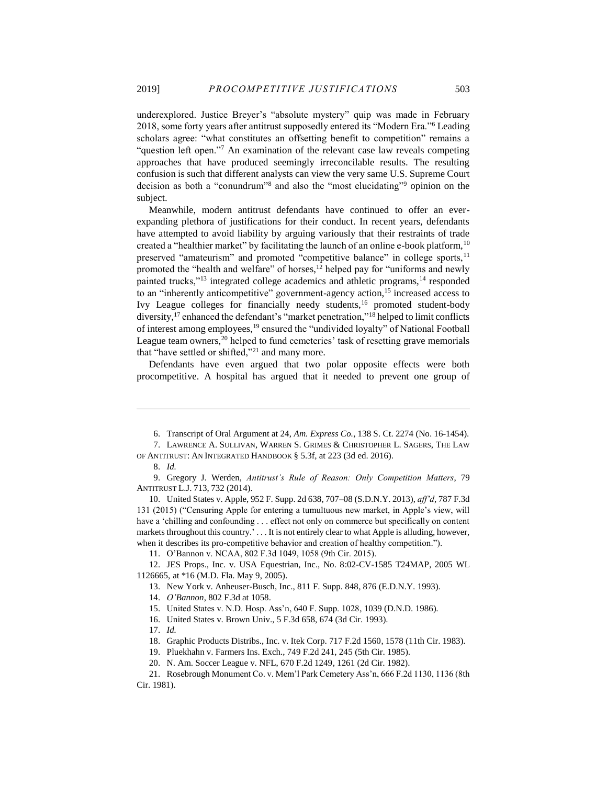<span id="page-3-0"></span>underexplored. Justice Breyer's "absolute mystery" quip was made in February 2018, some forty years after antitrust supposedly entered its "Modern Era."<sup>6</sup> Leading scholars agree: "what constitutes an offsetting benefit to competition" remains a "question left open."<sup>7</sup> An examination of the relevant case law reveals competing approaches that have produced seemingly irreconcilable results. The resulting confusion is such that different analysts can view the very same U.S. Supreme Court decision as both a "conundrum"<sup>8</sup> and also the "most elucidating"<sup>9</sup> opinion on the subject.

<span id="page-3-1"></span>Meanwhile, modern antitrust defendants have continued to offer an everexpanding plethora of justifications for their conduct. In recent years, defendants have attempted to avoid liability by arguing variously that their restraints of trade created a "healthier market" by facilitating the launch of an online e-book platform,  $10$ preserved "amateurism" and promoted "competitive balance" in college sports,<sup>11</sup> promoted the "health and welfare" of horses,<sup>12</sup> helped pay for "uniforms and newly painted trucks,"<sup>13</sup> integrated college academics and athletic programs,<sup>14</sup> responded to an "inherently anticompetitive" government-agency action,<sup>15</sup> increased access to Ivy League colleges for financially needy students,<sup>16</sup> promoted student-body diversity,<sup>17</sup> enhanced the defendant's "market penetration,"<sup>18</sup> helped to limit conflicts of interest among employees,<sup>19</sup> ensured the "undivided loyalty" of National Football League team owners,<sup>20</sup> helped to fund cemeteries' task of resetting grave memorials that "have settled or shifted,"<sup>21</sup> and many more.

Defendants have even argued that two polar opposite effects were both procompetitive. A hospital has argued that it needed to prevent one group of

 $\overline{a}$ 

11. O'Bannon v. NCAA, 802 F.3d 1049, 1058 (9th Cir. 2015).

12. JES Props., Inc. v. USA Equestrian, Inc., No. 8:02-CV-1585 T24MAP, 2005 WL 1126665, at \*16 (M.D. Fla. May 9, 2005).

15. United States v. N.D. Hosp. Ass'n, 640 F. Supp. 1028, 1039 (D.N.D. 1986).

17. *Id.*

<sup>6.</sup> Transcript of Oral Argument at 24, *Am. Express Co.*, 138 S. Ct. 2274 (No. 16-1454).

<sup>7.</sup> LAWRENCE A. SULLIVAN, WARREN S. GRIMES & CHRISTOPHER L. SAGERS, THE LAW OF ANTITRUST: AN INTEGRATED HANDBOOK § 5.3f, at 223 (3d ed. 2016).

<sup>8.</sup> *Id.*

<sup>9.</sup> Gregory J. Werden, *Antitrust's Rule of Reason: Only Competition Matters*, 79 ANTITRUST L.J. 713, 732 (2014).

<sup>10.</sup> United States v. Apple, 952 F. Supp. 2d 638, 707–08 (S.D.N.Y. 2013), *aff'd*, 787 F.3d 131 (2015) ("Censuring Apple for entering a tumultuous new market, in Apple's view, will have a 'chilling and confounding . . . effect not only on commerce but specifically on content markets throughout this country.' . . . It is not entirely clear to what Apple is alluding, however, when it describes its pro-competitive behavior and creation of healthy competition.").

<sup>13.</sup> New York v. Anheuser-Busch, Inc., 811 F. Supp. 848, 876 (E.D.N.Y. 1993).

<sup>14.</sup> *O'Bannon*, 802 F.3d at 1058.

<sup>16.</sup> United States v. Brown Univ., 5 F.3d 658, 674 (3d Cir. 1993).

<sup>18.</sup> Graphic Products Distribs., Inc. v. Itek Corp. 717 F.2d 1560, 1578 (11th Cir. 1983).

<sup>19.</sup> Pluekhahn v. Farmers Ins. Exch., 749 F.2d 241, 245 (5th Cir. 1985).

<sup>20.</sup> N. Am. Soccer League v. NFL, 670 F.2d 1249, 1261 (2d Cir. 1982).

<sup>21.</sup> Rosebrough Monument Co. v. Mem'l Park Cemetery Ass'n, 666 F.2d 1130, 1136 (8th Cir. 1981).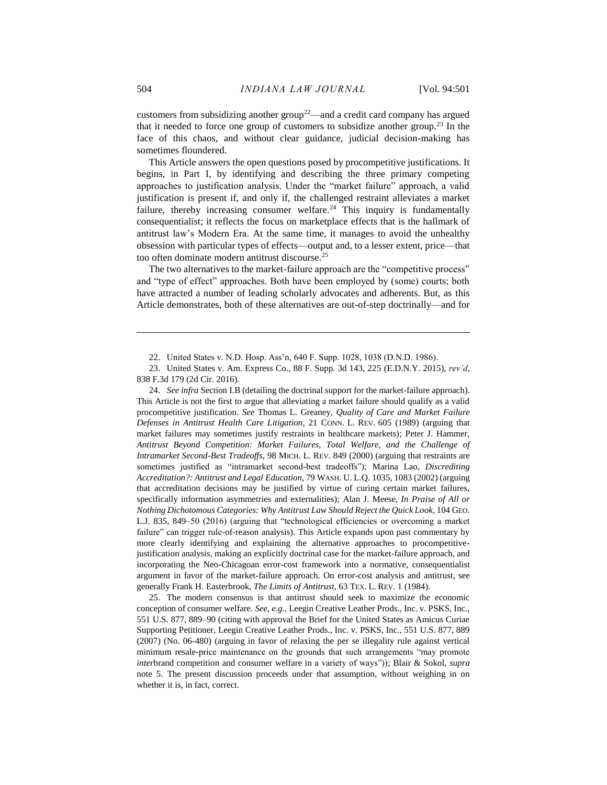customers from subsidizing another group<sup>22</sup>—and a credit card company has argued that it needed to force one group of customers to subsidize another group.<sup>23</sup> In the face of this chaos, and without clear guidance, judicial decision-making has sometimes floundered.

<span id="page-4-0"></span>This Article answers the open questions posed by procompetitive justifications. It begins, in Part I, by identifying and describing the three primary competing approaches to justification analysis. Under the "market failure" approach, a valid justification is present if, and only if, the challenged restraint alleviates a market failure, thereby increasing consumer welfare.<sup>24</sup> This inquiry is fundamentally consequentialist; it reflects the focus on marketplace effects that is the hallmark of antitrust law's Modern Era. At the same time, it manages to avoid the unhealthy obsession with particular types of effects—output and, to a lesser extent, price—that too often dominate modern antitrust discourse. 25

The two alternatives to the market-failure approach are the "competitive process" and "type of effect" approaches. Both have been employed by (some) courts; both have attracted a number of leading scholarly advocates and adherents. But, as this Article demonstrates, both of these alternatives are out-of-step doctrinally—and for

24. *See infra* Section I.B (detailing the doctrinal support for the market-failure approach). This Article is not the first to argue that alleviating a market failure should qualify as a valid procompetitive justification. *See* Thomas L. Greaney, *Quality of Care and Market Failure Defenses in Antitrust Health Care Litigation*, 21 CONN. L. REV. 605 (1989) (arguing that market failures may sometimes justify restraints in healthcare markets); Peter J. Hammer, *Antitrust Beyond Competition: Market Failures, Total Welfare, and the Challenge of Intramarket Second-Best Tradeoffs*, 98 MICH. L. REV. 849 (2000) (arguing that restraints are sometimes justified as "intramarket second-best tradeoffs"); Marina Lao, *Discrediting Accreditation?: Antitrust and Legal Education*, 79 WASH. U. L.Q. 1035, 1083 (2002) (arguing that accreditation decisions may be justified by virtue of curing certain market failures, specifically information asymmetries and externalities); Alan J. Meese, *In Praise of All or Nothing Dichotomous Categories: Why Antitrust Law Should Reject the Quick Look*, 104 GEO. L.J. 835, 849–50 (2016) (arguing that "technological efficiencies or overcoming a market failure" can trigger rule-of-reason analysis). This Article expands upon past commentary by more clearly identifying and explaining the alternative approaches to procompetitivejustification analysis, making an explicitly doctrinal case for the market-failure approach, and incorporating the Neo-Chicagoan error-cost framework into a normative, consequentialist argument in favor of the market-failure approach. On error-cost analysis and antitrust, see generally Frank H. Easterbrook, *The Limits of Antitrust*, 63 TEX. L. REV. 1 (1984).

25. The modern consensus is that antitrust should seek to maximize the economic conception of consumer welfare. *See, e.g.*, Leegin Creative Leather Prods., Inc. v. PSKS, Inc., 551 U.S. 877, 889–90 (citing with approval the Brief for the United States as Amicus Curiae Supporting Petitioner, Leegin Creative Leather Prods., Inc. v. PSKS, Inc., 551 U.S. 877, 889 (2007) (No. 06-480) (arguing in favor of relaxing the per se illegality rule against vertical minimum resale-price maintenance on the grounds that such arrangements "may promote *inter*brand competition and consumer welfare in a variety of ways")); Blair & Sokol, *supra* note [5.](#page-2-1) The present discussion proceeds under that assumption, without weighing in on whether it is, in fact, correct.

<sup>22.</sup> United States v. N.D. Hosp. Ass'n, 640 F. Supp. 1028, 1038 (D.N.D. 1986).

<sup>23.</sup> United States v. Am. Express Co., 88 F. Supp. 3d 143, 225 (E.D.N.Y. 2015), *rev'd*, 838 F.3d 179 (2d Cir. 2016).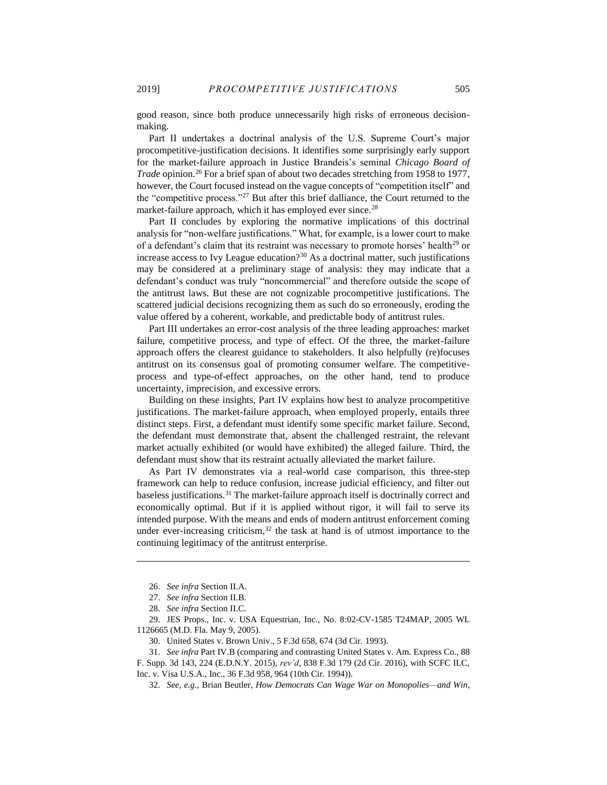good reason, since both produce unnecessarily high risks of erroneous decisionmaking.

Part II undertakes a doctrinal analysis of the U.S. Supreme Court's major procompetitive-justification decisions. It identifies some surprisingly early support for the market-failure approach in Justice Brandeis's seminal *Chicago Board of Trade* opinion. <sup>26</sup> For a brief span of about two decades stretching from 1958 to 1977, however, the Court focused instead on the vague concepts of "competition itself" and the "competitive process."<sup>27</sup> But after this brief dalliance, the Court returned to the market-failure approach, which it has employed ever since.<sup>28</sup>

Part II concludes by exploring the normative implications of this doctrinal analysis for "non-welfare justifications." What, for example, is a lower court to make of a defendant's claim that its restraint was necessary to promote horses' health<sup>29</sup> or increase access to Ivy League education? $30$  As a doctrinal matter, such justifications may be considered at a preliminary stage of analysis: they may indicate that a defendant's conduct was truly "noncommercial" and therefore outside the scope of the antitrust laws. But these are not cognizable procompetitive justifications. The scattered judicial decisions recognizing them as such do so erroneously, eroding the value offered by a coherent, workable, and predictable body of antitrust rules.

Part III undertakes an error-cost analysis of the three leading approaches: market failure, competitive process, and type of effect. Of the three, the market-failure approach offers the clearest guidance to stakeholders. It also helpfully (re)focuses antitrust on its consensus goal of promoting consumer welfare. The competitiveprocess and type-of-effect approaches, on the other hand, tend to produce uncertainty, imprecision, and excessive errors.

Building on these insights, Part IV explains how best to analyze procompetitive justifications. The market-failure approach, when employed properly, entails three distinct steps. First, a defendant must identify some specific market failure. Second, the defendant must demonstrate that, absent the challenged restraint, the relevant market actually exhibited (or would have exhibited) the alleged failure. Third, the defendant must show that its restraint actually alleviated the market failure.

As Part IV demonstrates via a real-world case comparison, this three-step framework can help to reduce confusion, increase judicial efficiency, and filter out baseless justifications.<sup>31</sup> The market-failure approach itself is doctrinally correct and economically optimal. But if it is applied without rigor, it will fail to serve its intended purpose. With the means and ends of modern antitrust enforcement coming under ever-increasing criticism, $32$  the task at hand is of utmost importance to the continuing legitimacy of the antitrust enterprise.

<sup>26.</sup> *See infra* Section II.A.

<sup>27.</sup> *See infra* Section II.B.

<sup>28.</sup> *See infra* Section II.C.

<sup>29.</sup> JES Props., Inc. v. USA Equestrian, Inc., No. 8:02-CV-1585 T24MAP, 2005 WL 1126665 (M.D. Fla. May 9, 2005).

<sup>30.</sup> United States v. Brown Univ., 5 F.3d 658, 674 (3d Cir. 1993).

<sup>31.</sup> *See infra* Part IV.B (comparing and contrasting United States v. Am. Express Co., 88 F. Supp. 3d 143, 224 (E.D.N.Y. 2015), *rev'd*, 838 F.3d 179 (2d Cir. 2016), with SCFC ILC, Inc. v. Visa U.S.A., Inc., 36 F.3d 958, 964 (10th Cir. 1994)).

<sup>32.</sup> *See, e.g.*, Brian Beutler, *How Democrats Can Wage War on Monopolies—and Win*,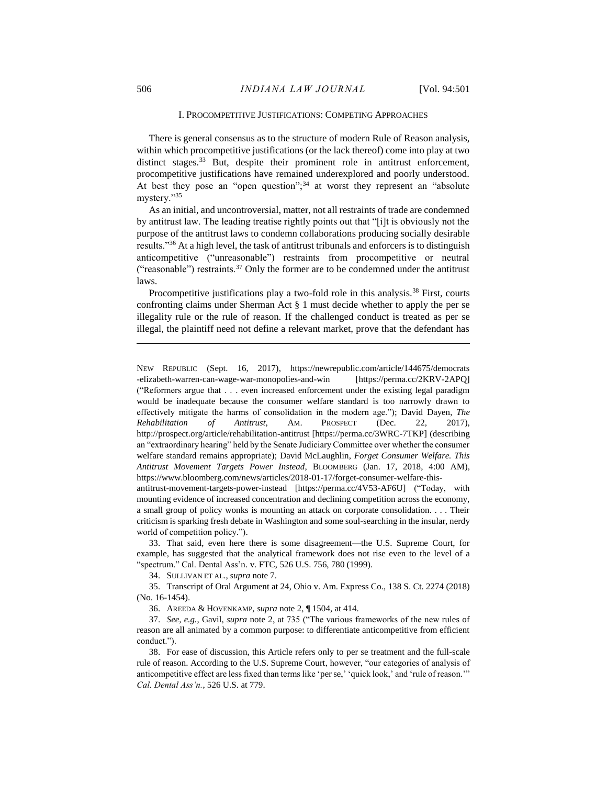## I. PROCOMPETITIVE JUSTIFICATIONS: COMPETING APPROACHES

There is general consensus as to the structure of modern Rule of Reason analysis, within which procompetitive justifications (or the lack thereof) come into play at two distinct stages.<sup>33</sup> But, despite their prominent role in antitrust enforcement, procompetitive justifications have remained underexplored and poorly understood. At best they pose an "open question"; $34$  at worst they represent an "absolute mystery."<sup>35</sup>

As an initial, and uncontroversial, matter, not all restraints of trade are condemned by antitrust law. The leading treatise rightly points out that "[i]t is obviously not the purpose of the antitrust laws to condemn collaborations producing socially desirable results."<sup>36</sup> At a high level, the task of antitrust tribunals and enforcers is to distinguish anticompetitive ("unreasonable") restraints from procompetitive or neutral ("reasonable") restraints. $37$  Only the former are to be condemned under the antitrust laws.

Procompetitive justifications play a two-fold role in this analysis.<sup>38</sup> First, courts confronting claims under Sherman Act § 1 must decide whether to apply the per se illegality rule or the rule of reason. If the challenged conduct is treated as per se illegal, the plaintiff need not define a relevant market, prove that the defendant has

NEW REPUBLIC (Sept. 16, 2017), https://newrepublic.com/article/144675/democrats -elizabeth-warren-can-wage-war-monopolies-and-win [https://perma.cc/2KRV-2APQ] ("Reformers argue that . . . even increased enforcement under the existing legal paradigm would be inadequate because the consumer welfare standard is too narrowly drawn to effectively mitigate the harms of consolidation in the modern age."); David Dayen, *The Rehabilitation of Antitrust*, AM. PROSPECT (Dec. 22, 2017), http://prospect.org/article/rehabilitation-antitrust [https://perma.cc/3WRC-7TKP] (describing an "extraordinary hearing" held by the Senate Judiciary Committee over whether the consumer welfare standard remains appropriate); David McLaughlin, *Forget Consumer Welfare. This Antitrust Movement Targets Power Instead*, BLOOMBERG (Jan. 17, 2018, 4:00 AM), https://www.bloomberg.com/news/articles/2018-01-17/forget-consumer-welfare-this-

antitrust-movement-targets-power-instead [https://perma.cc/4V53-AF6U] ("Today, with mounting evidence of increased concentration and declining competition across the economy, a small group of policy wonks is mounting an attack on corporate consolidation. . . . Their criticism is sparking fresh debate in Washington and some soul-searching in the insular, nerdy world of competition policy.").

33. That said, even here there is some disagreement—the U.S. Supreme Court, for example, has suggested that the analytical framework does not rise even to the level of a "spectrum." Cal. Dental Ass'n. v. FTC, 526 U.S. 756, 780 (1999).

34. SULLIVAN ET AL., *supra* not[e 7.](#page-3-0)

35. Transcript of Oral Argument at 24, Ohio v. Am. Express Co., 138 S. Ct. 2274 (2018) (No. 16-1454).

36. AREEDA & HOVENKAMP, *supra* note [2,](#page-2-0) ¶ 1504, at 414.

37. *See, e.g.*, Gavil, *supra* note [2,](#page-2-0) at 735 ("The various frameworks of the new rules of reason are all animated by a common purpose: to differentiate anticompetitive from efficient conduct.").

38. For ease of discussion, this Article refers only to per se treatment and the full-scale rule of reason. According to the U.S. Supreme Court, however, "our categories of analysis of anticompetitive effect are less fixed than terms like 'per se,' 'quick look,' and 'rule of reason.'" *Cal. Dental Ass'n.*, 526 U.S. at 779.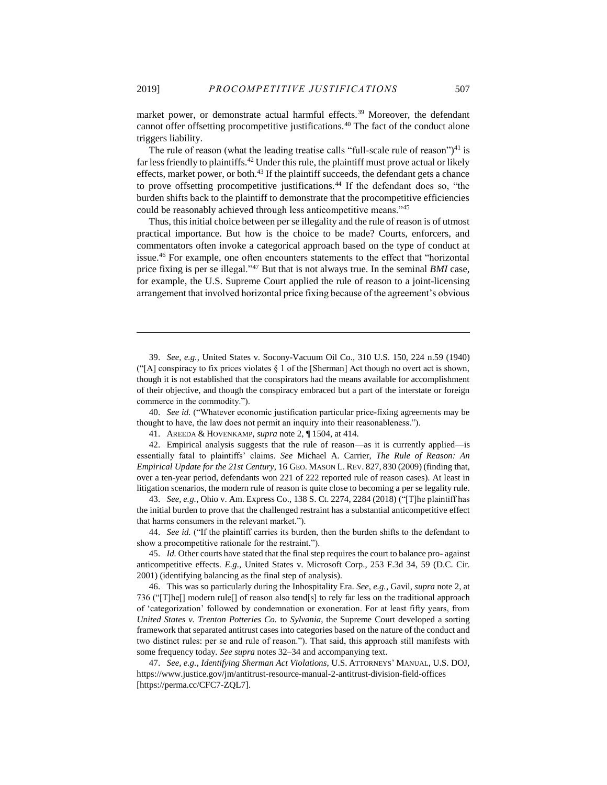market power, or demonstrate actual harmful effects.<sup>39</sup> Moreover, the defendant cannot offer offsetting procompetitive justifications.<sup>40</sup> The fact of the conduct alone triggers liability.

<span id="page-7-0"></span>The rule of reason (what the leading treatise calls "full-scale rule of reason")<sup>41</sup> is far less friendly to plaintiffs.<sup>42</sup> Under this rule, the plaintiff must prove actual or likely effects, market power, or both.<sup>43</sup> If the plaintiff succeeds, the defendant gets a chance to prove offsetting procompetitive justifications.<sup>44</sup> If the defendant does so, "the burden shifts back to the plaintiff to demonstrate that the procompetitive efficiencies could be reasonably achieved through less anticompetitive means."<sup>45</sup>

Thus, this initial choice between per se illegality and the rule of reason is of utmost practical importance. But how is the choice to be made? Courts, enforcers, and commentators often invoke a categorical approach based on the type of conduct at issue.<sup>46</sup> For example, one often encounters statements to the effect that "horizontal price fixing is per se illegal."<sup>47</sup> But that is not always true. In the seminal *BMI* case, for example, the U.S. Supreme Court applied the rule of reason to a joint-licensing arrangement that involved horizontal price fixing because of the agreement's obvious

39. *See, e.g.*, United States v. Socony-Vacuum Oil Co., 310 U.S. 150, 224 n.59 (1940) ("[A] conspiracy to fix prices violates  $\S 1$  of the [Sherman] Act though no overt act is shown, though it is not established that the conspirators had the means available for accomplishment of their objective, and though the conspiracy embraced but a part of the interstate or foreign commerce in the commodity.").

40. *See id.* ("Whatever economic justification particular price-fixing agreements may be thought to have, the law does not permit an inquiry into their reasonableness.").

41. AREEDA & HOVENKAMP, *supra* note [2,](#page-2-0) ¶ 1504, at 414.

 $\overline{a}$ 

42. Empirical analysis suggests that the rule of reason—as it is currently applied—is essentially fatal to plaintiffs' claims. *See* Michael A. Carrier, *The Rule of Reason: An Empirical Update for the 21st Century*, 16 GEO. MASON L. REV. 827, 830 (2009) (finding that, over a ten-year period, defendants won 221 of 222 reported rule of reason cases). At least in litigation scenarios, the modern rule of reason is quite close to becoming a per se legality rule.

43. *See, e.g.*, Ohio v. Am. Express Co., 138 S. Ct. 2274, 2284 (2018) ("[T]he plaintiff has the initial burden to prove that the challenged restraint has a substantial anticompetitive effect that harms consumers in the relevant market.").

44. *See id.* ("If the plaintiff carries its burden, then the burden shifts to the defendant to show a procompetitive rationale for the restraint.").

45. *Id.* Other courts have stated that the final step requires the court to balance pro- against anticompetitive effects. *E.g.*, United States v. Microsoft Corp., 253 F.3d 34, 59 (D.C. Cir. 2001) (identifying balancing as the final step of analysis).

46. This was so particularly during the Inhospitality Era. *See, e.g.*, Gavil, *supra* not[e 2,](#page-2-0) at 736 ("[T]he[] modern rule[] of reason also tend[s] to rely far less on the traditional approach of 'categorization' followed by condemnation or exoneration. For at least fifty years, from *United States v. Trenton Potteries Co.* to *Sylvania*, the Supreme Court developed a sorting framework that separated antitrust cases into categories based on the nature of the conduct and two distinct rules: per se and rule of reason."). That said, this approach still manifests with some frequency today. *See supra* notes 32–34 and accompanying text.

47. *See, e.g.*, *Identifying Sherman Act Violations*, U.S. ATTORNEYS' MANUAL, U.S. DOJ, https://www.justice.gov/jm/antitrust-resource-manual-2-antitrust-division-field-offices [https://perma.cc/CFC7-ZQL7].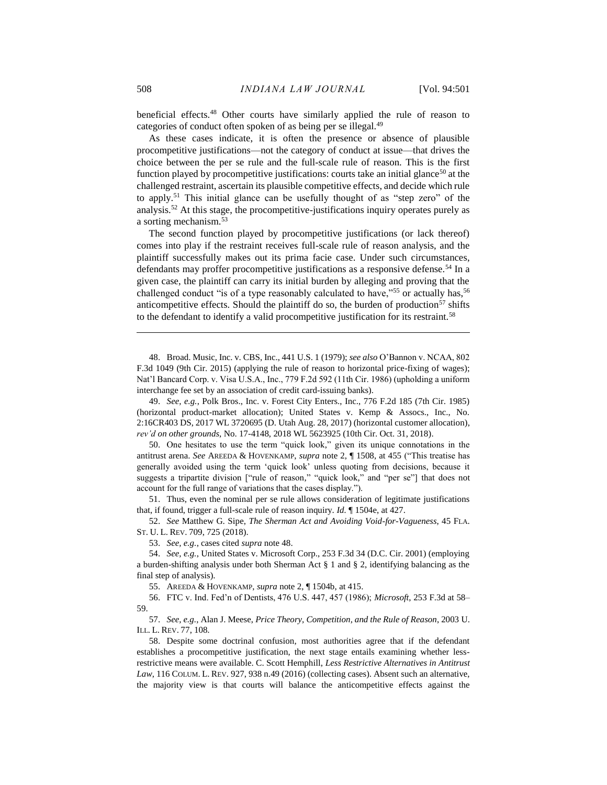beneficial effects.<sup>48</sup> Other courts have similarly applied the rule of reason to categories of conduct often spoken of as being per se illegal.<sup>49</sup>

As these cases indicate, it is often the presence or absence of plausible procompetitive justifications—not the category of conduct at issue—that drives the choice between the per se rule and the full-scale rule of reason. This is the first function played by procompetitive justifications: courts take an initial glance<sup>50</sup> at the challenged restraint, ascertain its plausible competitive effects, and decide which rule to apply.<sup>51</sup> This initial glance can be usefully thought of as "step zero" of the analysis.<sup>52</sup> At this stage, the procompetitive-justifications inquiry operates purely as a sorting mechanism.<sup>53</sup>

The second function played by procompetitive justifications (or lack thereof) comes into play if the restraint receives full-scale rule of reason analysis, and the plaintiff successfully makes out its prima facie case. Under such circumstances, defendants may proffer procompetitive justifications as a responsive defense.<sup>54</sup> In a given case, the plaintiff can carry its initial burden by alleging and proving that the challenged conduct "is of a type reasonably calculated to have,"<sup>55</sup> or actually has,<sup>56</sup> anticompetitive effects. Should the plaintiff do so, the burden of production $57$  shifts to the defendant to identify a valid procompetitive justification for its restraint.<sup>58</sup>

<span id="page-8-0"></span>48. Broad. Music, Inc. v. CBS, Inc., 441 U.S. 1 (1979); *see also* O'Bannon v. NCAA, 802 F.3d 1049 (9th Cir. 2015) (applying the rule of reason to horizontal price-fixing of wages); Nat'l Bancard Corp. v. Visa U.S.A., Inc., 779 F.2d 592 (11th Cir. 1986) (upholding a uniform interchange fee set by an association of credit card-issuing banks).

49. *See, e.g.*, Polk Bros., Inc. v. Forest City Enters., Inc., 776 F.2d 185 (7th Cir. 1985) (horizontal product-market allocation); United States v. Kemp & Assocs., Inc., No. 2:16CR403 DS, 2017 WL 3720695 (D. Utah Aug. 28, 2017) (horizontal customer allocation), *rev'd on other grounds*, No. 17-4148, 2018 WL 5623925 (10th Cir. Oct. 31, 2018).

50. One hesitates to use the term "quick look," given its unique connotations in the antitrust arena. *See* AREEDA & HOVENKAMP, *supra* note [2,](#page-2-0) ¶ 1508, at 455 ("This treatise has generally avoided using the term 'quick look' unless quoting from decisions, because it suggests a tripartite division ["rule of reason," "quick look," and "per se"] that does not account for the full range of variations that the cases display.").

51. Thus, even the nominal per se rule allows consideration of legitimate justifications that, if found, trigger a full-scale rule of reason inquiry. *Id.* ¶ 1504e, at 427.

52. *See* Matthew G. Sipe, *The Sherman Act and Avoiding Void-for-Vagueness*, 45 FLA. ST. U. L. REV. 709, 725 (2018).

53. *See, e.g.*, cases cited *supra* note 48.

54. *See, e.g.*, United States v. Microsoft Corp., 253 F.3d 34 (D.C. Cir. 2001) (employing a burden-shifting analysis under both Sherman Act § 1 and § 2, identifying balancing as the final step of analysis).

55. AREEDA & HOVENKAMP, *supra* note [2,](#page-2-0) ¶ 1504b, at 415.

56. FTC v. Ind. Fed'n of Dentists, 476 U.S. 447, 457 (1986); *Microsoft*, 253 F.3d at 58– 59.

57. *See, e.g.*, Alan J. Meese, *Price Theory, Competition, and the Rule of Reason*, 2003 U. ILL. L. REV. 77, 108*.*

58. Despite some doctrinal confusion, most authorities agree that if the defendant establishes a procompetitive justification, the next stage entails examining whether lessrestrictive means were available. C. Scott Hemphill, *Less Restrictive Alternatives in Antitrust Law*, 116 COLUM. L. REV. 927, 938 n.49 (2016) (collecting cases). Absent such an alternative, the majority view is that courts will balance the anticompetitive effects against the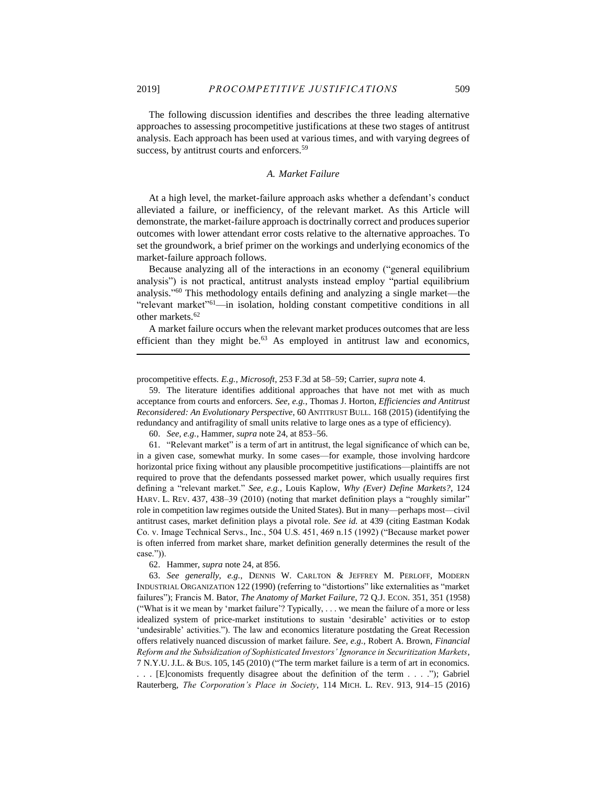$\overline{a}$ 

The following discussion identifies and describes the three leading alternative approaches to assessing procompetitive justifications at these two stages of antitrust analysis. Each approach has been used at various times, and with varying degrees of success, by antitrust courts and enforcers.<sup>59</sup>

## <span id="page-9-0"></span>*A. Market Failure*

At a high level, the market-failure approach asks whether a defendant's conduct alleviated a failure, or inefficiency, of the relevant market. As this Article will demonstrate, the market-failure approach is doctrinally correct and produces superior outcomes with lower attendant error costs relative to the alternative approaches. To set the groundwork, a brief primer on the workings and underlying economics of the market-failure approach follows.

Because analyzing all of the interactions in an economy ("general equilibrium analysis") is not practical, antitrust analysts instead employ "partial equilibrium analysis." <sup>60</sup> This methodology entails defining and analyzing a single market—the "relevant market"<sup>61</sup>—in isolation, holding constant competitive conditions in all other markets.<sup>62</sup>

A market failure occurs when the relevant market produces outcomes that are less efficient than they might be.<sup>63</sup> As employed in antitrust law and economics,

59. The literature identifies additional approaches that have not met with as much acceptance from courts and enforcers. *See, e.g.*, Thomas J. Horton, *Efficiencies and Antitrust Reconsidered: An Evolutionary Perspective*, 60 ANTITRUST BULL. 168 (2015) (identifying the redundancy and antifragility of small units relative to large ones as a type of efficiency).

60. *See, e.g.*, Hammer, *supra* not[e 24,](#page-4-0) at 853–56.

61. "Relevant market" is a term of art in antitrust, the legal significance of which can be, in a given case, somewhat murky. In some cases—for example, those involving hardcore horizontal price fixing without any plausible procompetitive justifications—plaintiffs are not required to prove that the defendants possessed market power, which usually requires first defining a "relevant market." *See, e.g.*, Louis Kaplow, *Why (Ever) Define Markets?*, 124 HARV. L. REV. 437, 438–39 (2010) (noting that market definition plays a "roughly similar" role in competition law regimes outside the United States). But in many—perhaps most—civil antitrust cases, market definition plays a pivotal role. *See id.* at 439 (citing Eastman Kodak Co. v. Image Technical Servs., Inc., 504 U.S. 451, 469 n.15 (1992) ("Because market power is often inferred from market share, market definition generally determines the result of the case.")).

62. Hammer, *supra* not[e 24,](#page-4-0) at 856.

63. *See generally, e.g.*, DENNIS W. CARLTON & JEFFREY M. PERLOFF, MODERN INDUSTRIAL ORGANIZATION 122 (1990) (referring to "distortions" like externalities as "market failures"); Francis M. Bator, *The Anatomy of Market Failure*, 72 Q.J. ECON. 351, 351 (1958) ("What is it we mean by 'market failure'? Typically, . . . we mean the failure of a more or less idealized system of price-market institutions to sustain 'desirable' activities or to estop 'undesirable' activities."). The law and economics literature postdating the Great Recession offers relatively nuanced discussion of market failure. *See, e.g.*, Robert A. Brown, *Financial Reform and the Subsidization of Sophisticated Investors' Ignorance in Securitization Markets*, 7 N.Y.U. J.L. & BUS. 105, 145 (2010) ("The term market failure is a term of art in economics. . . . [E]conomists frequently disagree about the definition of the term . . . ."); Gabriel Rauterberg, *The Corporation's Place in Society*, 114 MICH. L. REV. 913, 914–15 (2016)

procompetitive effects. *E.g.*, *Microsoft*, 253 F.3d at 58–59; Carrier, *supra* not[e 4.](#page-2-2)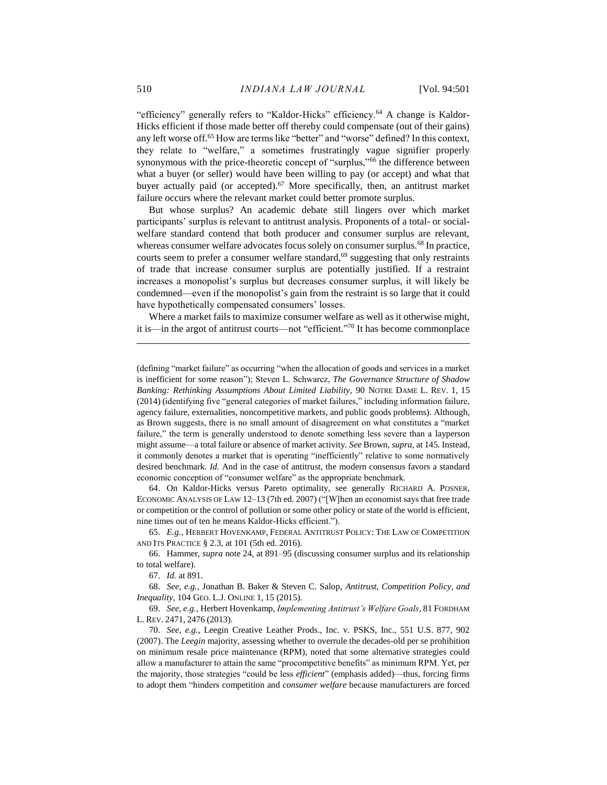<span id="page-10-0"></span>"efficiency" generally refers to "Kaldor-Hicks" efficiency.<sup>64</sup> A change is Kaldor-Hicks efficient if those made better off thereby could compensate (out of their gains) any left worse off.<sup>65</sup> How are terms like "better" and "worse" defined? In this context, they relate to "welfare," a sometimes frustratingly vague signifier properly synonymous with the price-theoretic concept of "surplus,"<sup>66</sup> the difference between what a buyer (or seller) would have been willing to pay (or accept) and what that buyer actually paid (or accepted).<sup>67</sup> More specifically, then, an antitrust market failure occurs where the relevant market could better promote surplus.

But whose surplus? An academic debate still lingers over which market participants' surplus is relevant to antitrust analysis. Proponents of a total- or socialwelfare standard contend that both producer and consumer surplus are relevant, whereas consumer welfare advocates focus solely on consumer surplus.<sup>68</sup> In practice, courts seem to prefer a consumer welfare standard, $69$  suggesting that only restraints of trade that increase consumer surplus are potentially justified. If a restraint increases a monopolist's surplus but decreases consumer surplus, it will likely be condemned—even if the monopolist's gain from the restraint is so large that it could have hypothetically compensated consumers' losses.

Where a market fails to maximize consumer welfare as well as it otherwise might, it is—in the argot of antitrust courts—not "efficient." <sup>70</sup> It has become commonplace

64. On Kaldor-Hicks versus Pareto optimality, see generally RICHARD A. POSNER, ECONOMIC ANALYSIS OF LAW 12–13 (7th ed. 2007) ("[W]hen an economist says that free trade or competition or the control of pollution or some other policy or state of the world is efficient, nine times out of ten he means Kaldor-Hicks efficient.").

65. *E.g.*, HERBERT HOVENKAMP, FEDERAL ANTITRUST POLICY: THE LAW OF COMPETITION AND ITS PRACTICE § 2.3, at 101 (5th ed. 2016).

66. Hammer, *supra* note [24,](#page-4-0) at 891–95 (discussing consumer surplus and its relationship to total welfare).

67. *Id.* at 891.

68. *See, e.g.*, Jonathan B. Baker & Steven C. Salop, *Antitrust, Competition Policy, and Inequality*, 104 GEO. L.J. ONLINE 1, 15 (2015).

69. *See, e.g.*, Herbert Hovenkamp, *Implementing Antitrust's Welfare Goals*, 81 FORDHAM L. REV. 2471, 2476 (2013).

70. *See, e.g.*, Leegin Creative Leather Prods., Inc. v. PSKS, Inc., 551 U.S. 877, 902 (2007). The *Leegin* majority, assessing whether to overrule the decades-old per se prohibition on minimum resale price maintenance (RPM), noted that some alternative strategies could allow a manufacturer to attain the same "procompetitive benefits" as minimum RPM. Yet, per the majority, those strategies "could be less *efficient*" (emphasis added)—thus, forcing firms to adopt them "hinders competition and *consumer welfare* because manufacturers are forced

<sup>(</sup>defining "market failure" as occurring "when the allocation of goods and services in a market is inefficient for some reason"); Steven L. Schwarcz, *The Governance Structure of Shadow Banking: Rethinking Assumptions About Limited Liability*, 90 NOTRE DAME L. REV. 1, 15 (2014) (identifying five "general categories of market failures," including information failure, agency failure, externalities, noncompetitive markets, and public goods problems). Although, as Brown suggests, there is no small amount of disagreement on what constitutes a "market failure," the term is generally understood to denote something less severe than a layperson might assume—a total failure or absence of market activity. *See* Brown, *supra*, at 145*.* Instead, it commonly denotes a market that is operating "inefficiently" relative to some normatively desired benchmark. *Id.* And in the case of antitrust, the modern consensus favors a standard economic conception of "consumer welfare" as the appropriate benchmark.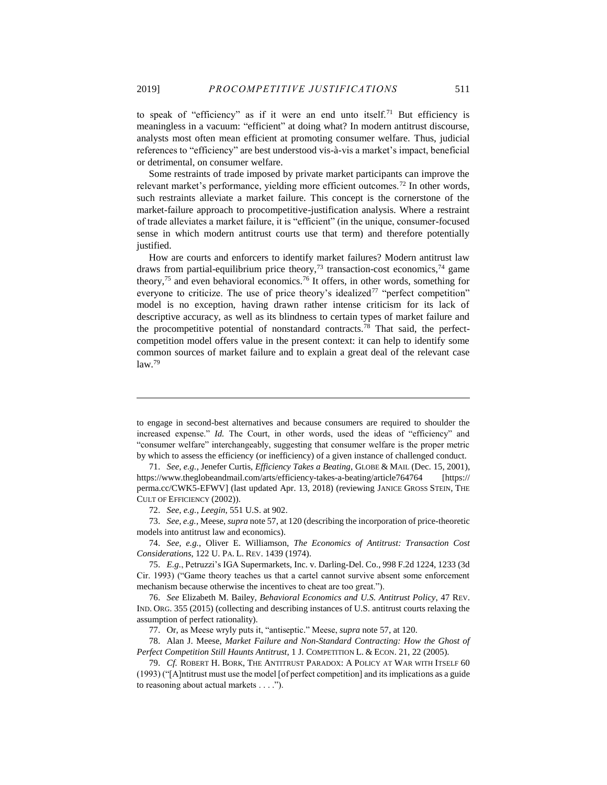to speak of "efficiency" as if it were an end unto itself.<sup>71</sup> But efficiency is meaningless in a vacuum: "efficient" at doing what? In modern antitrust discourse, analysts most often mean efficient at promoting consumer welfare. Thus, judicial references to "efficiency" are best understood vis-à-vis a market's impact, beneficial or detrimental, on consumer welfare.

Some restraints of trade imposed by private market participants can improve the relevant market's performance, yielding more efficient outcomes.<sup>72</sup> In other words, such restraints alleviate a market failure. This concept is the cornerstone of the market-failure approach to procompetitive-justification analysis. Where a restraint of trade alleviates a market failure, it is "efficient" (in the unique, consumer-focused sense in which modern antitrust courts use that term) and therefore potentially justified.

How are courts and enforcers to identify market failures? Modern antitrust law draws from partial-equilibrium price theory,<sup>73</sup> transaction-cost economics,<sup>74</sup> game theory,<sup>75</sup> and even behavioral economics.<sup>76</sup> It offers, in other words, something for everyone to criticize. The use of price theory's idealized<sup>77</sup> "perfect competition" model is no exception, having drawn rather intense criticism for its lack of descriptive accuracy, as well as its blindness to certain types of market failure and the procompetitive potential of nonstandard contracts.<sup>78</sup> That said, the perfectcompetition model offers value in the present context: it can help to identify some common sources of market failure and to explain a great deal of the relevant case  $law.<sup>79</sup>$ 

72. *See, e.g.*, *Leegin*, 551 U.S. at 902.

73. *See, e.g.*, Meese, *supra* not[e 57,](#page-8-0) at 120 (describing the incorporation of price-theoretic models into antitrust law and economics).

74. *See, e.g.*, Oliver E. Williamson, *The Economics of Antitrust: Transaction Cost Considerations*, 122 U. PA. L. REV. 1439 (1974).

76. *See* Elizabeth M. Bailey, *Behavioral Economics and U.S. Antitrust Policy*, 47 REV. IND. ORG. 355 (2015) (collecting and describing instances of U.S. antitrust courts relaxing the assumption of perfect rationality).

77. Or, as Meese wryly puts it, "antiseptic." Meese, *supra* not[e 57,](#page-8-0) at 120.

78. Alan J. Meese, *Market Failure and Non-Standard Contracting: How the Ghost of Perfect Competition Still Haunts Antitrust*, 1 J. COMPETITION L. & ECON. 21, 22 (2005).

79. *Cf.* ROBERT H. BORK, THE ANTITRUST PARADOX: A POLICY AT WAR WITH ITSELF 60 (1993) ("[A]ntitrust must use the model [of perfect competition] and its implications as a guide to reasoning about actual markets . . . .").

<span id="page-11-0"></span>to engage in second-best alternatives and because consumers are required to shoulder the increased expense." *Id.* The Court, in other words, used the ideas of "efficiency" and "consumer welfare" interchangeably, suggesting that consumer welfare is the proper metric by which to assess the efficiency (or inefficiency) of a given instance of challenged conduct.

<sup>71.</sup> *See, e.g.*, Jenefer Curtis, *Efficiency Takes a Beating*, GLOBE & MAIL (Dec. 15, 2001), https://www.theglobeandmail.com/arts/efficiency-takes-a-beating/article764764 [https:// perma.cc/CWK5-EFWV] (last updated Apr. 13, 2018) (reviewing JANICE GROSS STEIN, THE CULT OF EFFICIENCY (2002)).

<sup>75.</sup> *E.g.*, Petruzzi's IGA Supermarkets, Inc. v. Darling-Del. Co., 998 F.2d 1224, 1233 (3d Cir. 1993) ("Game theory teaches us that a cartel cannot survive absent some enforcement mechanism because otherwise the incentives to cheat are too great.").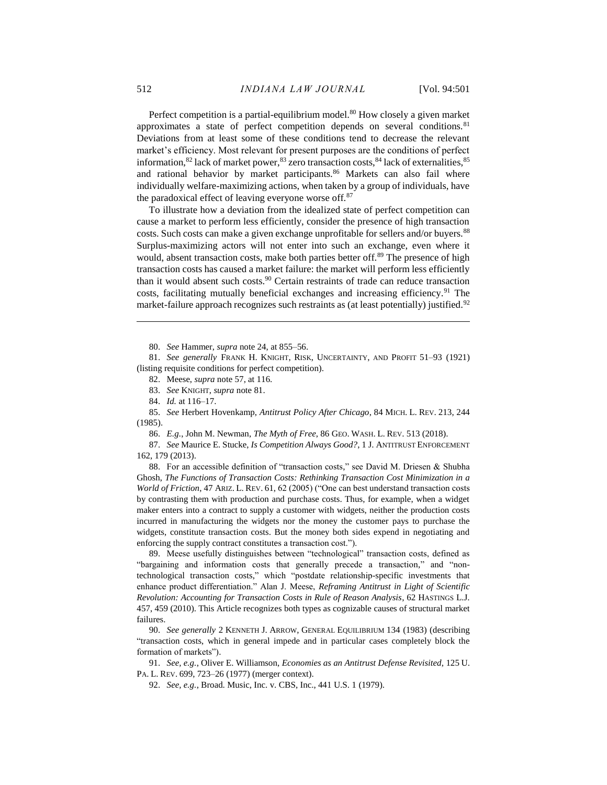<span id="page-12-0"></span>Perfect competition is a partial-equilibrium model.<sup>80</sup> How closely a given market approximates a state of perfect competition depends on several conditions.<sup>81</sup> Deviations from at least some of these conditions tend to decrease the relevant market's efficiency. Most relevant for present purposes are the conditions of perfect information,  $82$  lack of market power,  $83$  zero transaction costs,  $84$  lack of externalities,  $85$ and rational behavior by market participants.<sup>86</sup> Markets can also fail where individually welfare-maximizing actions, when taken by a group of individuals, have the paradoxical effect of leaving everyone worse off.<sup>87</sup>

<span id="page-12-1"></span>To illustrate how a deviation from the idealized state of perfect competition can cause a market to perform less efficiently, consider the presence of high transaction costs. Such costs can make a given exchange unprofitable for sellers and/or buyers.<sup>88</sup> Surplus-maximizing actors will not enter into such an exchange, even where it would, absent transaction costs, make both parties better off.<sup>89</sup> The presence of high transaction costs has caused a market failure: the market will perform less efficiently than it would absent such costs. <sup>90</sup> Certain restraints of trade can reduce transaction costs, facilitating mutually beneficial exchanges and increasing efficiency.<sup>91</sup> The market-failure approach recognizes such restraints as (at least potentially) justified.<sup>92</sup>

80. *See* Hammer, *supra* not[e 24,](#page-4-0) at 855–56.

81. *See generally* FRANK H. KNIGHT, RISK, UNCERTAINTY, AND PROFIT 51–93 (1921) (listing requisite conditions for perfect competition).

82. Meese, *supra* not[e 57,](#page-8-0) at 116.

83. *See* KNIGHT, *supra* note [81.](#page-12-0)

84. *Id.* at 116–17.

85. *See* Herbert Hovenkamp, *Antitrust Policy After Chicago*, 84 MICH. L. REV. 213, 244 (1985).

86. *E.g.*, John M. Newman, *The Myth of Free*, 86 GEO. WASH. L. REV. 513 (2018).

87. *See* Maurice E. Stucke, *Is Competition Always Good?*, 1 J. ANTITRUST ENFORCEMENT 162, 179 (2013).

88. For an accessible definition of "transaction costs," see David M. Driesen & Shubha Ghosh, *The Functions of Transaction Costs: Rethinking Transaction Cost Minimization in a World of Friction*, 47 ARIZ. L. REV. 61, 62 (2005) ("One can best understand transaction costs by contrasting them with production and purchase costs. Thus, for example, when a widget maker enters into a contract to supply a customer with widgets, neither the production costs incurred in manufacturing the widgets nor the money the customer pays to purchase the widgets, constitute transaction costs. But the money both sides expend in negotiating and enforcing the supply contract constitutes a transaction cost.").

89. Meese usefully distinguishes between "technological" transaction costs, defined as "bargaining and information costs that generally precede a transaction," and "nontechnological transaction costs," which "postdate relationship-specific investments that enhance product differentiation." Alan J. Meese, *Reframing Antitrust in Light of Scientific Revolution: Accounting for Transaction Costs in Rule of Reason Analysis*, 62 HASTINGS L.J. 457, 459 (2010). This Article recognizes both types as cognizable causes of structural market failures.

90. *See generally* 2 KENNETH J. ARROW, GENERAL EQUILIBRIUM 134 (1983) (describing "transaction costs, which in general impede and in particular cases completely block the formation of markets").

91. *See, e.g.*, Oliver E. Williamson, *Economies as an Antitrust Defense Revisited*, 125 U. PA. L. REV. 699, 723–26 (1977) (merger context).

92. *See, e.g.*, Broad. Music, Inc. v. CBS, Inc., 441 U.S. 1 (1979).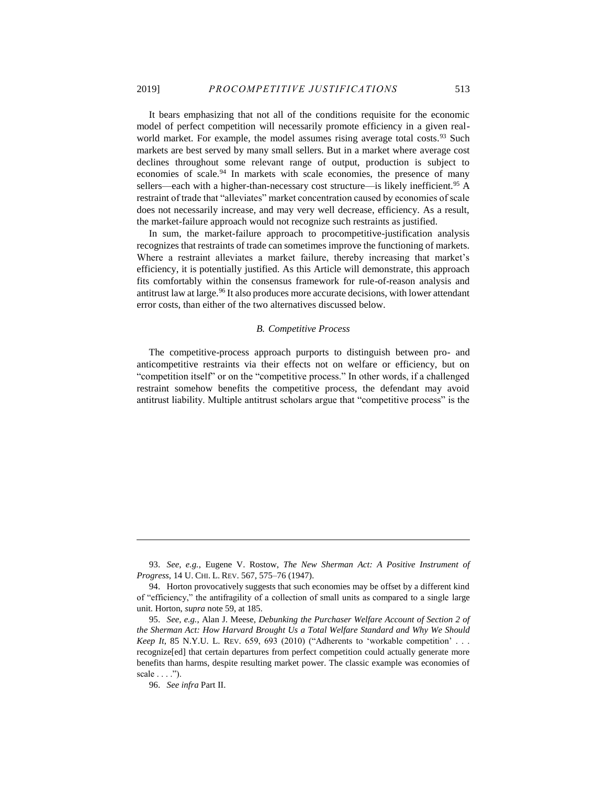It bears emphasizing that not all of the conditions requisite for the economic model of perfect competition will necessarily promote efficiency in a given realworld market. For example, the model assumes rising average total costs.<sup>93</sup> Such markets are best served by many small sellers. But in a market where average cost declines throughout some relevant range of output, production is subject to economies of scale.<sup>94</sup> In markets with scale economies, the presence of many sellers—each with a higher-than-necessary cost structure—is likely inefficient.<sup>95</sup> A restraint of trade that "alleviates" market concentration caused by economies of scale does not necessarily increase, and may very well decrease, efficiency. As a result, the market-failure approach would not recognize such restraints as justified.

In sum, the market-failure approach to procompetitive-justification analysis recognizes that restraints of trade can sometimes improve the functioning of markets. Where a restraint alleviates a market failure, thereby increasing that market's efficiency, it is potentially justified. As this Article will demonstrate, this approach fits comfortably within the consensus framework for rule-of-reason analysis and antitrust law at large.<sup>96</sup> It also produces more accurate decisions, with lower attendant error costs, than either of the two alternatives discussed below.

#### *B. Competitive Process*

The competitive-process approach purports to distinguish between pro- and anticompetitive restraints via their effects not on welfare or efficiency, but on "competition itself" or on the "competitive process." In other words, if a challenged restraint somehow benefits the competitive process, the defendant may avoid antitrust liability. Multiple antitrust scholars argue that "competitive process" is the

<sup>93.</sup> *See, e.g.*, Eugene V. Rostow, *The New Sherman Act: A Positive Instrument of Progress*, 14 U. CHI. L. REV. 567, 575–76 (1947).

<sup>94.</sup> Horton provocatively suggests that such economies may be offset by a different kind of "efficiency," the antifragility of a collection of small units as compared to a single large unit. Horton, *supra* note [59,](#page-9-0) at 185.

<sup>95.</sup> *See, e.g.*, Alan J. Meese, *Debunking the Purchaser Welfare Account of Section 2 of the Sherman Act: How Harvard Brought Us a Total Welfare Standard and Why We Should Keep It*, 85 N.Y.U. L. REV. 659, 693 (2010) ("Adherents to 'workable competition' . . . recognize[ed] that certain departures from perfect competition could actually generate more benefits than harms, despite resulting market power. The classic example was economies of scale  $\dots$ .").

<sup>96.</sup> *See infra* Part II.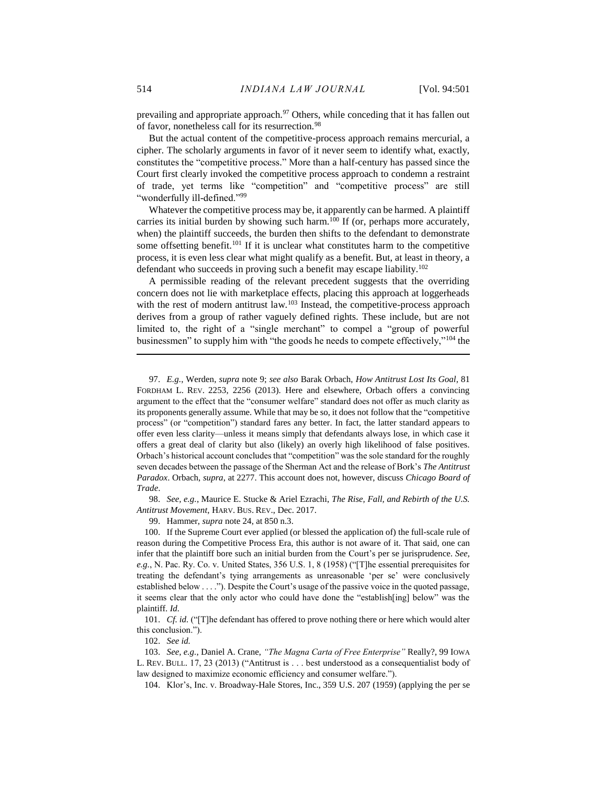<span id="page-14-1"></span><span id="page-14-0"></span>prevailing and appropriate approach.<sup>97</sup> Others, while conceding that it has fallen out of favor, nonetheless call for its resurrection.<sup>98</sup>

But the actual content of the competitive-process approach remains mercurial, a cipher. The scholarly arguments in favor of it never seem to identify what, exactly, constitutes the "competitive process." More than a half-century has passed since the Court first clearly invoked the competitive process approach to condemn a restraint of trade, yet terms like "competition" and "competitive process" are still "wonderfully ill-defined."<sup>99</sup>

Whatever the competitive process may be, it apparently can be harmed. A plaintiff carries its initial burden by showing such harm.<sup>100</sup> If (or, perhaps more accurately, when) the plaintiff succeeds, the burden then shifts to the defendant to demonstrate some offsetting benefit.<sup>101</sup> If it is unclear what constitutes harm to the competitive process, it is even less clear what might qualify as a benefit. But, at least in theory, a defendant who succeeds in proving such a benefit may escape liability.<sup>102</sup>

A permissible reading of the relevant precedent suggests that the overriding concern does not lie with marketplace effects, placing this approach at loggerheads with the rest of modern antitrust law.<sup>103</sup> Instead, the competitive-process approach derives from a group of rather vaguely defined rights. These include, but are not limited to, the right of a "single merchant" to compel a "group of powerful businessmen" to supply him with "the goods he needs to compete effectively,"<sup>104</sup> the

98. *See, e.g.*, Maurice E. Stucke & Ariel Ezrachi, *The Rise, Fall, and Rebirth of the U.S. Antitrust Movement*, HARV. BUS. REV., Dec. 2017.

99. Hammer, *supra* not[e 24,](#page-4-0) at 850 n.3.

100. If the Supreme Court ever applied (or blessed the application of) the full-scale rule of reason during the Competitive Process Era, this author is not aware of it. That said, one can infer that the plaintiff bore such an initial burden from the Court's per se jurisprudence. *See, e.g.*, N. Pac. Ry. Co. v. United States, 356 U.S. 1, 8 (1958) ("[T]he essential prerequisites for treating the defendant's tying arrangements as unreasonable 'per se' were conclusively established below . . . ."). Despite the Court's usage of the passive voice in the quoted passage, it seems clear that the only actor who could have done the "establish[ing] below" was the plaintiff. *Id.*

101. *Cf. id.* ("[T]he defendant has offered to prove nothing there or here which would alter this conclusion.").

102. *See id.*

103. *See, e.g.*, Daniel A. Crane, *"The Magna Carta of Free Enterprise"* Really?, 99 IOWA L. REV. BULL. 17, 23 (2013) ("Antitrust is . . . best understood as a consequentialist body of law designed to maximize economic efficiency and consumer welfare.").

104. Klor's, Inc. v. Broadway-Hale Stores, Inc., 359 U.S. 207 (1959) (applying the per se

<sup>97.</sup> *E.g.*, Werden, *supra* note [9;](#page-3-1) *see also* Barak Orbach, *How Antitrust Lost Its Goal*, 81 FORDHAM L. REV. 2253, 2256 (2013). Here and elsewhere, Orbach offers a convincing argument to the effect that the "consumer welfare" standard does not offer as much clarity as its proponents generally assume. While that may be so, it does not follow that the "competitive process" (or "competition") standard fares any better. In fact, the latter standard appears to offer even less clarity—unless it means simply that defendants always lose, in which case it offers a great deal of clarity but also (likely) an overly high likelihood of false positives. Orbach's historical account concludes that "competition" was the sole standard for the roughly seven decades between the passage of the Sherman Act and the release of Bork's *The Antitrust Paradox*. Orbach, *supra*, at 2277. This account does not, however, discuss *Chicago Board of Trade*.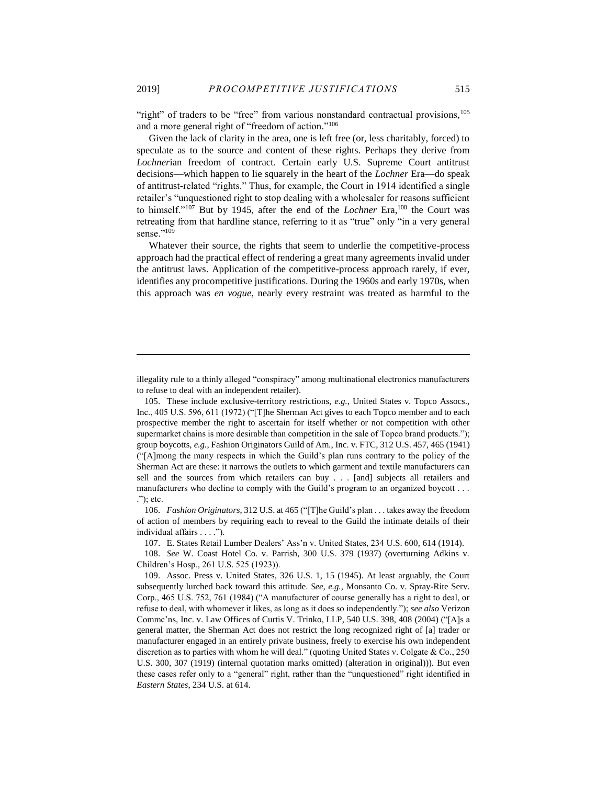"right" of traders to be "free" from various nonstandard contractual provisions,<sup>105</sup> and a more general right of "freedom of action." 106

Given the lack of clarity in the area, one is left free (or, less charitably, forced) to speculate as to the source and content of these rights. Perhaps they derive from *Lochner*ian freedom of contract. Certain early U.S. Supreme Court antitrust decisions—which happen to lie squarely in the heart of the *Lochner* Era—do speak of antitrust-related "rights." Thus, for example, the Court in 1914 identified a single retailer's "unquestioned right to stop dealing with a wholesaler for reasons sufficient to himself."<sup>107</sup> But by 1945, after the end of the *Lochner* Era,<sup>108</sup> the Court was retreating from that hardline stance, referring to it as "true" only "in a very general sense."109

Whatever their source, the rights that seem to underlie the competitive-process approach had the practical effect of rendering a great many agreements invalid under the antitrust laws. Application of the competitive-process approach rarely, if ever, identifies any procompetitive justifications. During the 1960s and early 1970s, when this approach was *en vogue*, nearly every restraint was treated as harmful to the

illegality rule to a thinly alleged "conspiracy" among multinational electronics manufacturers to refuse to deal with an independent retailer).

105. These include exclusive-territory restrictions, *e.g.*, United States v. Topco Assocs., Inc., 405 U.S. 596, 611 (1972) ("[T]he Sherman Act gives to each Topco member and to each prospective member the right to ascertain for itself whether or not competition with other supermarket chains is more desirable than competition in the sale of Topco brand products."); group boycotts, *e.g.*, Fashion Originators Guild of Am., Inc. v. FTC, 312 U.S. 457, 465 (1941) ("[A]mong the many respects in which the Guild's plan runs contrary to the policy of the Sherman Act are these: it narrows the outlets to which garment and textile manufacturers can sell and the sources from which retailers can buy . . . [and] subjects all retailers and manufacturers who decline to comply with the Guild's program to an organized boycott . . . ."); etc.

106. *Fashion Originators*, 312 U.S. at 465 ("[T]he Guild's plan . . . takes away the freedom of action of members by requiring each to reveal to the Guild the intimate details of their individual affairs . . . .").

107. E. States Retail Lumber Dealers' Ass'n v. United States, 234 U.S. 600, 614 (1914).

108. *See* W. Coast Hotel Co. v. Parrish, 300 U.S. 379 (1937) (overturning Adkins v. Children's Hosp., 261 U.S. 525 (1923)).

<sup>109.</sup> Assoc. Press v. United States, 326 U.S. 1, 15 (1945). At least arguably, the Court subsequently lurched back toward this attitude. *See, e.g.*, Monsanto Co. v. Spray-Rite Serv. Corp., 465 U.S. 752, 761 (1984) ("A manufacturer of course generally has a right to deal, or refuse to deal, with whomever it likes, as long as it does so independently."); *see also* Verizon Commc'ns, Inc. v. Law Offices of Curtis V. Trinko, LLP, 540 U.S. 398, 408 (2004) ("[A]s a general matter, the Sherman Act does not restrict the long recognized right of [a] trader or manufacturer engaged in an entirely private business, freely to exercise his own independent discretion as to parties with whom he will deal." (quoting United States v. Colgate & Co., 250 U.S. 300, 307 (1919) (internal quotation marks omitted) (alteration in original))). But even these cases refer only to a "general" right, rather than the "unquestioned" right identified in *Eastern States*, 234 U.S. at 614.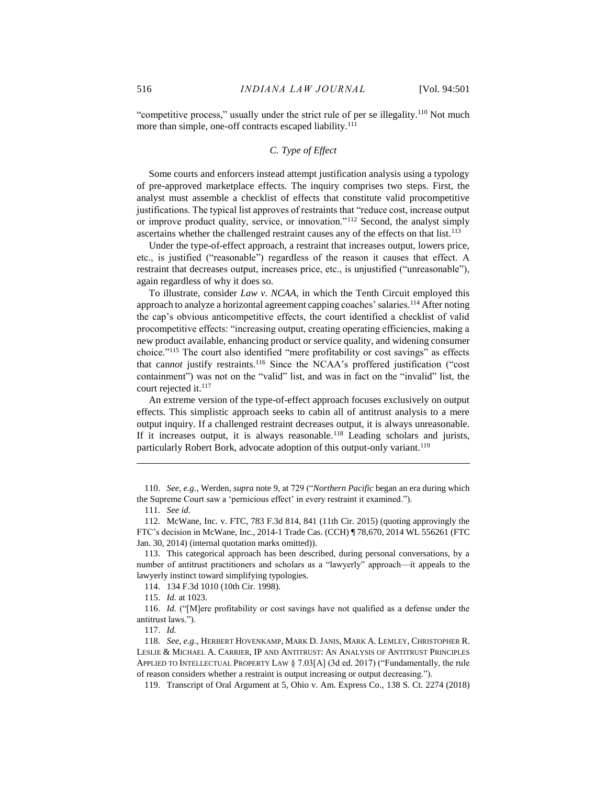"competitive process," usually under the strict rule of per se illegality.<sup>110</sup> Not much more than simple, one-off contracts escaped liability.<sup>111</sup>

# *C. Type of Effect*

Some courts and enforcers instead attempt justification analysis using a typology of pre-approved marketplace effects. The inquiry comprises two steps. First, the analyst must assemble a checklist of effects that constitute valid procompetitive justifications. The typical list approves of restraints that "reduce cost, increase output or improve product quality, service, or innovation."<sup>112</sup> Second, the analyst simply ascertains whether the challenged restraint causes any of the effects on that list.<sup>113</sup>

Under the type-of-effect approach, a restraint that increases output, lowers price, etc., is justified ("reasonable") regardless of the reason it causes that effect. A restraint that decreases output, increases price, etc., is unjustified ("unreasonable"), again regardless of why it does so.

To illustrate, consider *Law v. NCAA*, in which the Tenth Circuit employed this approach to analyze a horizontal agreement capping coaches' salaries.<sup>114</sup> After noting the cap's obvious anticompetitive effects, the court identified a checklist of valid procompetitive effects: "increasing output, creating operating efficiencies, making a new product available, enhancing product or service quality, and widening consumer choice."<sup>115</sup> The court also identified "mere profitability or cost savings" as effects that cannot justify restraints.<sup>116</sup> Since the NCAA's proffered justification ("cost containment") was not on the "valid" list, and was in fact on the "invalid" list, the court rejected it.<sup>117</sup>

An extreme version of the type-of-effect approach focuses exclusively on output effects. This simplistic approach seeks to cabin all of antitrust analysis to a mere output inquiry. If a challenged restraint decreases output, it is always unreasonable. If it increases output, it is always reasonable.<sup>118</sup> Leading scholars and jurists, particularly Robert Bork, advocate adoption of this output-only variant.<sup>119</sup>

 $\overline{a}$ 

114. 134 F.3d 1010 (10th Cir. 1998).

115. *Id.* at 1023.

116. *Id.* ("[M]ere profitability or cost savings have not qualified as a defense under the antitrust laws.").

117. *Id.*

<sup>110.</sup> *See, e.g.*, Werden, *supra* note [9,](#page-3-1) at 729 ("*Northern Pacific* began an era during which the Supreme Court saw a 'pernicious effect' in every restraint it examined.").

<sup>111.</sup> *See id.*

<sup>112.</sup> McWane, Inc. v. FTC, 783 F.3d 814, 841 (11th Cir. 2015) (quoting approvingly the FTC's decision in McWane, Inc., 2014-1 Trade Cas. (CCH) ¶ 78,670, 2014 WL 556261 (FTC Jan. 30, 2014) (internal quotation marks omitted)).

<sup>113.</sup> This categorical approach has been described, during personal conversations, by a number of antitrust practitioners and scholars as a "lawyerly" approach—it appeals to the lawyerly instinct toward simplifying typologies.

<sup>118.</sup> *See, e.g.*, HERBERT HOVENKAMP, MARK D. JANIS, MARK A. LEMLEY, CHRISTOPHER R. LESLIE & MICHAEL A. CARRIER, IP AND ANTITRUST: AN ANALYSIS OF ANTITRUST PRINCIPLES APPLIED TO INTELLECTUAL PROPERTY LAW § 7.03[A] (3d ed. 2017) ("Fundamentally, the rule of reason considers whether a restraint is output increasing or output decreasing.").

<sup>119.</sup> Transcript of Oral Argument at 5, Ohio v. Am. Express Co., 138 S. Ct. 2274 (2018)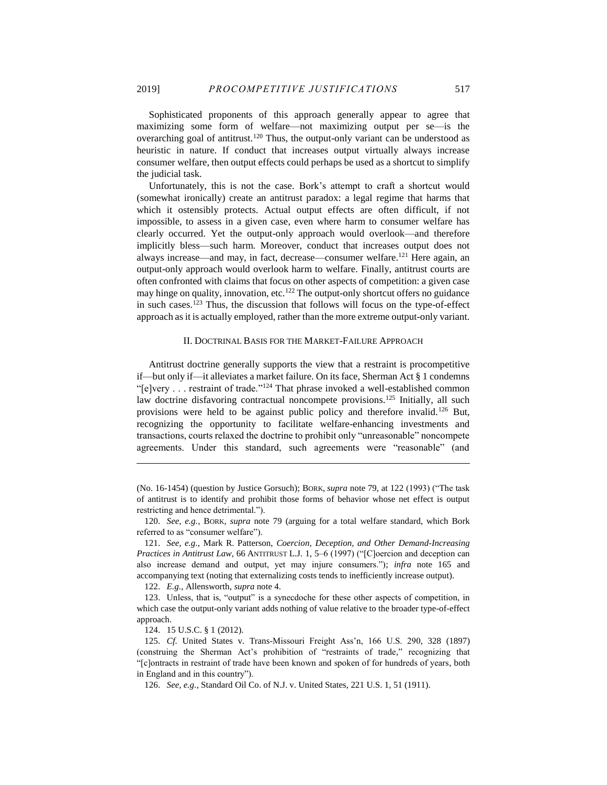Sophisticated proponents of this approach generally appear to agree that maximizing some form of welfare—not maximizing output per se—is the overarching goal of antitrust.<sup>120</sup> Thus, the output-only variant can be understood as heuristic in nature. If conduct that increases output virtually always increase consumer welfare, then output effects could perhaps be used as a shortcut to simplify the judicial task.

Unfortunately, this is not the case. Bork's attempt to craft a shortcut would (somewhat ironically) create an antitrust paradox: a legal regime that harms that which it ostensibly protects. Actual output effects are often difficult, if not impossible, to assess in a given case, even where harm to consumer welfare has clearly occurred. Yet the output-only approach would overlook—and therefore implicitly bless—such harm. Moreover, conduct that increases output does not always increase—and may, in fact, decrease—consumer welfare.<sup>121</sup> Here again, an output-only approach would overlook harm to welfare. Finally, antitrust courts are often confronted with claims that focus on other aspects of competition: a given case may hinge on quality, innovation, etc.<sup>122</sup> The output-only shortcut offers no guidance in such cases.<sup>123</sup> Thus, the discussion that follows will focus on the type-of-effect approach as it is actually employed, rather than the more extreme output-only variant.

### <span id="page-17-0"></span>II. DOCTRINAL BASIS FOR THE MARKET-FAILURE APPROACH

Antitrust doctrine generally supports the view that a restraint is procompetitive if—but only if—it alleviates a market failure. On its face, Sherman Act § 1 condemns "[e]very . . . restraint of trade."<sup>124</sup> That phrase invoked a well-established common law doctrine disfavoring contractual noncompete provisions.<sup>125</sup> Initially, all such provisions were held to be against public policy and therefore invalid.<sup>126</sup> But, recognizing the opportunity to facilitate welfare-enhancing investments and transactions, courts relaxed the doctrine to prohibit only "unreasonable" noncompete agreements. Under this standard, such agreements were "reasonable" (and

122. *E.g.*, Allensworth, *supra* not[e 4.](#page-2-2)

123. Unless, that is, "output" is a synecdoche for these other aspects of competition, in which case the output-only variant adds nothing of value relative to the broader type-of-effect approach.

124. 15 U.S.C. § 1 (2012).

<sup>(</sup>No. 16-1454) (question by Justice Gorsuch); BORK, *supra* note [79,](#page-11-0) at 122 (1993) ("The task of antitrust is to identify and prohibit those forms of behavior whose net effect is output restricting and hence detrimental.").

<sup>120.</sup> *See, e.g.*, BORK, *supra* note [79](#page-11-0) (arguing for a total welfare standard, which Bork referred to as "consumer welfare").

<sup>121.</sup> *See, e.g.*, Mark R. Patterson, *Coercion, Deception, and Other Demand-Increasing Practices in Antitrust Law*, 66 ANTITRUST L.J. 1, 5–6 (1997) ("[C]oercion and deception can also increase demand and output, yet may injure consumers."); *infra* note [165](#page-22-0) and accompanying text (noting that externalizing costs tends to inefficiently increase output).

<sup>125.</sup> *Cf.* United States v. Trans-Missouri Freight Ass'n, 166 U.S. 290, 328 (1897) (construing the Sherman Act's prohibition of "restraints of trade," recognizing that "[c]ontracts in restraint of trade have been known and spoken of for hundreds of years, both in England and in this country").

<sup>126.</sup> *See, e.g.*, Standard Oil Co. of N.J. v. United States, 221 U.S. 1, 51 (1911).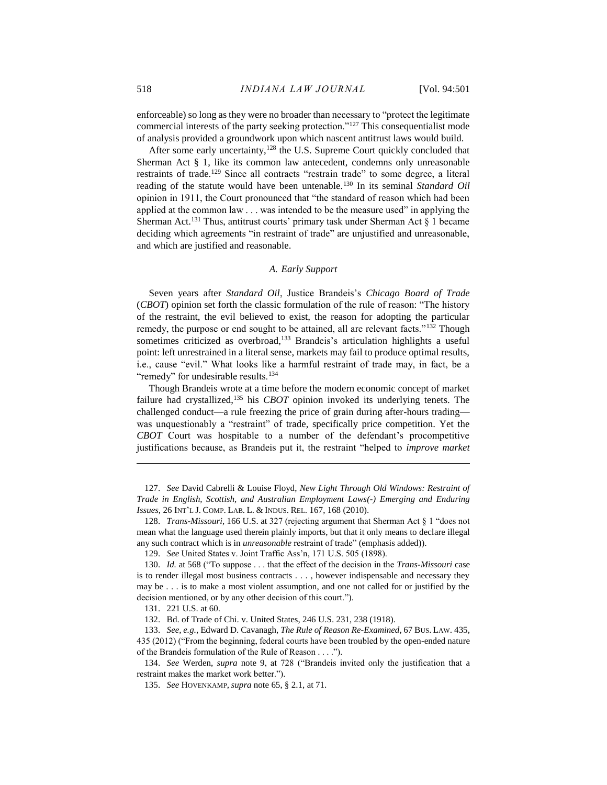enforceable) so long as they were no broader than necessary to "protect the legitimate commercial interests of the party seeking protection."<sup>127</sup> This consequentialist mode of analysis provided a groundwork upon which nascent antitrust laws would build.

After some early uncertainty,<sup>128</sup> the U.S. Supreme Court quickly concluded that Sherman Act § 1, like its common law antecedent, condemns only unreasonable restraints of trade.<sup>129</sup> Since all contracts "restrain trade" to some degree, a literal reading of the statute would have been untenable.<sup>130</sup> In its seminal *Standard Oil* opinion in 1911, the Court pronounced that "the standard of reason which had been applied at the common law . . . was intended to be the measure used" in applying the Sherman Act.<sup>131</sup> Thus, antitrust courts' primary task under Sherman Act  $\S$  1 became deciding which agreements "in restraint of trade" are unjustified and unreasonable, and which are justified and reasonable.

# *A. Early Support*

Seven years after *Standard Oil*, Justice Brandeis's *Chicago Board of Trade* (*CBOT*) opinion set forth the classic formulation of the rule of reason: "The history of the restraint, the evil believed to exist, the reason for adopting the particular remedy, the purpose or end sought to be attained, all are relevant facts."<sup>132</sup> Though sometimes criticized as overbroad,<sup>133</sup> Brandeis's articulation highlights a useful point: left unrestrained in a literal sense, markets may fail to produce optimal results, i.e., cause "evil." What looks like a harmful restraint of trade may, in fact, be a "remedy" for undesirable results.<sup>134</sup>

Though Brandeis wrote at a time before the modern economic concept of market failure had crystallized,<sup>135</sup> his *CBOT* opinion invoked its underlying tenets. The challenged conduct—a rule freezing the price of grain during after-hours trading was unquestionably a "restraint" of trade, specifically price competition. Yet the *CBOT* Court was hospitable to a number of the defendant's procompetitive justifications because, as Brandeis put it, the restraint "helped to *improve market* 

127. *See* David Cabrelli & Louise Floyd, *New Light Through Old Windows: Restraint of Trade in English, Scottish, and Australian Employment Laws(-) Emerging and Enduring Issues*, 26 INT'L J. COMP. LAB. L. & INDUS. REL. 167, 168 (2010).

 $\overline{a}$ 

132. Bd. of Trade of Chi. v. United States, 246 U.S. 231, 238 (1918).

<sup>128.</sup> *Trans-Missouri*, 166 U.S. at 327 (rejecting argument that Sherman Act § 1 "does not mean what the language used therein plainly imports, but that it only means to declare illegal any such contract which is in *unreasonable* restraint of trade" (emphasis added)).

<sup>129.</sup> *See* United States v. Joint Traffic Ass'n, 171 U.S. 505 (1898).

<sup>130.</sup> *Id.* at 568 ("To suppose . . . that the effect of the decision in the *Trans-Missouri* case is to render illegal most business contracts . . . , however indispensable and necessary they may be . . . is to make a most violent assumption, and one not called for or justified by the decision mentioned, or by any other decision of this court.").

<sup>131.</sup> 221 U.S. at 60.

<sup>133.</sup> *See, e.g.*, Edward D. Cavanagh, *The Rule of Reason Re-Examined*, 67 BUS. LAW. 435, 435 (2012) ("From the beginning, federal courts have been troubled by the open-ended nature of the Brandeis formulation of the Rule of Reason . . . .").

<sup>134.</sup> *See* Werden, *supra* note [9,](#page-3-1) at 728 ("Brandeis invited only the justification that a restraint makes the market work better.").

<sup>135.</sup> *See* HOVENKAMP, *supra* not[e 65,](#page-10-0) § 2.1, at 71.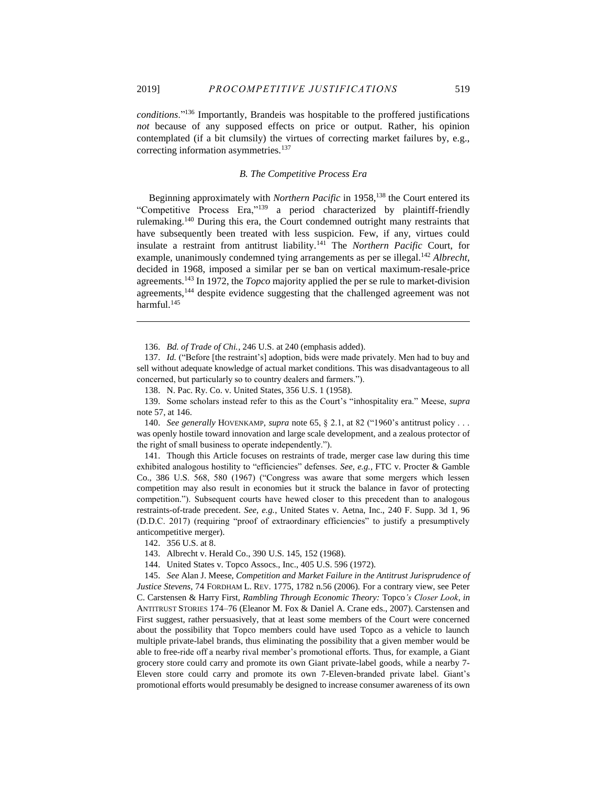<span id="page-19-0"></span> $\overline{a}$ 

*conditions*."<sup>136</sup> Importantly, Brandeis was hospitable to the proffered justifications *not* because of any supposed effects on price or output. Rather, his opinion contemplated (if a bit clumsily) the virtues of correcting market failures by, e.g., correcting information asymmetries.<sup>137</sup>

# *B. The Competitive Process Era*

Beginning approximately with *Northern Pacific* in 1958,<sup>138</sup> the Court entered its "Competitive Process Era,"<sup>139</sup> a period characterized by plaintiff-friendly rulemaking.<sup>140</sup> During this era, the Court condemned outright many restraints that have subsequently been treated with less suspicion. Few, if any, virtues could insulate a restraint from antitrust liability.<sup>141</sup> The *Northern Pacific* Court, for example, unanimously condemned tying arrangements as per se illegal.<sup>142</sup> *Albrecht*, decided in 1968, imposed a similar per se ban on vertical maximum-resale-price agreements.<sup>143</sup> In 1972, the *Topco* majority applied the per se rule to market-division agreements,<sup>144</sup> despite evidence suggesting that the challenged agreement was not harmful.<sup>145</sup>

141. Though this Article focuses on restraints of trade, merger case law during this time exhibited analogous hostility to "efficiencies" defenses. *See, e.g.*, FTC v. Procter & Gamble Co., 386 U.S. 568, 580 (1967) ("Congress was aware that some mergers which lessen competition may also result in economies but it struck the balance in favor of protecting competition."). Subsequent courts have hewed closer to this precedent than to analogous restraints-of-trade precedent. *See, e.g.*, United States v. Aetna, Inc., 240 F. Supp. 3d 1, 96 (D.D.C. 2017) (requiring "proof of extraordinary efficiencies" to justify a presumptively anticompetitive merger).

<sup>136.</sup> *Bd. of Trade of Chi.*, 246 U.S. at 240 (emphasis added).

<sup>137.</sup> *Id.* ("Before [the restraint's] adoption, bids were made privately. Men had to buy and sell without adequate knowledge of actual market conditions. This was disadvantageous to all concerned, but particularly so to country dealers and farmers.").

<sup>138.</sup> N. Pac. Ry. Co. v. United States, 356 U.S. 1 (1958).

<sup>139.</sup> Some scholars instead refer to this as the Court's "inhospitality era." Meese, *supra* note [57,](#page-8-0) at 146.

<sup>140.</sup> *See generally* HOVENKAMP, *supra* not[e 65,](#page-10-0) § 2.1, at 82 ("1960's antitrust policy . . . was openly hostile toward innovation and large scale development, and a zealous protector of the right of small business to operate independently.").

<sup>142.</sup> 356 U.S. at 8.

<sup>143.</sup> Albrecht v. Herald Co., 390 U.S. 145, 152 (1968).

<sup>144.</sup> United States v. Topco Assocs., Inc., 405 U.S. 596 (1972).

<sup>145.</sup> *See* Alan J. Meese, *Competition and Market Failure in the Antitrust Jurisprudence of Justice Stevens*, 74 FORDHAM L. REV. 1775, 1782 n.56 (2006). For a contrary view, see Peter C. Carstensen & Harry First, *Rambling Through Economic Theory:* Topco*'s Closer Look*, *in* ANTITRUST STORIES 174–76 (Eleanor M. Fox & Daniel A. Crane eds., 2007). Carstensen and First suggest, rather persuasively, that at least some members of the Court were concerned about the possibility that Topco members could have used Topco as a vehicle to launch multiple private-label brands, thus eliminating the possibility that a given member would be able to free-ride off a nearby rival member's promotional efforts. Thus, for example, a Giant grocery store could carry and promote its own Giant private-label goods, while a nearby 7- Eleven store could carry and promote its own 7-Eleven-branded private label. Giant's promotional efforts would presumably be designed to increase consumer awareness of its own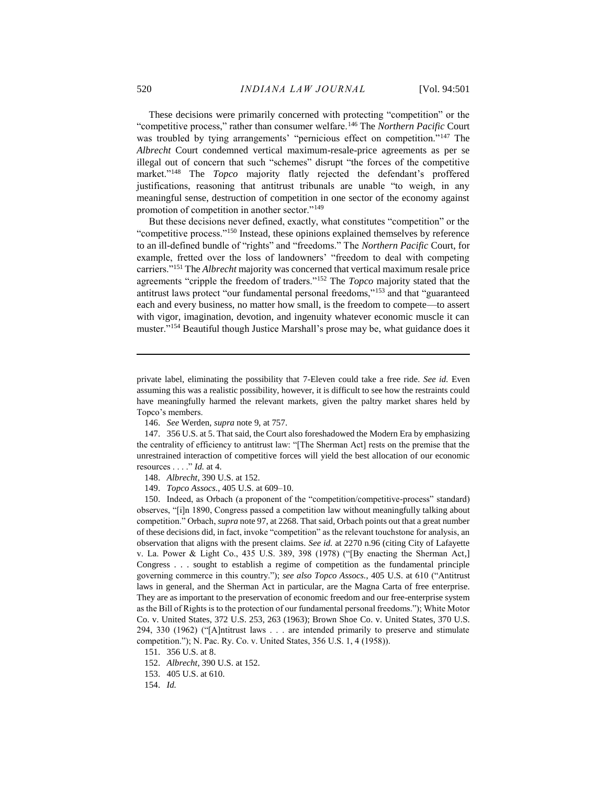These decisions were primarily concerned with protecting "competition" or the "competitive process," rather than consumer welfare.<sup>146</sup> The *Northern Pacific* Court was troubled by tying arrangements' "pernicious effect on competition."<sup>147</sup> The *Albrecht* Court condemned vertical maximum-resale-price agreements as per se illegal out of concern that such "schemes" disrupt "the forces of the competitive market."<sup>148</sup> The *Topco* majority flatly rejected the defendant's proffered justifications, reasoning that antitrust tribunals are unable "to weigh, in any meaningful sense, destruction of competition in one sector of the economy against promotion of competition in another sector."<sup>149</sup>

But these decisions never defined, exactly, what constitutes "competition" or the "competitive process."<sup>150</sup> Instead, these opinions explained themselves by reference to an ill-defined bundle of "rights" and "freedoms." The *Northern Pacific* Court, for example, fretted over the loss of landowners' "freedom to deal with competing carriers."<sup>151</sup> The *Albrecht* majority was concerned that vertical maximum resale price agreements "cripple the freedom of traders."<sup>152</sup> The *Topco* majority stated that the antitrust laws protect "our fundamental personal freedoms,"<sup>153</sup> and that "guaranteed each and every business, no matter how small, is the freedom to compete—to assert with vigor, imagination, devotion, and ingenuity whatever economic muscle it can muster."<sup>154</sup> Beautiful though Justice Marshall's prose may be, what guidance does it

153. 405 U.S. at 610.

154. *Id.*

private label, eliminating the possibility that 7-Eleven could take a free ride. *See id.* Even assuming this was a realistic possibility, however, it is difficult to see how the restraints could have meaningfully harmed the relevant markets, given the paltry market shares held by Topco's members.

<sup>146.</sup> *See* Werden, *supra* not[e 9,](#page-3-1) at 757.

<sup>147.</sup> 356 U.S. at 5. That said, the Court also foreshadowed the Modern Era by emphasizing the centrality of efficiency to antitrust law: "[The Sherman Act] rests on the premise that the unrestrained interaction of competitive forces will yield the best allocation of our economic resources . . . ." *Id.* at 4.

<sup>148.</sup> *Albrecht*, 390 U.S. at 152.

<sup>149.</sup> *Topco Assocs.*, 405 U.S. at 609–10.

<sup>150.</sup> Indeed, as Orbach (a proponent of the "competition/competitive-process" standard) observes, "[i]n 1890, Congress passed a competition law without meaningfully talking about competition." Orbach, *supra* not[e 97,](#page-14-0) at 2268. That said, Orbach points out that a great number of these decisions did, in fact, invoke "competition" as the relevant touchstone for analysis, an observation that aligns with the present claims. *See id.* at 2270 n.96 (citing City of Lafayette v. La. Power & Light Co., 435 U.S. 389, 398 (1978) ("[By enacting the Sherman Act,] Congress . . . sought to establish a regime of competition as the fundamental principle governing commerce in this country."); *see also Topco Assocs.*, 405 U.S. at 610 ("Antitrust laws in general, and the Sherman Act in particular, are the Magna Carta of free enterprise. They are as important to the preservation of economic freedom and our free-enterprise system as the Bill of Rights is to the protection of our fundamental personal freedoms."); White Motor Co. v. United States, 372 U.S. 253, 263 (1963); Brown Shoe Co. v. United States, 370 U.S. 294, 330 (1962) ("[A]ntitrust laws . . . are intended primarily to preserve and stimulate competition."); N. Pac. Ry. Co. v. United States, 356 U.S. 1, 4 (1958)).

<sup>151.</sup> 356 U.S. at 8.

<sup>152.</sup> *Albrecht*, 390 U.S. at 152.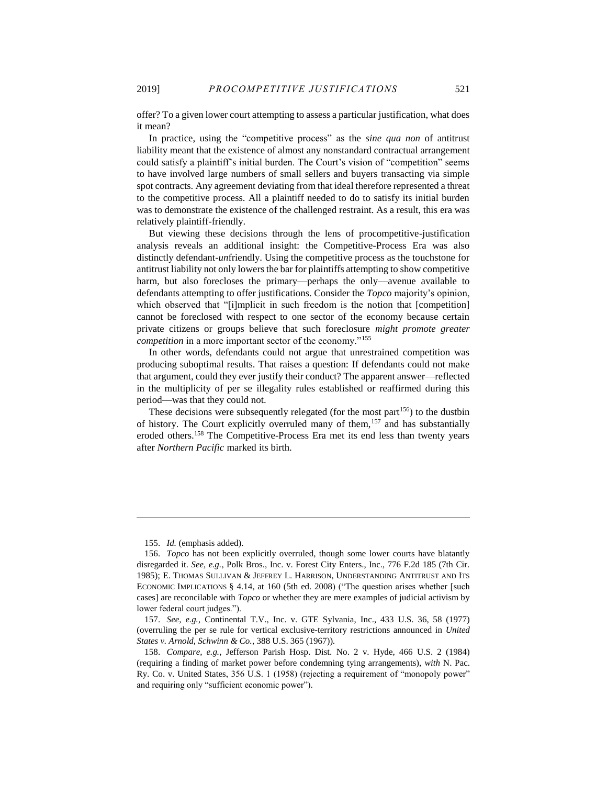offer? To a given lower court attempting to assess a particular justification, what does it mean?

In practice, using the "competitive process" as the *sine qua non* of antitrust liability meant that the existence of almost any nonstandard contractual arrangement could satisfy a plaintiff's initial burden. The Court's vision of "competition" seems to have involved large numbers of small sellers and buyers transacting via simple spot contracts. Any agreement deviating from that ideal therefore represented a threat to the competitive process. All a plaintiff needed to do to satisfy its initial burden was to demonstrate the existence of the challenged restraint. As a result, this era was relatively plaintiff-friendly.

But viewing these decisions through the lens of procompetitive-justification analysis reveals an additional insight: the Competitive-Process Era was also distinctly defendant-*un*friendly. Using the competitive process as the touchstone for antitrust liability not only lowers the bar for plaintiffs attempting to show competitive harm, but also forecloses the primary—perhaps the only—avenue available to defendants attempting to offer justifications. Consider the *Topco* majority's opinion, which observed that "[i]mplicit in such freedom is the notion that [competition] cannot be foreclosed with respect to one sector of the economy because certain private citizens or groups believe that such foreclosure *might promote greater competition* in a more important sector of the economy."<sup>155</sup>

In other words, defendants could not argue that unrestrained competition was producing suboptimal results. That raises a question: If defendants could not make that argument, could they ever justify their conduct? The apparent answer—reflected in the multiplicity of per se illegality rules established or reaffirmed during this period—was that they could not.

These decisions were subsequently relegated (for the most part<sup>156</sup>) to the dustbin of history. The Court explicitly overruled many of them,<sup>157</sup> and has substantially eroded others.<sup>158</sup> The Competitive-Process Era met its end less than twenty years after *Northern Pacific* marked its birth.

<sup>155.</sup> *Id.* (emphasis added).

<sup>156.</sup> *Topco* has not been explicitly overruled, though some lower courts have blatantly disregarded it. *See, e.g.*, Polk Bros., Inc. v. Forest City Enters., Inc., 776 F.2d 185 (7th Cir. 1985); E. THOMAS SULLIVAN & JEFFREY L. HARRISON, UNDERSTANDING ANTITRUST AND ITS ECONOMIC IMPLICATIONS § 4.14, at 160 (5th ed. 2008) ("The question arises whether [such cases] are reconcilable with *Topco* or whether they are mere examples of judicial activism by lower federal court judges.").

<sup>157.</sup> *See, e.g.*, Continental T.V., Inc. v. GTE Sylvania, Inc., 433 U.S. 36, 58 (1977) (overruling the per se rule for vertical exclusive-territory restrictions announced in *United States v. Arnold, Schwinn & Co.*, 388 U.S. 365 (1967)).

<sup>158.</sup> *Compare, e.g.*, Jefferson Parish Hosp. Dist. No. 2 v. Hyde, 466 U.S. 2 (1984) (requiring a finding of market power before condemning tying arrangements), *with* N. Pac. Ry. Co. v. United States, 356 U.S. 1 (1958) (rejecting a requirement of "monopoly power" and requiring only "sufficient economic power").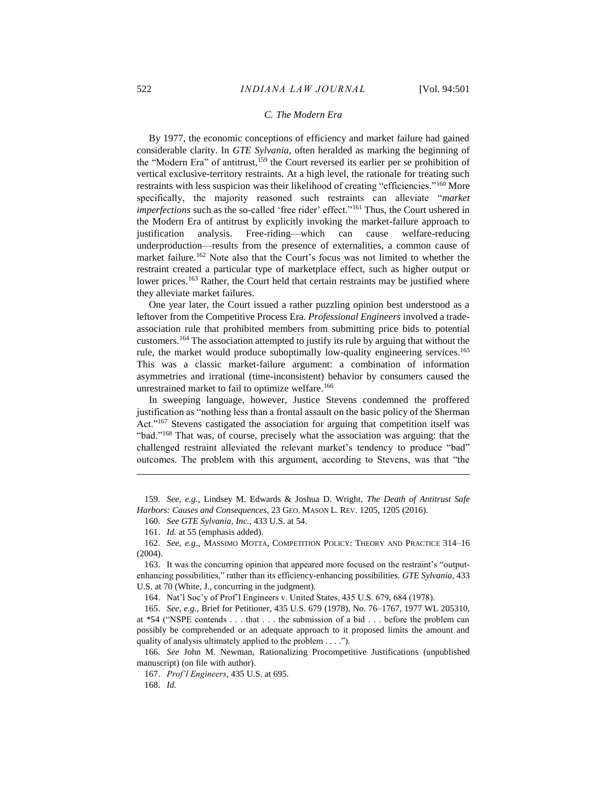## <span id="page-22-0"></span>*C. The Modern Era*

By 1977, the economic conceptions of efficiency and market failure had gained considerable clarity. In *GTE Sylvania*, often heralded as marking the beginning of the "Modern Era" of antitrust,<sup>159</sup> the Court reversed its earlier per se prohibition of vertical exclusive-territory restraints. At a high level, the rationale for treating such restraints with less suspicion was their likelihood of creating "efficiencies."<sup>160</sup> More specifically, the majority reasoned such restraints can alleviate "*market imperfections* such as the so-called 'free rider' effect."<sup>161</sup> Thus, the Court ushered in the Modern Era of antitrust by explicitly invoking the market-failure approach to justification analysis. Free-riding—which can cause welfare-reducing underproduction—results from the presence of externalities, a common cause of market failure.<sup>162</sup> Note also that the Court's focus was not limited to whether the restraint created a particular type of marketplace effect, such as higher output or lower prices.<sup>163</sup> Rather, the Court held that certain restraints may be justified where they alleviate market failures.

One year later, the Court issued a rather puzzling opinion best understood as a leftover from the Competitive Process Era. *Professional Engineers* involved a tradeassociation rule that prohibited members from submitting price bids to potential customers.<sup>164</sup> The association attempted to justify its rule by arguing that without the rule, the market would produce suboptimally low-quality engineering services.<sup>165</sup> This was a classic market-failure argument: a combination of information asymmetries and irrational (time-inconsistent) behavior by consumers caused the unrestrained market to fail to optimize welfare.<sup>166</sup>

<span id="page-22-1"></span>In sweeping language, however, Justice Stevens condemned the proffered justification as "nothing less than a frontal assault on the basic policy of the Sherman Act."<sup>167</sup> Stevens castigated the association for arguing that competition itself was "bad."<sup>168</sup> That was, of course, precisely what the association was arguing: that the challenged restraint alleviated the relevant market's tendency to produce "bad" outcomes. The problem with this argument, according to Stevens, was that "the

159. *See, e.g.*, Lindsey M. Edwards & Joshua D. Wright, *The Death of Antitrust Safe Harbors: Causes and Consequences*, 23 GEO. MASON L. REV. 1205, 1205 (2016).

160. *See GTE Sylvania, Inc.*, 433 U.S. at 54.

161. *Id.* at 55 (emphasis added).

162. *See, e.g.*, MASSIMO MOTTA, COMPETITION POLICY: THEORY AND PRACTICE 314–16 (2004).

163. It was the concurring opinion that appeared more focused on the restraint's "outputenhancing possibilities," rather than its efficiency-enhancing possibilities. *GTE Sylvania*, 433 U.S. at 70 (White, J., concurring in the judgment).

164. Nat'l Soc'y of Prof'l Engineers v. United States, 435 U.S. 679, 684 (1978).

165. *See, e.g.*, Brief for Petitioner, 435 U.S. 679 (1978), No. 76–1767, 1977 WL 205310, at \*54 ("NSPE contends . . . that . . . the submission of a bid . . . before the problem can possibly be comprehended or an adequate approach to it proposed limits the amount and quality of analysis ultimately applied to the problem . . . .").

166. *See* John M. Newman, Rationalizing Procompetitive Justifications (unpublished manuscript) (on file with author).

167. *Prof'l Engineers*, 435 U.S. at 695.

168. *Id.*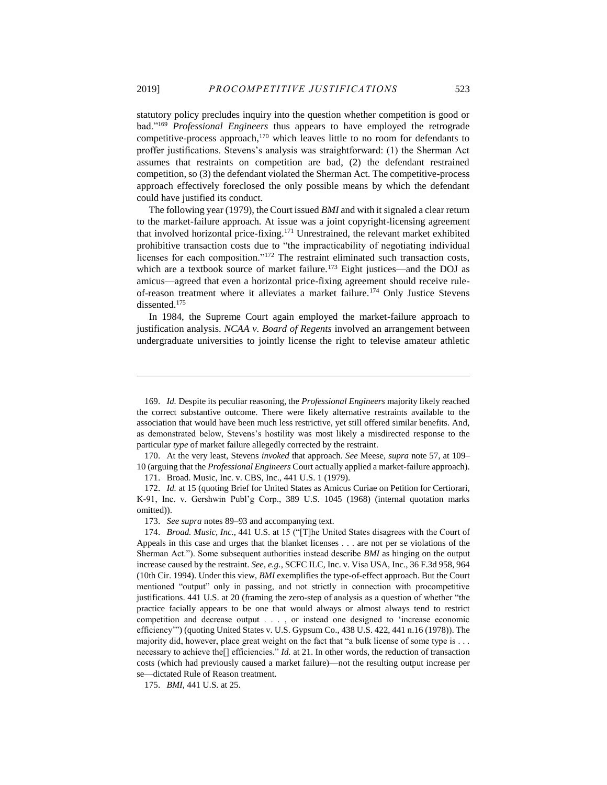statutory policy precludes inquiry into the question whether competition is good or bad."<sup>169</sup> *Professional Engineers* thus appears to have employed the retrograde competitive-process approach,<sup>170</sup> which leaves little to no room for defendants to proffer justifications. Stevens's analysis was straightforward: (1) the Sherman Act assumes that restraints on competition are bad, (2) the defendant restrained competition, so (3) the defendant violated the Sherman Act. The competitive-process approach effectively foreclosed the only possible means by which the defendant could have justified its conduct.

The following year (1979), the Court issued *BMI* and with it signaled a clear return to the market-failure approach. At issue was a joint copyright-licensing agreement that involved horizontal price-fixing.<sup>171</sup> Unrestrained, the relevant market exhibited prohibitive transaction costs due to "the impracticability of negotiating individual licenses for each composition."<sup>172</sup> The restraint eliminated such transaction costs, which are a textbook source of market failure.<sup>173</sup> Eight justices—and the DOJ as amicus—agreed that even a horizontal price-fixing agreement should receive ruleof-reason treatment where it alleviates a market failure.<sup>174</sup> Only Justice Stevens dissented.<sup>175</sup>

In 1984, the Supreme Court again employed the market-failure approach to justification analysis. *NCAA v. Board of Regents* involved an arrangement between undergraduate universities to jointly license the right to televise amateur athletic

170. At the very least, Stevens *invoked* that approach. *See* Meese, *supra* note [57,](#page-8-0) at 109– 10 (arguing that the *Professional Engineers* Court actually applied a market-failure approach).

171. Broad. Music, Inc. v. CBS, Inc., 441 U.S. 1 (1979).

172. *Id.* at 15 (quoting Brief for United States as Amicus Curiae on Petition for Certiorari, K-91, Inc. v. Gershwin Publ'g Corp., 389 U.S. 1045 (1968) (internal quotation marks omitted)).

173. *See supra* notes 89–93 and accompanying text.

175. *BMI*, 441 U.S. at 25.

<sup>169.</sup> *Id.* Despite its peculiar reasoning, the *Professional Engineers* majority likely reached the correct substantive outcome. There were likely alternative restraints available to the association that would have been much less restrictive, yet still offered similar benefits. And, as demonstrated below, Stevens's hostility was most likely a misdirected response to the particular *type* of market failure allegedly corrected by the restraint.

<sup>174.</sup> *Broad. Music, Inc.*, 441 U.S. at 15 ("[T]he United States disagrees with the Court of Appeals in this case and urges that the blanket licenses . . . are not per se violations of the Sherman Act."). Some subsequent authorities instead describe *BMI* as hinging on the output increase caused by the restraint. *See, e.g.*, SCFC ILC, Inc. v. Visa USA, Inc., 36 F.3d 958, 964 (10th Cir. 1994). Under this view, *BMI* exemplifies the type-of-effect approach. But the Court mentioned "output" only in passing, and not strictly in connection with procompetitive justifications. 441 U.S. at 20 (framing the zero-step of analysis as a question of whether "the practice facially appears to be one that would always or almost always tend to restrict competition and decrease output . . . , or instead one designed to 'increase economic efficiency'") (quoting United States v. U.S. Gypsum Co., 438 U.S. 422, 441 n.16 (1978)). The majority did, however, place great weight on the fact that "a bulk license of some type is . . . necessary to achieve the<sup>[]</sup> efficiencies." *Id.* at 21. In other words, the reduction of transaction costs (which had previously caused a market failure)—not the resulting output increase per se—dictated Rule of Reason treatment.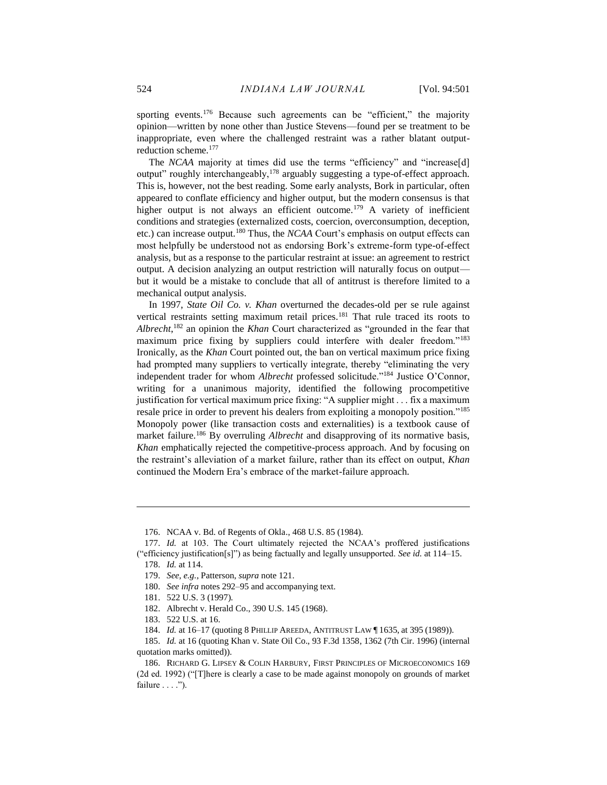sporting events.<sup>176</sup> Because such agreements can be "efficient," the majority opinion—written by none other than Justice Stevens—found per se treatment to be inappropriate, even where the challenged restraint was a rather blatant outputreduction scheme.<sup>177</sup>

The *NCAA* majority at times did use the terms "efficiency" and "increase[d] output" roughly interchangeably,<sup>178</sup> arguably suggesting a type-of-effect approach. This is, however, not the best reading. Some early analysts, Bork in particular, often appeared to conflate efficiency and higher output, but the modern consensus is that higher output is not always an efficient outcome.<sup>179</sup> A variety of inefficient conditions and strategies (externalized costs, coercion, overconsumption, deception, etc.) can increase output.<sup>180</sup> Thus, the *NCAA* Court's emphasis on output effects can most helpfully be understood not as endorsing Bork's extreme-form type-of-effect analysis, but as a response to the particular restraint at issue: an agreement to restrict output. A decision analyzing an output restriction will naturally focus on output but it would be a mistake to conclude that all of antitrust is therefore limited to a mechanical output analysis.

In 1997, *State Oil Co. v. Khan* overturned the decades-old per se rule against vertical restraints setting maximum retail prices.<sup>181</sup> That rule traced its roots to *Albrecht*, <sup>182</sup> an opinion the *Khan* Court characterized as "grounded in the fear that maximum price fixing by suppliers could interfere with dealer freedom."<sup>183</sup> Ironically, as the *Khan* Court pointed out, the ban on vertical maximum price fixing had prompted many suppliers to vertically integrate, thereby "eliminating the very independent trader for whom *Albrecht* professed solicitude."<sup>184</sup> Justice O'Connor, writing for a unanimous majority, identified the following procompetitive justification for vertical maximum price fixing: "A supplier might . . . fix a maximum resale price in order to prevent his dealers from exploiting a monopoly position."<sup>185</sup> Monopoly power (like transaction costs and externalities) is a textbook cause of market failure.<sup>186</sup> By overruling *Albrecht* and disapproving of its normative basis, *Khan* emphatically rejected the competitive-process approach. And by focusing on the restraint's alleviation of a market failure, rather than its effect on output, *Khan* continued the Modern Era's embrace of the market-failure approach.

- 182. Albrecht v. Herald Co., 390 U.S. 145 (1968).
- 183. 522 U.S. at 16.

<sup>176.</sup> NCAA v. Bd. of Regents of Okla., 468 U.S. 85 (1984).

<sup>177.</sup> *Id.* at 103. The Court ultimately rejected the NCAA's proffered justifications ("efficiency justification[s]") as being factually and legally unsupported. *See id.* at 114–15. 178. *Id.* at 114.

<sup>179.</sup> *See, e.g.*, Patterson, *supra* not[e 121.](#page-17-0)

<sup>180.</sup> *See infra* notes 292–95 and accompanying text.

<sup>181.</sup> 522 U.S. 3 (1997).

<sup>184.</sup> *Id.* at 16–17 (quoting 8 PHILLIP AREEDA, ANTITRUST LAW ¶ 1635, at 395 (1989)).

<sup>185.</sup> *Id.* at 16 (quoting Khan v. State Oil Co., 93 F.3d 1358, 1362 (7th Cir. 1996) (internal quotation marks omitted)).

<sup>186.</sup> RICHARD G. LIPSEY & COLIN HARBURY, FIRST PRINCIPLES OF MICROECONOMICS 169 (2d ed. 1992) ("[T]here is clearly a case to be made against monopoly on grounds of market failure . . . .").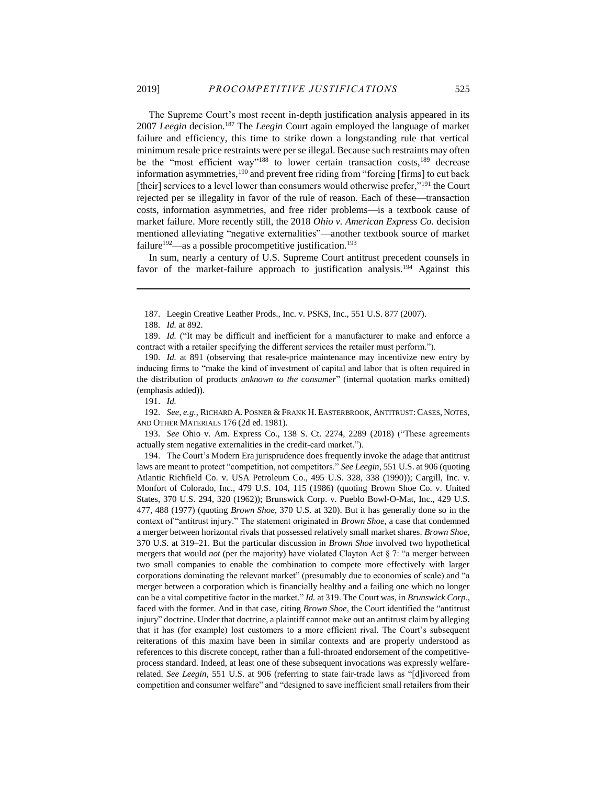The Supreme Court's most recent in-depth justification analysis appeared in its 2007 *Leegin* decision. <sup>187</sup> The *Leegin* Court again employed the language of market failure and efficiency, this time to strike down a longstanding rule that vertical minimum resale price restraints were per se illegal. Because such restraints may often be the "most efficient way"<sup>188</sup> to lower certain transaction costs,<sup>189</sup> decrease information asymmetries,<sup>190</sup> and prevent free riding from "forcing [firms] to cut back [their] services to a level lower than consumers would otherwise prefer,"<sup>191</sup> the Court rejected per se illegality in favor of the rule of reason. Each of these—transaction costs, information asymmetries, and free rider problems—is a textbook cause of market failure. More recently still, the 2018 *Ohio v. American Express Co.* decision mentioned alleviating "negative externalities"—another textbook source of market failure<sup>192</sup>—as a possible procompetitive justification.<sup>193</sup>

In sum, nearly a century of U.S. Supreme Court antitrust precedent counsels in favor of the market-failure approach to justification analysis.<sup>194</sup> Against this

 $\overline{a}$ 

190. *Id.* at 891 (observing that resale-price maintenance may incentivize new entry by inducing firms to "make the kind of investment of capital and labor that is often required in the distribution of products *unknown to the consumer*" (internal quotation marks omitted) (emphasis added)).

192. *See, e.g.*, RICHARD A. POSNER & FRANK H. EASTERBROOK, ANTITRUST: CASES, NOTES, AND OTHER MATERIALS 176 (2d ed. 1981).

193. *See* Ohio v. Am. Express Co., 138 S. Ct. 2274, 2289 (2018) ("These agreements actually stem negative externalities in the credit-card market.").

194. The Court's Modern Era jurisprudence does frequently invoke the adage that antitrust laws are meant to protect "competition, not competitors." *See Leegin*, 551 U.S. at 906 (quoting Atlantic Richfield Co. v. USA Petroleum Co., 495 U.S. 328, 338 (1990)); Cargill, Inc. v. Monfort of Colorado, Inc., 479 U.S. 104, 115 (1986) (quoting Brown Shoe Co. v. United States, 370 U.S. 294, 320 (1962)); Brunswick Corp. v. Pueblo Bowl-O-Mat, Inc., 429 U.S. 477, 488 (1977) (quoting *Brown Shoe*, 370 U.S. at 320). But it has generally done so in the context of "antitrust injury." The statement originated in *Brown Shoe*, a case that condemned a merger between horizontal rivals that possessed relatively small market shares. *Brown Shoe*, 370 U.S. at 319–21. But the particular discussion in *Brown Shoe* involved two hypothetical mergers that would *not* (per the majority) have violated Clayton Act § 7: "a merger between two small companies to enable the combination to compete more effectively with larger corporations dominating the relevant market" (presumably due to economies of scale) and "a merger between a corporation which is financially healthy and a failing one which no longer can be a vital competitive factor in the market." *Id.* at 319. The Court was, in *Brunswick Corp.*, faced with the former. And in that case, citing *Brown Shoe*, the Court identified the "antitrust injury" doctrine. Under that doctrine, a plaintiff cannot make out an antitrust claim by alleging that it has (for example) lost customers to a more efficient rival. The Court's subsequent reiterations of this maxim have been in similar contexts and are properly understood as references to this discrete concept, rather than a full-throated endorsement of the competitiveprocess standard. Indeed, at least one of these subsequent invocations was expressly welfarerelated. *See Leegin*, 551 U.S. at 906 (referring to state fair-trade laws as "[d]ivorced from competition and consumer welfare" and "designed to save inefficient small retailers from their

<span id="page-25-0"></span><sup>187.</sup> Leegin Creative Leather Prods., Inc. v. PSKS, Inc., 551 U.S. 877 (2007).

<sup>188.</sup> *Id.* at 892.

<sup>189.</sup> *Id.* ("It may be difficult and inefficient for a manufacturer to make and enforce a contract with a retailer specifying the different services the retailer must perform.").

<sup>191.</sup> *Id.*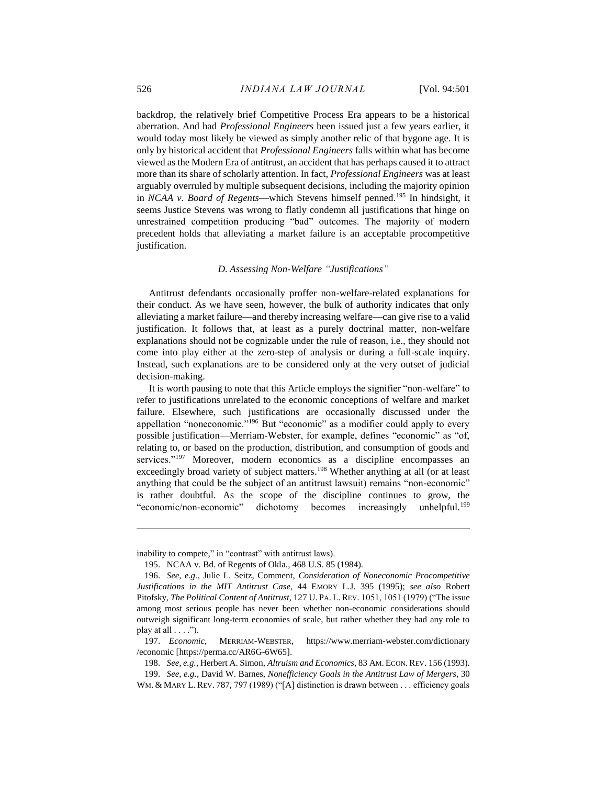backdrop, the relatively brief Competitive Process Era appears to be a historical aberration. And had *Professional Engineers* been issued just a few years earlier, it would today most likely be viewed as simply another relic of that bygone age. It is only by historical accident that *Professional Engineers* falls within what has become viewed as the Modern Era of antitrust, an accident that has perhaps caused it to attract more than its share of scholarly attention. In fact, *Professional Engineers* was at least arguably overruled by multiple subsequent decisions, including the majority opinion in *NCAA v. Board of Regents*—which Stevens himself penned.<sup>195</sup> In hindsight, it seems Justice Stevens was wrong to flatly condemn all justifications that hinge on unrestrained competition producing "bad" outcomes. The majority of modern precedent holds that alleviating a market failure is an acceptable procompetitive justification.

#### *D. Assessing Non-Welfare "Justifications"*

Antitrust defendants occasionally proffer non-welfare-related explanations for their conduct. As we have seen, however, the bulk of authority indicates that only alleviating a market failure—and thereby increasing welfare—can give rise to a valid justification. It follows that, at least as a purely doctrinal matter, non-welfare explanations should not be cognizable under the rule of reason, i.e., they should not come into play either at the zero-step of analysis or during a full-scale inquiry. Instead, such explanations are to be considered only at the very outset of judicial decision-making.

<span id="page-26-0"></span>It is worth pausing to note that this Article employs the signifier "non-welfare" to refer to justifications unrelated to the economic conceptions of welfare and market failure. Elsewhere, such justifications are occasionally discussed under the appellation "noneconomic."<sup>196</sup> But "economic" as a modifier could apply to every possible justification—Merriam-Webster, for example, defines "economic" as "of, relating to, or based on the production, distribution, and consumption of goods and services."<sup>197</sup> Moreover, modern economics as a discipline encompasses an exceedingly broad variety of subject matters.<sup>198</sup> Whether anything at all (or at least anything that could be the subject of an antitrust lawsuit) remains "non-economic" is rather doubtful. As the scope of the discipline continues to grow, the "economic/non-economic" dichotomy becomes increasingly unhelpful.<sup>199</sup>

inability to compete," in "contrast" with antitrust laws).

<sup>195.</sup> NCAA v. Bd. of Regents of Okla., 468 U.S. 85 (1984).

<sup>196.</sup> *See, e.g.*, Julie L. Seitz, Comment, *Consideration of Noneconomic Procompetitive Justifications in the MIT Antitrust Case*, 44 EMORY L.J. 395 (1995); *see also* Robert Pitofsky, *The Political Content of Antitrust*, 127 U. PA. L. REV. 1051, 1051 (1979) ("The issue among most serious people has never been whether non-economic considerations should outweigh significant long-term economies of scale, but rather whether they had any role to play at all  $\dots$ .").

<sup>197.</sup> *Economic*, MERRIAM-WEBSTER, https://www.merriam-webster.com/dictionary /economic [https://perma.cc/AR6G-6W65].

<sup>198.</sup> *See, e.g.*, Herbert A. Simon, *Altruism and Economics*, 83 AM. ECON.REV. 156 (1993).

<sup>199.</sup> *See, e.g.*, David W. Barnes, *Nonefficiency Goals in the Antitrust Law of Mergers*, 30 WM. & MARY L. REV. 787, 797 (1989) ("[A] distinction is drawn between . . . efficiency goals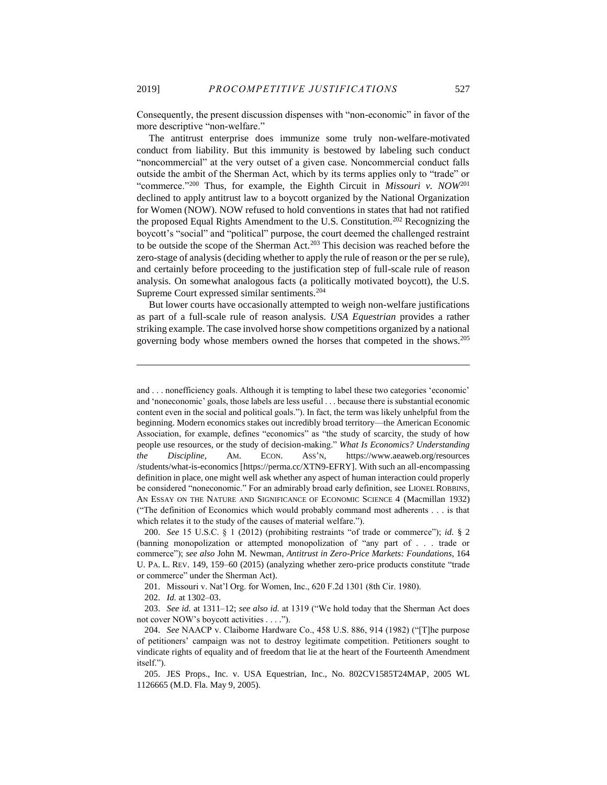Consequently, the present discussion dispenses with "non-economic" in favor of the more descriptive "non-welfare."

The antitrust enterprise does immunize some truly non-welfare-motivated conduct from liability. But this immunity is bestowed by labeling such conduct "noncommercial" at the very outset of a given case. Noncommercial conduct falls outside the ambit of the Sherman Act, which by its terms applies only to "trade" or "commerce."<sup>200</sup> Thus, for example, the Eighth Circuit in *Missouri v. NOW*<sup>201</sup> declined to apply antitrust law to a boycott organized by the National Organization for Women (NOW). NOW refused to hold conventions in states that had not ratified the proposed Equal Rights Amendment to the U.S. Constitution.<sup>202</sup> Recognizing the boycott's "social" and "political" purpose, the court deemed the challenged restraint to be outside the scope of the Sherman Act.<sup>203</sup> This decision was reached before the zero-stage of analysis (deciding whether to apply the rule of reason or the per se rule), and certainly before proceeding to the justification step of full-scale rule of reason analysis. On somewhat analogous facts (a politically motivated boycott), the U.S. Supreme Court expressed similar sentiments.<sup>204</sup>

But lower courts have occasionally attempted to weigh non-welfare justifications as part of a full-scale rule of reason analysis. *USA Equestrian* provides a rather striking example. The case involved horse show competitions organized by a national governing body whose members owned the horses that competed in the shows.<sup>205</sup>

and . . . nonefficiency goals. Although it is tempting to label these two categories 'economic' and 'noneconomic' goals, those labels are less useful . . . because there is substantial economic content even in the social and political goals."). In fact, the term was likely unhelpful from the beginning. Modern economics stakes out incredibly broad territory—the American Economic Association, for example, defines "economics" as "the study of scarcity, the study of how people use resources, or the study of decision-making." *What Is Economics? Understanding the Discipline*, AM. ECON. ASS'N, https://www.aeaweb.org/resources /students/what-is-economics [https://perma.cc/XTN9-EFRY]. With such an all-encompassing definition in place, one might well ask whether any aspect of human interaction could properly be considered "noneconomic." For an admirably broad early definition, see LIONEL ROBBINS, AN ESSAY ON THE NATURE AND SIGNIFICANCE OF ECONOMIC SCIENCE 4 (Macmillan 1932) ("The definition of Economics which would probably command most adherents . . . is that which relates it to the study of the causes of material welfare.").

<sup>200.</sup> *See* 15 U.S.C. § 1 (2012) (prohibiting restraints "of trade or commerce"); *id.* § 2 (banning monopolization or attempted monopolization of "any part of . . . trade or commerce"); *see also* John M. Newman, *Antitrust in Zero-Price Markets: Foundations*, 164 U. PA. L. REV. 149, 159–60 (2015) (analyzing whether zero-price products constitute "trade or commerce" under the Sherman Act).

<sup>201.</sup> Missouri v. Nat'l Org. for Women, Inc., 620 F.2d 1301 (8th Cir. 1980).

<sup>202.</sup> *Id.* at 1302–03.

<sup>203.</sup> *See id.* at 1311–12; *see also id.* at 1319 ("We hold today that the Sherman Act does not cover NOW's boycott activities . . . .").

<sup>204.</sup> *See* NAACP v. Claiborne Hardware Co., 458 U.S. 886, 914 (1982) ("[T]he purpose of petitioners' campaign was not to destroy legitimate competition. Petitioners sought to vindicate rights of equality and of freedom that lie at the heart of the Fourteenth Amendment itself.").

<sup>205.</sup> JES Props., Inc. v. USA Equestrian, Inc., No. 802CV1585T24MAP, 2005 WL 1126665 (M.D. Fla. May 9, 2005).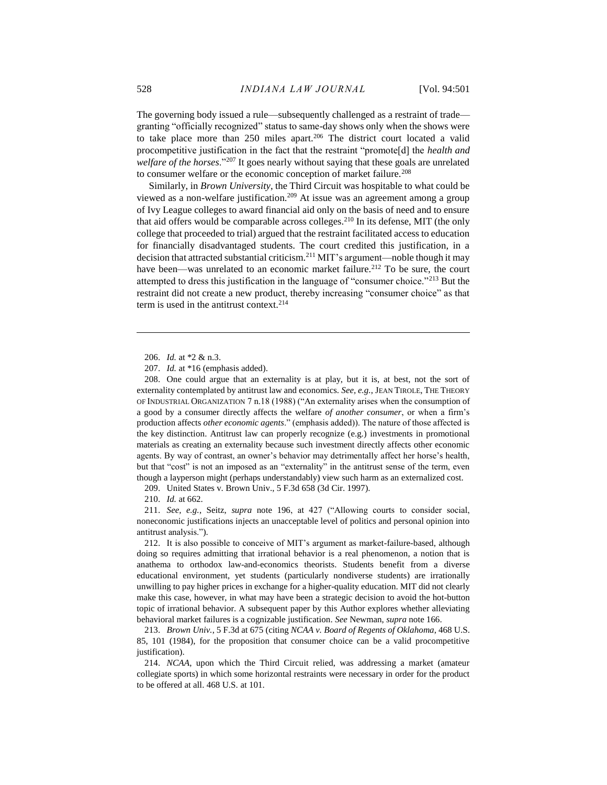The governing body issued a rule—subsequently challenged as a restraint of trade granting "officially recognized" status to same-day shows only when the shows were to take place more than 250 miles apart.<sup>206</sup> The district court located a valid procompetitive justification in the fact that the restraint "promote[d] the *health and welfare of the horses*."<sup>207</sup> It goes nearly without saying that these goals are unrelated to consumer welfare or the economic conception of market failure.<sup>208</sup>

Similarly, in *Brown University*, the Third Circuit was hospitable to what could be viewed as a non-welfare justification.<sup>209</sup> At issue was an agreement among a group of Ivy League colleges to award financial aid only on the basis of need and to ensure that aid offers would be comparable across colleges.<sup>210</sup> In its defense, MIT (the only college that proceeded to trial) argued that the restraint facilitated access to education for financially disadvantaged students. The court credited this justification, in a decision that attracted substantial criticism.<sup>211</sup> MIT's argument—noble though it may have been—was unrelated to an economic market failure.<sup>212</sup> To be sure, the court attempted to dress this justification in the language of "consumer choice."<sup>213</sup> But the restraint did not create a new product, thereby increasing "consumer choice" as that term is used in the antitrust context.<sup>214</sup>

 $\overline{a}$ 

208. One could argue that an externality is at play, but it is, at best, not the sort of externality contemplated by antitrust law and economics. *See, e.g.*, JEAN TIROLE, THE THEORY OF INDUSTRIAL ORGANIZATION 7 n.18 (1988) ("An externality arises when the consumption of a good by a consumer directly affects the welfare *of another consumer*, or when a firm's production affects *other economic agents*." (emphasis added)). The nature of those affected is the key distinction. Antitrust law can properly recognize (e.g.) investments in promotional materials as creating an externality because such investment directly affects other economic agents. By way of contrast, an owner's behavior may detrimentally affect her horse's health, but that "cost" is not an imposed as an "externality" in the antitrust sense of the term, even though a layperson might (perhaps understandably) view such harm as an externalized cost.

209. United States v. Brown Univ., 5 F.3d 658 (3d Cir. 1997).

210. *Id.* at 662.

211. *See, e.g.*, Seitz, *supra* note [196,](#page-26-0) at 427 ("Allowing courts to consider social, noneconomic justifications injects an unacceptable level of politics and personal opinion into antitrust analysis.").

212. It is also possible to conceive of MIT's argument as market-failure-based, although doing so requires admitting that irrational behavior is a real phenomenon, a notion that is anathema to orthodox law-and-economics theorists. Students benefit from a diverse educational environment, yet students (particularly nondiverse students) are irrationally unwilling to pay higher prices in exchange for a higher-quality education. MIT did not clearly make this case, however, in what may have been a strategic decision to avoid the hot-button topic of irrational behavior. A subsequent paper by this Author explores whether alleviating behavioral market failures is a cognizable justification. *See* Newman, *supra* not[e 166.](#page-22-1)

213. *Brown Univ.*, 5 F.3d at 675 (citing *NCAA v. Board of Regents of Oklahoma*, 468 U.S. 85, 101 (1984), for the proposition that consumer choice can be a valid procompetitive justification).

214. *NCAA*, upon which the Third Circuit relied, was addressing a market (amateur collegiate sports) in which some horizontal restraints were necessary in order for the product to be offered at all. 468 U.S. at 101.

<sup>206.</sup> *Id.* at \*2 & n.3.

<sup>207.</sup> *Id.* at \*16 (emphasis added).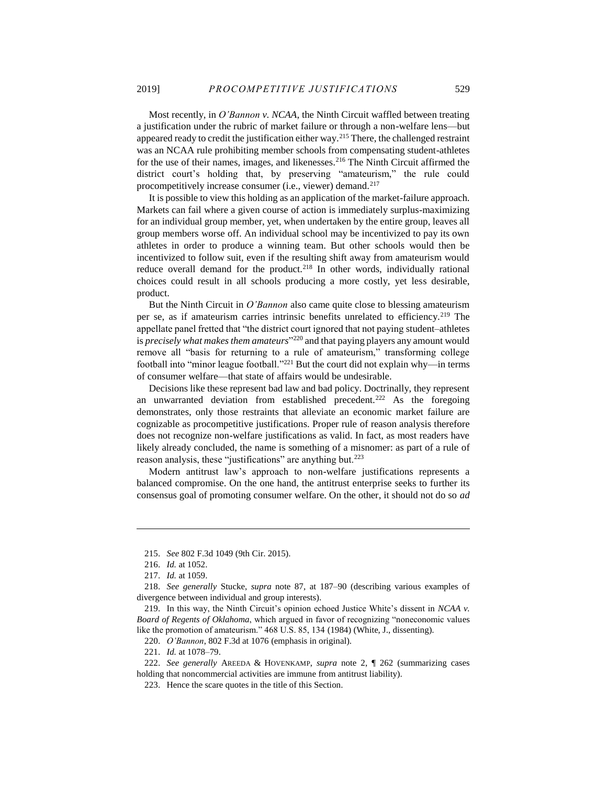Most recently, in *O'Bannon v. NCAA*, the Ninth Circuit waffled between treating a justification under the rubric of market failure or through a non-welfare lens—but appeared ready to credit the justification either way.<sup>215</sup> There, the challenged restraint was an NCAA rule prohibiting member schools from compensating student-athletes for the use of their names, images, and likenesses.<sup>216</sup> The Ninth Circuit affirmed the district court's holding that, by preserving "amateurism," the rule could procompetitively increase consumer (i.e., viewer) demand.<sup>217</sup>

It is possible to view this holding as an application of the market-failure approach. Markets can fail where a given course of action is immediately surplus-maximizing for an individual group member, yet, when undertaken by the entire group, leaves all group members worse off. An individual school may be incentivized to pay its own athletes in order to produce a winning team. But other schools would then be incentivized to follow suit, even if the resulting shift away from amateurism would reduce overall demand for the product.<sup>218</sup> In other words, individually rational choices could result in all schools producing a more costly, yet less desirable, product.

But the Ninth Circuit in *O'Bannon* also came quite close to blessing amateurism per se, as if amateurism carries intrinsic benefits unrelated to efficiency.<sup>219</sup> The appellate panel fretted that "the district court ignored that not paying student–athletes is *precisely what makes them amateurs*" <sup>220</sup> and that paying players any amount would remove all "basis for returning to a rule of amateurism," transforming college football into "minor league football." <sup>221</sup> But the court did not explain why—in terms of consumer welfare—that state of affairs would be undesirable.

Decisions like these represent bad law and bad policy. Doctrinally, they represent an unwarranted deviation from established precedent.<sup>222</sup> As the foregoing demonstrates, only those restraints that alleviate an economic market failure are cognizable as procompetitive justifications. Proper rule of reason analysis therefore does not recognize non-welfare justifications as valid. In fact, as most readers have likely already concluded, the name is something of a misnomer: as part of a rule of reason analysis, these "justifications" are anything but.<sup>223</sup>

Modern antitrust law's approach to non-welfare justifications represents a balanced compromise. On the one hand, the antitrust enterprise seeks to further its consensus goal of promoting consumer welfare. On the other, it should not do so *ad* 

<sup>215.</sup> *See* 802 F.3d 1049 (9th Cir. 2015).

<sup>216.</sup> *Id.* at 1052.

<sup>217.</sup> *Id.* at 1059.

<sup>218.</sup> *See generally* Stucke, *supra* note [87,](#page-12-1) at 187–90 (describing various examples of divergence between individual and group interests).

<sup>219.</sup> In this way, the Ninth Circuit's opinion echoed Justice White's dissent in *NCAA v. Board of Regents of Oklahoma*, which argued in favor of recognizing "noneconomic values like the promotion of amateurism." 468 U.S. 85, 134 (1984) (White, J., dissenting).

<sup>220.</sup> *O'Bannon*, 802 F.3d at 1076 (emphasis in original).

<sup>221.</sup> *Id.* at 1078–79.

<sup>222.</sup> *See generally* AREEDA & HOVENKAMP, *supra* note [2,](#page-2-0) ¶ 262 (summarizing cases holding that noncommercial activities are immune from antitrust liability).

<sup>223.</sup> Hence the scare quotes in the title of this Section.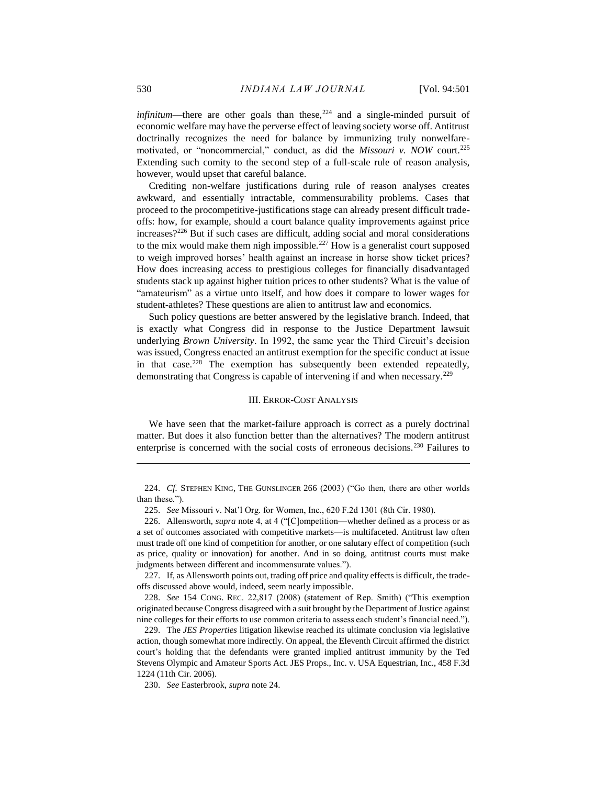*infinitum*—there are other goals than these,  $224$  and a single-minded pursuit of economic welfare may have the perverse effect of leaving society worse off. Antitrust doctrinally recognizes the need for balance by immunizing truly nonwelfaremotivated, or "noncommercial," conduct, as did the *Missouri v. NOW* court.<sup>225</sup> Extending such comity to the second step of a full-scale rule of reason analysis, however, would upset that careful balance.

Crediting non-welfare justifications during rule of reason analyses creates awkward, and essentially intractable, commensurability problems. Cases that proceed to the procompetitive-justifications stage can already present difficult tradeoffs: how, for example, should a court balance quality improvements against price increases?<sup>226</sup> But if such cases are difficult, adding social and moral considerations to the mix would make them nigh impossible.<sup>227</sup> How is a generalist court supposed to weigh improved horses' health against an increase in horse show ticket prices? How does increasing access to prestigious colleges for financially disadvantaged students stack up against higher tuition prices to other students? What is the value of "amateurism" as a virtue unto itself, and how does it compare to lower wages for student-athletes? These questions are alien to antitrust law and economics.

Such policy questions are better answered by the legislative branch. Indeed, that is exactly what Congress did in response to the Justice Department lawsuit underlying *Brown University*. In 1992, the same year the Third Circuit's decision was issued, Congress enacted an antitrust exemption for the specific conduct at issue in that case.<sup>228</sup> The exemption has subsequently been extended repeatedly, demonstrating that Congress is capable of intervening if and when necessary.<sup>229</sup>

#### III. ERROR-COST ANALYSIS

We have seen that the market-failure approach is correct as a purely doctrinal matter. But does it also function better than the alternatives? The modern antitrust enterprise is concerned with the social costs of erroneous decisions.<sup>230</sup> Failures to

227. If, as Allensworth points out, trading off price and quality effects is difficult, the tradeoffs discussed above would, indeed, seem nearly impossible.

228. *See* 154 CONG. REC. 22,817 (2008) (statement of Rep. Smith) ("This exemption originated because Congress disagreed with a suit brought by the Department of Justice against nine colleges for their efforts to use common criteria to assess each student's financial need.").

229. The *JES Properties* litigation likewise reached its ultimate conclusion via legislative action, though somewhat more indirectly. On appeal, the Eleventh Circuit affirmed the district court's holding that the defendants were granted implied antitrust immunity by the Ted Stevens Olympic and Amateur Sports Act. JES Props., Inc. v. USA Equestrian, Inc., 458 F.3d 1224 (11th Cir. 2006).

230. *See* Easterbrook, *supra* not[e 24.](#page-4-0)

<sup>224.</sup> *Cf.* STEPHEN KING, THE GUNSLINGER 266 (2003) ("Go then, there are other worlds than these.").

<sup>225.</sup> *See* Missouri v. Nat'l Org. for Women, Inc., 620 F.2d 1301 (8th Cir. 1980).

<sup>226.</sup> Allensworth, *supra* note [4,](#page-2-2) at 4 ("[C]ompetition—whether defined as a process or as a set of outcomes associated with competitive markets—is multifaceted. Antitrust law often must trade off one kind of competition for another, or one salutary effect of competition (such as price, quality or innovation) for another. And in so doing, antitrust courts must make judgments between different and incommensurate values.").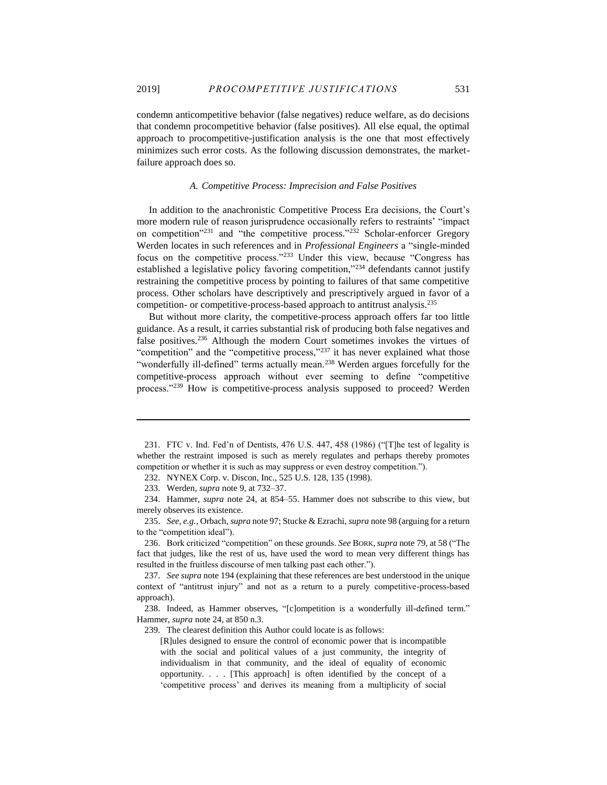condemn anticompetitive behavior (false negatives) reduce welfare, as do decisions that condemn procompetitive behavior (false positives). All else equal, the optimal approach to procompetitive-justification analysis is the one that most effectively minimizes such error costs. As the following discussion demonstrates, the marketfailure approach does so.

# *A. Competitive Process: Imprecision and False Positives*

In addition to the anachronistic Competitive Process Era decisions, the Court's more modern rule of reason jurisprudence occasionally refers to restraints' "impact on competition<sup>"231</sup> and "the competitive process."<sup>232</sup> Scholar-enforcer Gregory Werden locates in such references and in *Professional Engineers* a "single-minded focus on the competitive process."<sup>233</sup> Under this view, because "Congress has established a legislative policy favoring competition,"<sup>234</sup> defendants cannot justify restraining the competitive process by pointing to failures of that same competitive process. Other scholars have descriptively and prescriptively argued in favor of a competition- or competitive-process-based approach to antitrust analysis.<sup>235</sup>

But without more clarity, the competitive-process approach offers far too little guidance. As a result, it carries substantial risk of producing both false negatives and false positives.<sup>236</sup> Although the modern Court sometimes invokes the virtues of "competition" and the "competitive process,"<sup>237</sup> it has never explained what those "wonderfully ill-defined" terms actually mean.<sup>238</sup> Werden argues forcefully for the competitive-process approach without ever seeming to define "competitive process."<sup>239</sup> How is competitive-process analysis supposed to proceed? Werden

239. The clearest definition this Author could locate is as follows:

<sup>231.</sup> FTC v. Ind. Fed'n of Dentists, 476 U.S. 447, 458 (1986) ("[T]he test of legality is whether the restraint imposed is such as merely regulates and perhaps thereby promotes competition or whether it is such as may suppress or even destroy competition.").

<sup>232.</sup> NYNEX Corp. v. Discon, Inc., 525 U.S. 128, 135 (1998).

<sup>233.</sup> Werden, *supra* not[e 9,](#page-3-1) at 732–37.

<sup>234.</sup> Hammer, *supra* note [24,](#page-4-0) at 854–55. Hammer does not subscribe to this view, but merely observes its existence.

<sup>235.</sup> *See, e.g.*, Orbach, *supra* not[e 97;](#page-14-0) Stucke & Ezrachi, *supra* not[e 98](#page-14-1) (arguing for a return to the "competition ideal").

<sup>236.</sup> Bork criticized "competition" on these grounds. *See* BORK,*supra* not[e 79,](#page-11-0) at 58 ("The fact that judges, like the rest of us, have used the word to mean very different things has resulted in the fruitless discourse of men talking past each other.").

<sup>237.</sup> *See supra* not[e 194](#page-25-0) (explaining that these references are best understood in the unique context of "antitrust injury" and not as a return to a purely competitive-process-based approach).

<sup>238.</sup> Indeed, as Hammer observes, "[c]ompetition is a wonderfully ill-defined term." Hammer, *supra* not[e 24,](#page-4-0) at 850 n.3.

<sup>[</sup>R]ules designed to ensure the control of economic power that is incompatible with the social and political values of a just community, the integrity of individualism in that community, and the ideal of equality of economic opportunity. . . . [This approach] is often identified by the concept of a 'competitive process' and derives its meaning from a multiplicity of social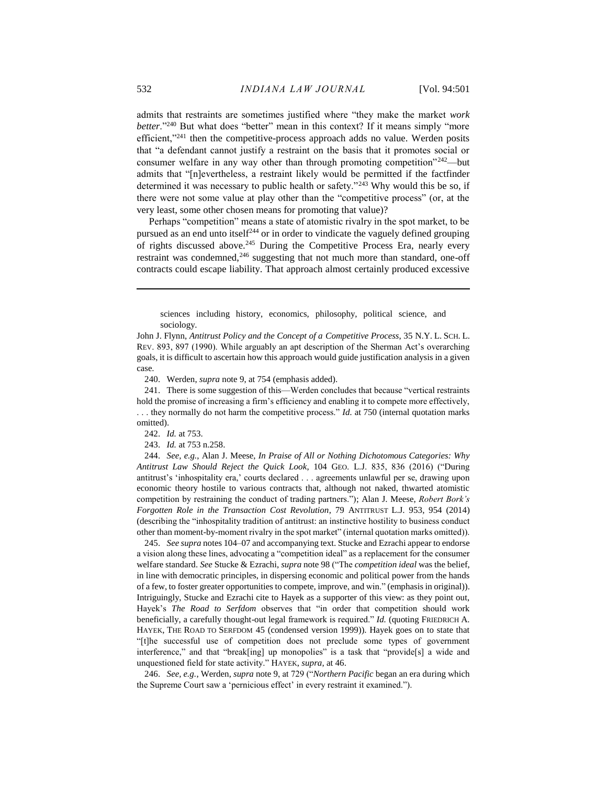admits that restraints are sometimes justified where "they make the market *work better*."<sup>240</sup> But what does "better" mean in this context? If it means simply "more efficient,"<sup>241</sup> then the competitive-process approach adds no value. Werden posits that "a defendant cannot justify a restraint on the basis that it promotes social or consumer welfare in any way other than through promoting competition"<sup>242</sup>—but admits that "[n]evertheless, a restraint likely would be permitted if the factfinder determined it was necessary to public health or safety."<sup>243</sup> Why would this be so, if there were not some value at play other than the "competitive process" (or, at the very least, some other chosen means for promoting that value)?

Perhaps "competition" means a state of atomistic rivalry in the spot market, to be pursued as an end unto itself<sup>244</sup> or in order to vindicate the vaguely defined grouping of rights discussed above.<sup>245</sup> During the Competitive Process Era, nearly every restraint was condemned, $246$  suggesting that not much more than standard, one-off contracts could escape liability. That approach almost certainly produced excessive

sciences including history, economics, philosophy, political science, and sociology.

John J. Flynn, *Antitrust Policy and the Concept of a Competitive Process*, 35 N.Y. L. SCH. L. REV. 893, 897 (1990). While arguably an apt description of the Sherman Act's overarching goals, it is difficult to ascertain how this approach would guide justification analysis in a given case.

240. Werden, *supra* not[e 9,](#page-3-1) at 754 (emphasis added).

241. There is some suggestion of this—Werden concludes that because "vertical restraints hold the promise of increasing a firm's efficiency and enabling it to compete more effectively, . . . they normally do not harm the competitive process." *Id.* at 750 (internal quotation marks omitted).

242. *Id.* at 753.

243. *Id.* at 753 n.258.

244. *See, e.g.*, Alan J. Meese, *In Praise of All or Nothing Dichotomous Categories: Why Antitrust Law Should Reject the Quick Look*, 104 GEO. L.J. 835, 836 (2016) ("During antitrust's 'inhospitality era,' courts declared . . . agreements unlawful per se, drawing upon economic theory hostile to various contracts that, although not naked, thwarted atomistic competition by restraining the conduct of trading partners."); Alan J. Meese, *Robert Bork's Forgotten Role in the Transaction Cost Revolution*, 79 ANTITRUST L.J. 953, 954 (2014) (describing the "inhospitality tradition of antitrust: an instinctive hostility to business conduct other than moment-by-moment rivalry in the spot market" (internal quotation marks omitted)).

245. *See supra* notes 104–07 and accompanying text. Stucke and Ezrachi appear to endorse a vision along these lines, advocating a "competition ideal" as a replacement for the consumer welfare standard. *See* Stucke & Ezrachi, *supra* not[e 98](#page-14-1) ("The *competition ideal* was the belief, in line with democratic principles, in dispersing economic and political power from the hands of a few, to foster greater opportunities to compete, improve, and win." (emphasis in original)). Intriguingly, Stucke and Ezrachi cite to Hayek as a supporter of this view: as they point out, Hayek's *The Road to Serfdom* observes that "in order that competition should work beneficially, a carefully thought-out legal framework is required." *Id.* (quoting FRIEDRICH A. HAYEK, THE ROAD TO SERFDOM 45 (condensed version 1999)). Hayek goes on to state that "[t]he successful use of competition does not preclude some types of government interference," and that "break[ing] up monopolies" is a task that "provide[s] a wide and unquestioned field for state activity." HAYEK, *supra*, at 46.

246. *See, e.g.*, Werden, *supra* note [9,](#page-3-1) at 729 ("*Northern Pacific* began an era during which the Supreme Court saw a 'pernicious effect' in every restraint it examined.").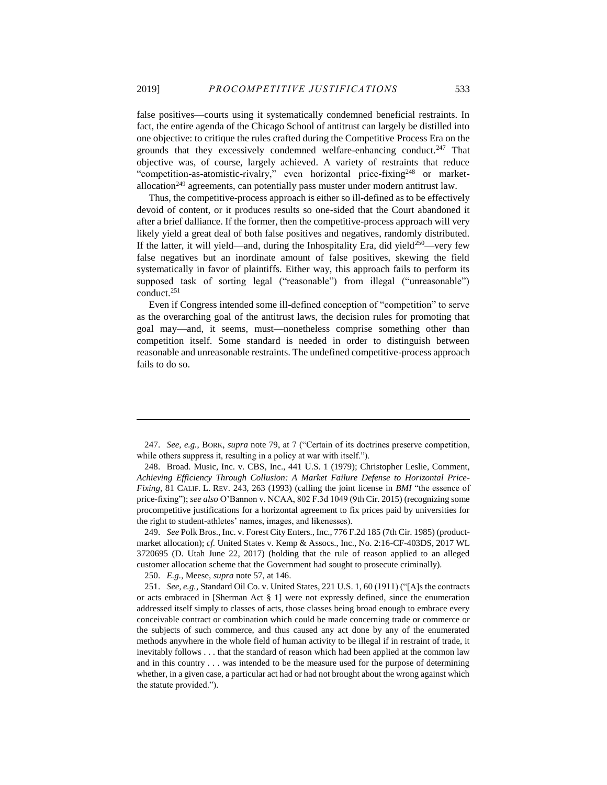false positives—courts using it systematically condemned beneficial restraints. In fact, the entire agenda of the Chicago School of antitrust can largely be distilled into one objective: to critique the rules crafted during the Competitive Process Era on the grounds that they excessively condemned welfare-enhancing conduct.<sup>247</sup> That objective was, of course, largely achieved. A variety of restraints that reduce "competition-as-atomistic-rivalry," even horizontal price-fixing<sup>248</sup> or marketallocation<sup>249</sup> agreements, can potentially pass muster under modern antitrust law.

Thus, the competitive-process approach is either so ill-defined as to be effectively devoid of content, or it produces results so one-sided that the Court abandoned it after a brief dalliance. If the former, then the competitive-process approach will very likely yield a great deal of both false positives and negatives, randomly distributed. If the latter, it will yield—and, during the Inhospitality Era, did yield $250$ —very few false negatives but an inordinate amount of false positives, skewing the field systematically in favor of plaintiffs. Either way, this approach fails to perform its supposed task of sorting legal ("reasonable") from illegal ("unreasonable") conduct.<sup>251</sup>

Even if Congress intended some ill-defined conception of "competition" to serve as the overarching goal of the antitrust laws, the decision rules for promoting that goal may—and, it seems, must—nonetheless comprise something other than competition itself. Some standard is needed in order to distinguish between reasonable and unreasonable restraints. The undefined competitive-process approach fails to do so.

249. *See* Polk Bros., Inc. v. Forest City Enters., Inc., 776 F.2d 185 (7th Cir. 1985) (productmarket allocation); *cf.* United States v. Kemp & Assocs., Inc., No. 2:16-CF-403DS, 2017 WL 3720695 (D. Utah June 22, 2017) (holding that the rule of reason applied to an alleged customer allocation scheme that the Government had sought to prosecute criminally).

250. *E.g.*, Meese, *supra* not[e 57,](#page-8-0) at 146.

<sup>247.</sup> *See, e.g.*, BORK, *supra* note [79,](#page-11-0) at 7 ("Certain of its doctrines preserve competition, while others suppress it, resulting in a policy at war with itself.").

<sup>248.</sup> Broad. Music, Inc. v. CBS, Inc., 441 U.S. 1 (1979); Christopher Leslie, Comment, *Achieving Efficiency Through Collusion: A Market Failure Defense to Horizontal Price-Fixing*, 81 CALIF. L. REV. 243, 263 (1993) (calling the joint license in *BMI* "the essence of price-fixing"); *see also* O'Bannon v. NCAA, 802 F.3d 1049 (9th Cir. 2015) (recognizing some procompetitive justifications for a horizontal agreement to fix prices paid by universities for the right to student-athletes' names, images, and likenesses).

<sup>251.</sup> *See, e.g.*, Standard Oil Co. v. United States, 221 U.S. 1, 60 (1911) ("[A]s the contracts or acts embraced in [Sherman Act § 1] were not expressly defined, since the enumeration addressed itself simply to classes of acts, those classes being broad enough to embrace every conceivable contract or combination which could be made concerning trade or commerce or the subjects of such commerce, and thus caused any act done by any of the enumerated methods anywhere in the whole field of human activity to be illegal if in restraint of trade, it inevitably follows . . . that the standard of reason which had been applied at the common law and in this country . . . was intended to be the measure used for the purpose of determining whether, in a given case, a particular act had or had not brought about the wrong against which the statute provided.").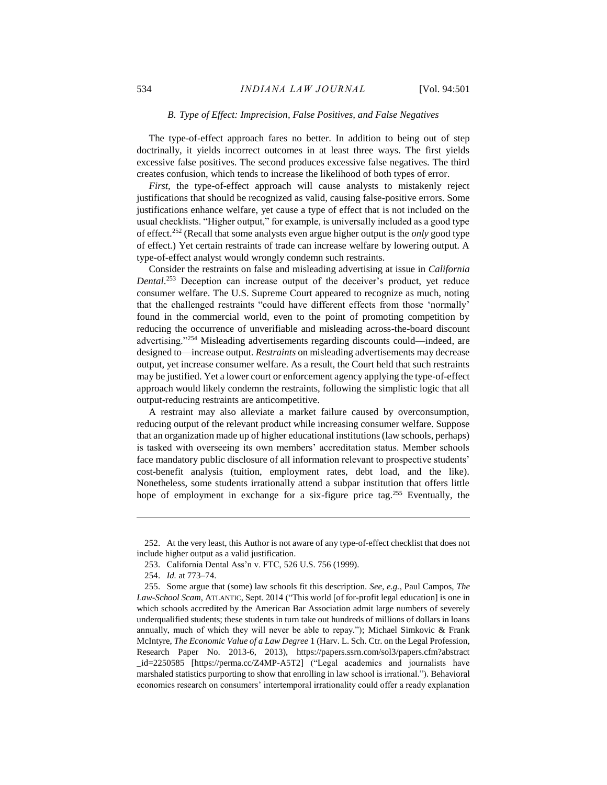## *B. Type of Effect: Imprecision, False Positives, and False Negatives*

The type-of-effect approach fares no better. In addition to being out of step doctrinally, it yields incorrect outcomes in at least three ways. The first yields excessive false positives. The second produces excessive false negatives. The third creates confusion, which tends to increase the likelihood of both types of error.

*First*, the type-of-effect approach will cause analysts to mistakenly reject justifications that should be recognized as valid, causing false-positive errors. Some justifications enhance welfare, yet cause a type of effect that is not included on the usual checklists. "Higher output," for example, is universally included as a good type of effect.<sup>252</sup> (Recall that some analysts even argue higher output is the *only* good type of effect.) Yet certain restraints of trade can increase welfare by lowering output. A type-of-effect analyst would wrongly condemn such restraints.

Consider the restraints on false and misleading advertising at issue in *California Dental*. <sup>253</sup> Deception can increase output of the deceiver's product, yet reduce consumer welfare. The U.S. Supreme Court appeared to recognize as much, noting that the challenged restraints "could have different effects from those 'normally' found in the commercial world, even to the point of promoting competition by reducing the occurrence of unverifiable and misleading across-the-board discount advertising."<sup>254</sup> Misleading advertisements regarding discounts could—indeed, are designed to—increase output. *Restraints* on misleading advertisements may decrease output, yet increase consumer welfare. As a result, the Court held that such restraints may be justified. Yet a lower court or enforcement agency applying the type-of-effect approach would likely condemn the restraints, following the simplistic logic that all output-reducing restraints are anticompetitive.

A restraint may also alleviate a market failure caused by overconsumption, reducing output of the relevant product while increasing consumer welfare. Suppose that an organization made up of higher educational institutions (law schools, perhaps) is tasked with overseeing its own members' accreditation status. Member schools face mandatory public disclosure of all information relevant to prospective students' cost-benefit analysis (tuition, employment rates, debt load, and the like). Nonetheless, some students irrationally attend a subpar institution that offers little hope of employment in exchange for a six-figure price tag.<sup>255</sup> Eventually, the

<sup>252.</sup> At the very least, this Author is not aware of any type-of-effect checklist that does not include higher output as a valid justification.

<sup>253.</sup> California Dental Ass'n v. FTC, 526 U.S. 756 (1999).

<sup>254.</sup> *Id.* at 773–74.

<sup>255.</sup> Some argue that (some) law schools fit this description. *See, e.g.*, Paul Campos, *The Law-School Scam*, ATLANTIC, Sept. 2014 ("This world [of for-profit legal education] is one in which schools accredited by the American Bar Association admit large numbers of severely underqualified students; these students in turn take out hundreds of millions of dollars in loans annually, much of which they will never be able to repay."); Michael Simkovic  $\&$  Frank McIntyre, *The Economic Value of a Law Degree* 1 (Harv. L. Sch. Ctr. on the Legal Profession, Research Paper No. 2013-6, 2013), https://papers.ssrn.com/sol3/papers.cfm?abstract \_id=2250585 [https://perma.cc/Z4MP-A5T2] ("Legal academics and journalists have marshaled statistics purporting to show that enrolling in law school is irrational."). Behavioral economics research on consumers' intertemporal irrationality could offer a ready explanation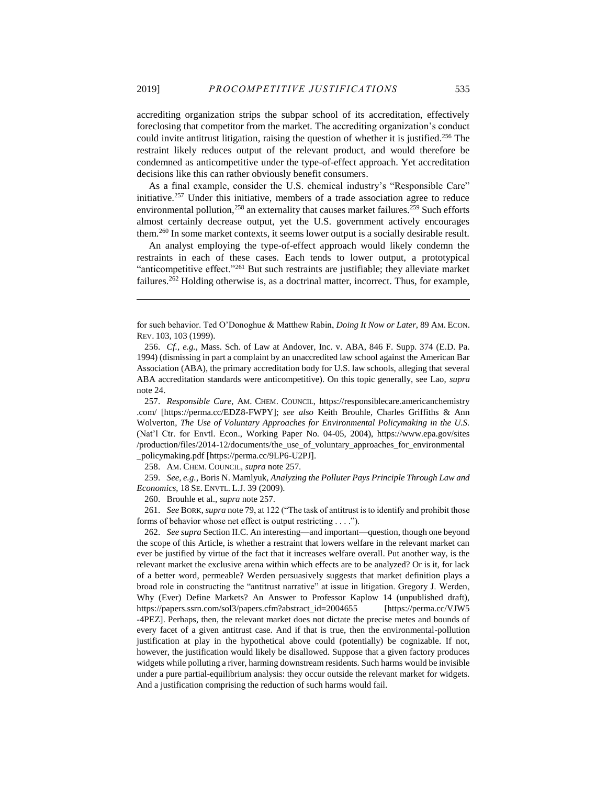accrediting organization strips the subpar school of its accreditation, effectively foreclosing that competitor from the market. The accrediting organization's conduct could invite antitrust litigation, raising the question of whether it is justified. <sup>256</sup> The restraint likely reduces output of the relevant product, and would therefore be condemned as anticompetitive under the type-of-effect approach. Yet accreditation decisions like this can rather obviously benefit consumers.

<span id="page-35-0"></span>As a final example, consider the U.S. chemical industry's "Responsible Care" initiative.<sup>257</sup> Under this initiative, members of a trade association agree to reduce environmental pollution,<sup>258</sup> an externality that causes market failures.<sup>259</sup> Such efforts almost certainly decrease output, yet the U.S. government actively encourages them.<sup>260</sup> In some market contexts, it seems lower output is a socially desirable result.

An analyst employing the type-of-effect approach would likely condemn the restraints in each of these cases. Each tends to lower output, a prototypical "anticompetitive effect."<sup>261</sup> But such restraints are justifiable; they alleviate market failures.<sup>262</sup> Holding otherwise is, as a doctrinal matter, incorrect. Thus, for example,

257. *Responsible Care*, AM. CHEM. COUNCIL, https://responsiblecare.americanchemistry .com/ [https://perma.cc/EDZ8-FWPY]; *see also* Keith Brouhle, Charles Griffiths & Ann Wolverton, *The Use of Voluntary Approaches for Environmental Policymaking in the U.S.* (Nat'l Ctr. for Envtl. Econ., Working Paper No. 04-05, 2004), https://www.epa.gov/sites /production/files/2014-12/documents/the\_use\_of\_voluntary\_approaches\_for\_environmental \_policymaking.pdf [https://perma.cc/9LP6-U2PJ].

258. AM. CHEM. COUNCIL, *supra* note [257.](#page-35-0)

259. *See, e.g.*, Boris N. Mamlyuk, *Analyzing the Polluter Pays Principle Through Law and Economics*, 18 SE. ENVTL. L.J. 39 (2009).

260. Brouhle et al., *supra* note [257.](#page-35-0)

261. *See* BORK, *supra* not[e 79,](#page-11-0) at 122 ("The task of antitrust is to identify and prohibit those forms of behavior whose net effect is output restricting . . . .").

262. *See supra* Section II.C. An interesting—and important—question, though one beyond the scope of this Article, is whether a restraint that lowers welfare in the relevant market can ever be justified by virtue of the fact that it increases welfare overall. Put another way, is the relevant market the exclusive arena within which effects are to be analyzed? Or is it, for lack of a better word, permeable? Werden persuasively suggests that market definition plays a broad role in constructing the "antitrust narrative" at issue in litigation. Gregory J. Werden, Why (Ever) Define Markets? An Answer to Professor Kaplow 14 (unpublished draft), https://papers.ssrn.com/sol3/papers.cfm?abstract\_id=2004655 [https://perma.cc/VJW5 -4PEZ]. Perhaps, then, the relevant market does not dictate the precise metes and bounds of every facet of a given antitrust case. And if that is true, then the environmental-pollution justification at play in the hypothetical above could (potentially) be cognizable. If not, however, the justification would likely be disallowed. Suppose that a given factory produces widgets while polluting a river, harming downstream residents. Such harms would be invisible under a pure partial-equilibrium analysis: they occur outside the relevant market for widgets. And a justification comprising the reduction of such harms would fail.

for such behavior. Ted O'Donoghue & Matthew Rabin, *Doing It Now or Later*, 89 AM. ECON. REV. 103, 103 (1999).

<sup>256.</sup> *Cf., e.g.*, Mass. Sch. of Law at Andover, Inc. v. ABA, 846 F. Supp. 374 (E.D. Pa. 1994) (dismissing in part a complaint by an unaccredited law school against the American Bar Association (ABA), the primary accreditation body for U.S. law schools, alleging that several ABA accreditation standards were anticompetitive). On this topic generally, see Lao, *supra* note [24.](#page-4-0)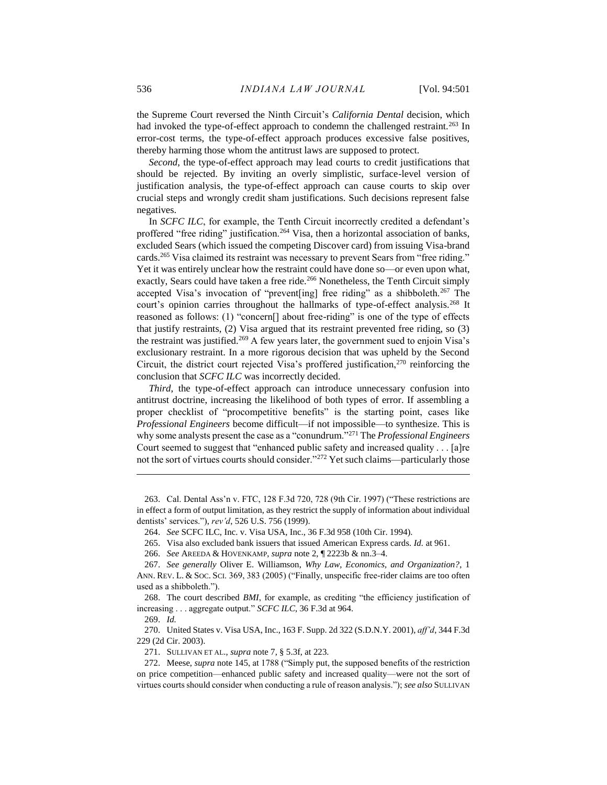the Supreme Court reversed the Ninth Circuit's *California Dental* decision, which had invoked the type-of-effect approach to condemn the challenged restraint.<sup>263</sup> In error-cost terms, the type-of-effect approach produces excessive false positives, thereby harming those whom the antitrust laws are supposed to protect.

*Second*, the type-of-effect approach may lead courts to credit justifications that should be rejected. By inviting an overly simplistic, surface-level version of justification analysis, the type-of-effect approach can cause courts to skip over crucial steps and wrongly credit sham justifications. Such decisions represent false negatives.

In *SCFC ILC*, for example, the Tenth Circuit incorrectly credited a defendant's proffered "free riding" justification.<sup>264</sup> Visa, then a horizontal association of banks, excluded Sears (which issued the competing Discover card) from issuing Visa-brand cards.<sup>265</sup> Visa claimed its restraint was necessary to prevent Sears from "free riding." Yet it was entirely unclear how the restraint could have done so—or even upon what, exactly, Sears could have taken a free ride.<sup>266</sup> Nonetheless, the Tenth Circuit simply accepted Visa's invocation of "prevent[ing] free riding" as a shibboleth.<sup>267</sup> The court's opinion carries throughout the hallmarks of type-of-effect analysis.<sup>268</sup> It reasoned as follows: (1) "concern[] about free-riding" is one of the type of effects that justify restraints, (2) Visa argued that its restraint prevented free riding, so (3) the restraint was justified.<sup>269</sup> A few years later, the government sued to enjoin Visa's exclusionary restraint. In a more rigorous decision that was upheld by the Second Circuit, the district court rejected Visa's proffered justification,<sup>270</sup> reinforcing the conclusion that *SCFC ILC* was incorrectly decided.

*Third*, the type-of-effect approach can introduce unnecessary confusion into antitrust doctrine, increasing the likelihood of both types of error. If assembling a proper checklist of "procompetitive benefits" is the starting point, cases like *Professional Engineers* become difficult—if not impossible—to synthesize. This is why some analysts present the case as a "conundrum."<sup>271</sup> The *Professional Engineers* Court seemed to suggest that "enhanced public safety and increased quality . . . [a]re not the sort of virtues courts should consider."<sup>272</sup> Yet such claims—particularly those

263. Cal. Dental Ass'n v. FTC, 128 F.3d 720, 728 (9th Cir. 1997) ("These restrictions are in effect a form of output limitation, as they restrict the supply of information about individual dentists' services."), *rev'd*, 526 U.S. 756 (1999).

269. *Id.*

 $\overline{a}$ 

270. United States v. Visa USA, Inc., 163 F. Supp. 2d 322 (S.D.N.Y. 2001), *aff'd*, 344 F.3d 229 (2d Cir. 2003).

<sup>264.</sup> *See* SCFC ILC, Inc. v. Visa USA, Inc., 36 F.3d 958 (10th Cir. 1994).

<sup>265.</sup> Visa also excluded bank issuers that issued American Express cards. *Id.* at 961.

<sup>266.</sup> *See* AREEDA & HOVENKAMP, *supra* not[e 2,](#page-2-0) ¶ 2223b & nn.3–4.

<sup>267.</sup> *See generally* Oliver E. Williamson, *Why Law, Economics, and Organization?*, 1 ANN. REV. L. & SOC. SCI. 369, 383 (2005) ("Finally, unspecific free-rider claims are too often used as a shibboleth.").

<sup>268.</sup> The court described *BMI*, for example, as crediting "the efficiency justification of increasing . . . aggregate output." *SCFC ILC*, 36 F.3d at 964.

<sup>271.</sup> SULLIVAN ET AL., *supra* note [7,](#page-3-0) § 5.3f, at 223.

<sup>272.</sup> Meese, *supra* not[e 145,](#page-19-0) at 1788 ("Simply put, the supposed benefits of the restriction on price competition—enhanced public safety and increased quality—were not the sort of virtues courts should consider when conducting a rule of reason analysis."); *see also* SULLIVAN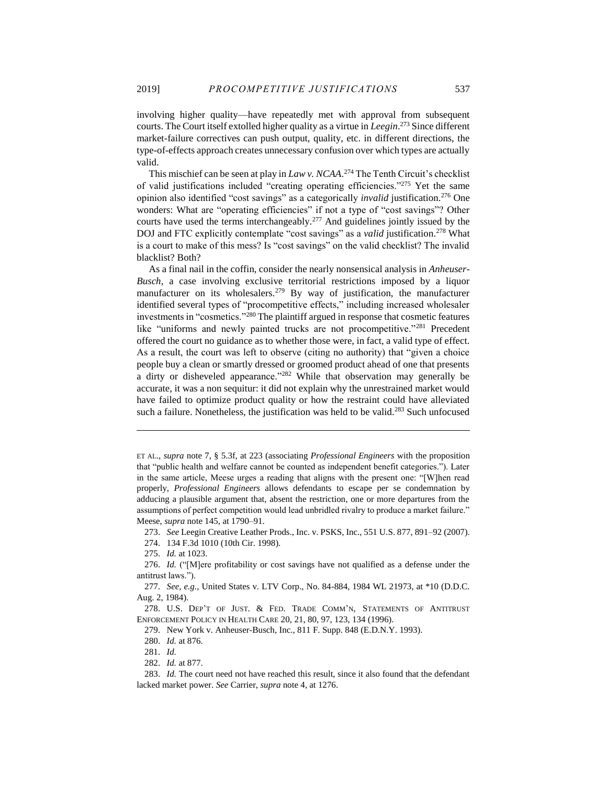involving higher quality—have repeatedly met with approval from subsequent courts. The Court itself extolled higher quality as a virtue in *Leegin*. <sup>273</sup> Since different market-failure correctives can push output, quality, etc. in different directions, the type-of-effects approach creates unnecessary confusion over which types are actually valid.

This mischief can be seen at play in *Law v. NCAA*. <sup>274</sup> The Tenth Circuit's checklist of valid justifications included "creating operating efficiencies."<sup>275</sup> Yet the same opinion also identified "cost savings" as a categorically *invalid* justification.<sup>276</sup> One wonders: What are "operating efficiencies" if not a type of "cost savings"? Other courts have used the terms interchangeably.<sup>277</sup> And guidelines jointly issued by the DOJ and FTC explicitly contemplate "cost savings" as a *valid* justification.<sup>278</sup> What is a court to make of this mess? Is "cost savings" on the valid checklist? The invalid blacklist? Both?

As a final nail in the coffin, consider the nearly nonsensical analysis in *Anheuser-Busch*, a case involving exclusive territorial restrictions imposed by a liquor manufacturer on its wholesalers.<sup>279</sup> By way of justification, the manufacturer identified several types of "procompetitive effects," including increased wholesaler investments in "cosmetics."<sup>280</sup> The plaintiff argued in response that cosmetic features like "uniforms and newly painted trucks are not procompetitive."<sup>281</sup> Precedent offered the court no guidance as to whether those were, in fact, a valid type of effect. As a result, the court was left to observe (citing no authority) that "given a choice people buy a clean or smartly dressed or groomed product ahead of one that presents a dirty or disheveled appearance."<sup>282</sup> While that observation may generally be accurate, it was a non sequitur: it did not explain why the unrestrained market would have failed to optimize product quality or how the restraint could have alleviated such a failure. Nonetheless, the justification was held to be valid.<sup>283</sup> Such unfocused

273. *See* Leegin Creative Leather Prods., Inc. v. PSKS, Inc., 551 U.S. 877, 891–92 (2007).

274. 134 F.3d 1010 (10th Cir. 1998).

275. *Id.* at 1023.

 $\overline{a}$ 

279. New York v. Anheuser-Busch, Inc., 811 F. Supp. 848 (E.D.N.Y. 1993).

ET AL., *supra* note [7,](#page-3-0) § 5.3f, at 223 (associating *Professional Engineers* with the proposition that "public health and welfare cannot be counted as independent benefit categories."). Later in the same article, Meese urges a reading that aligns with the present one: "[W]hen read properly, *Professional Engineers* allows defendants to escape per se condemnation by adducing a plausible argument that, absent the restriction, one or more departures from the assumptions of perfect competition would lead unbridled rivalry to produce a market failure." Meese, *supra* not[e 145,](#page-19-0) at 1790–91.

<sup>276.</sup> *Id.* ("[M]ere profitability or cost savings have not qualified as a defense under the antitrust laws.").

<sup>277.</sup> *See, e.g.*, United States v. LTV Corp., No. 84-884, 1984 WL 21973, at \*10 (D.D.C. Aug. 2, 1984).

<sup>278.</sup> U.S. DEP'T OF JUST. & FED. TRADE COMM'N, STATEMENTS OF ANTITRUST ENFORCEMENT POLICY IN HEALTH CARE 20, 21, 80, 97, 123, 134 (1996).

<sup>280.</sup> *Id.* at 876.

<sup>281.</sup> *Id.*

<sup>282.</sup> *Id.* at 877.

<sup>283.</sup> *Id.* The court need not have reached this result, since it also found that the defendant lacked market power. *See* Carrier, *supra* not[e 4,](#page-2-2) at 1276.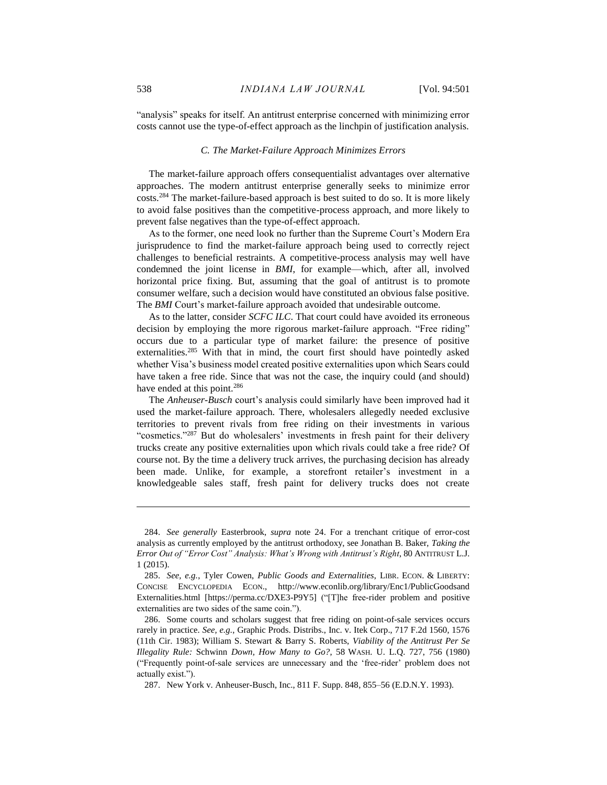"analysis" speaks for itself. An antitrust enterprise concerned with minimizing error costs cannot use the type-of-effect approach as the linchpin of justification analysis.

#### *C. The Market-Failure Approach Minimizes Errors*

The market-failure approach offers consequentialist advantages over alternative approaches. The modern antitrust enterprise generally seeks to minimize error costs.<sup>284</sup> The market-failure-based approach is best suited to do so. It is more likely to avoid false positives than the competitive-process approach, and more likely to prevent false negatives than the type-of-effect approach.

As to the former, one need look no further than the Supreme Court's Modern Era jurisprudence to find the market-failure approach being used to correctly reject challenges to beneficial restraints. A competitive-process analysis may well have condemned the joint license in *BMI*, for example—which, after all, involved horizontal price fixing. But, assuming that the goal of antitrust is to promote consumer welfare, such a decision would have constituted an obvious false positive. The *BMI* Court's market-failure approach avoided that undesirable outcome.

As to the latter, consider *SCFC ILC*. That court could have avoided its erroneous decision by employing the more rigorous market-failure approach. "Free riding" occurs due to a particular type of market failure: the presence of positive externalities.<sup>285</sup> With that in mind, the court first should have pointedly asked whether Visa's business model created positive externalities upon which Sears could have taken a free ride. Since that was not the case, the inquiry could (and should) have ended at this point.<sup>286</sup>

The *Anheuser-Busch* court's analysis could similarly have been improved had it used the market-failure approach. There, wholesalers allegedly needed exclusive territories to prevent rivals from free riding on their investments in various "cosmetics."287 But do wholesalers' investments in fresh paint for their delivery trucks create any positive externalities upon which rivals could take a free ride? Of course not. By the time a delivery truck arrives, the purchasing decision has already been made. Unlike, for example, a storefront retailer's investment in a knowledgeable sales staff, fresh paint for delivery trucks does not create

<sup>284.</sup> *See generally* Easterbrook, *supra* note [24.](#page-4-0) For a trenchant critique of error-cost analysis as currently employed by the antitrust orthodoxy, see Jonathan B. Baker, *Taking the Error Out of "Error Cost" Analysis: What's Wrong with Antitrust's Right*, 80 ANTITRUST L.J. 1 (2015).

<sup>285.</sup> *See, e.g.*, Tyler Cowen, *Public Goods and Externalities*, LIBR. ECON. & LIBERTY: CONCISE ENCYCLOPEDIA ECON., http://www.econlib.org/library/Enc1/PublicGoodsand Externalities.html [https://perma.cc/DXE3-P9Y5] ("[T]he free-rider problem and positive externalities are two sides of the same coin.").

<sup>286.</sup> Some courts and scholars suggest that free riding on point-of-sale services occurs rarely in practice. *See, e.g.*, Graphic Prods. Distribs., Inc. v. Itek Corp., 717 F.2d 1560, 1576 (11th Cir. 1983); William S. Stewart & Barry S. Roberts, *Viability of the Antitrust Per Se Illegality Rule:* Schwinn *Down, How Many to Go?*, 58 WASH. U. L.Q. 727, 756 (1980) ("Frequently point-of-sale services are unnecessary and the 'free-rider' problem does not actually exist.").

<sup>287.</sup> New York v. Anheuser-Busch, Inc., 811 F. Supp. 848, 855–56 (E.D.N.Y. 1993).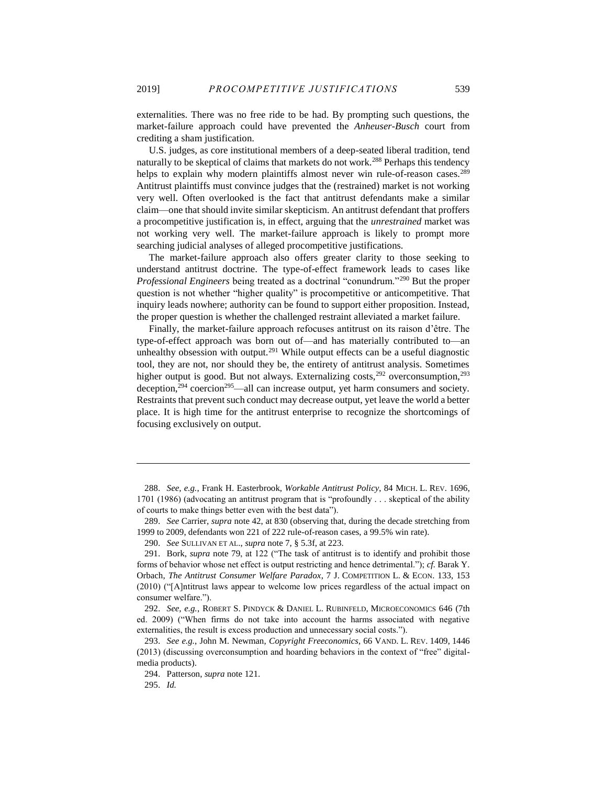externalities. There was no free ride to be had. By prompting such questions, the market-failure approach could have prevented the *Anheuser-Busch* court from crediting a sham justification.

U.S. judges, as core institutional members of a deep-seated liberal tradition, tend naturally to be skeptical of claims that markets do not work.<sup>288</sup> Perhaps this tendency helps to explain why modern plaintiffs almost never win rule-of-reason cases.<sup>289</sup> Antitrust plaintiffs must convince judges that the (restrained) market is not working very well. Often overlooked is the fact that antitrust defendants make a similar claim—one that should invite similar skepticism. An antitrust defendant that proffers a procompetitive justification is, in effect, arguing that the *unrestrained* market was not working very well. The market-failure approach is likely to prompt more searching judicial analyses of alleged procompetitive justifications.

The market-failure approach also offers greater clarity to those seeking to understand antitrust doctrine. The type-of-effect framework leads to cases like *Professional Engineers* being treated as a doctrinal "conundrum."<sup>290</sup> But the proper question is not whether "higher quality" is procompetitive or anticompetitive. That inquiry leads nowhere; authority can be found to support either proposition. Instead, the proper question is whether the challenged restraint alleviated a market failure.

<span id="page-39-0"></span>Finally, the market-failure approach refocuses antitrust on its raison d'être. The type-of-effect approach was born out of—and has materially contributed to—an unhealthy obsession with output.<sup>291</sup> While output effects can be a useful diagnostic tool, they are not, nor should they be, the entirety of antitrust analysis. Sometimes higher output is good. But not always. Externalizing costs,  $292$  overconsumption,  $293$ deception, $294$  coercion $295$ —all can increase output, yet harm consumers and society. Restraints that prevent such conduct may decrease output, yet leave the world a better place. It is high time for the antitrust enterprise to recognize the shortcomings of focusing exclusively on output.

<sup>288.</sup> *See, e.g.*, Frank H. Easterbrook, *Workable Antitrust Policy*, 84 MICH. L. REV. 1696, 1701 (1986) (advocating an antitrust program that is "profoundly . . . skeptical of the ability of courts to make things better even with the best data").

<sup>289.</sup> *See* Carrier, *supra* note [42,](#page-7-0) at 830 (observing that, during the decade stretching from 1999 to 2009, defendants won 221 of 222 rule-of-reason cases, a 99.5% win rate).

<sup>290.</sup> *See* SULLIVAN ET AL., *supra* not[e 7,](#page-3-0) § 5.3f, at 223.

<sup>291.</sup> Bork, *supra* note [79,](#page-11-0) at 122 ("The task of antitrust is to identify and prohibit those forms of behavior whose net effect is output restricting and hence detrimental."); *cf.* Barak Y. Orbach, *The Antitrust Consumer Welfare Paradox*, 7 J. COMPETITION L. & ECON. 133, 153 (2010) ("[A]ntitrust laws appear to welcome low prices regardless of the actual impact on consumer welfare.").

<sup>292.</sup> *See, e.g.*, ROBERT S. PINDYCK & DANIEL L. RUBINFELD, MICROECONOMICS 646 (7th ed. 2009) ("When firms do not take into account the harms associated with negative externalities, the result is excess production and unnecessary social costs.").

<sup>293.</sup> *See e.g.*, John M. Newman, *Copyright Freeconomics*, 66 VAND. L. REV. 1409, 1446 (2013) (discussing overconsumption and hoarding behaviors in the context of "free" digitalmedia products).

<sup>294.</sup> Patterson, *supra* not[e 121.](#page-17-0)

<sup>295.</sup> *Id.*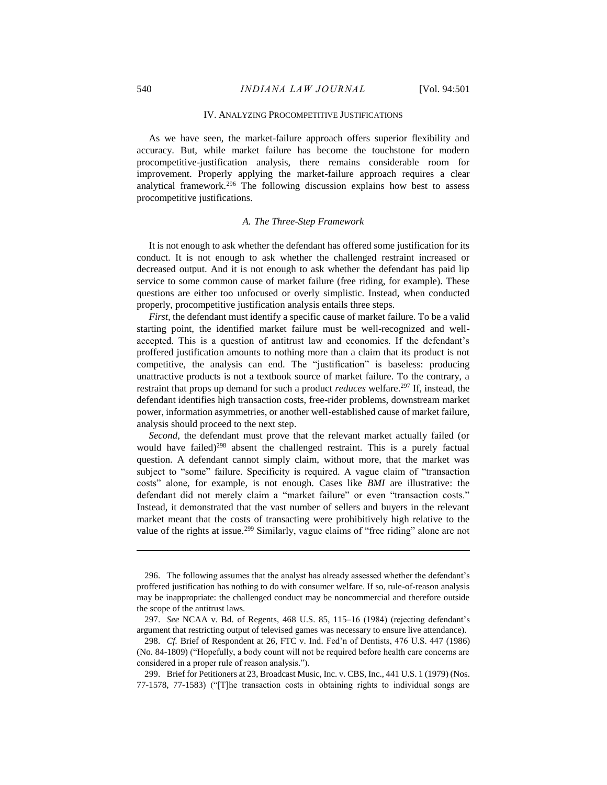#### IV. ANALYZING PROCOMPETITIVE JUSTIFICATIONS

As we have seen, the market-failure approach offers superior flexibility and accuracy. But, while market failure has become the touchstone for modern procompetitive-justification analysis, there remains considerable room for improvement. Properly applying the market-failure approach requires a clear analytical framework.<sup>296</sup> The following discussion explains how best to assess procompetitive justifications.

## *A. The Three-Step Framework*

It is not enough to ask whether the defendant has offered some justification for its conduct. It is not enough to ask whether the challenged restraint increased or decreased output. And it is not enough to ask whether the defendant has paid lip service to some common cause of market failure (free riding, for example). These questions are either too unfocused or overly simplistic. Instead, when conducted properly, procompetitive justification analysis entails three steps.

*First*, the defendant must identify a specific cause of market failure. To be a valid starting point, the identified market failure must be well-recognized and wellaccepted. This is a question of antitrust law and economics. If the defendant's proffered justification amounts to nothing more than a claim that its product is not competitive, the analysis can end. The "justification" is baseless: producing unattractive products is not a textbook source of market failure. To the contrary, a restraint that props up demand for such a product *reduces* welfare.<sup>297</sup> If, instead, the defendant identifies high transaction costs, free-rider problems, downstream market power, information asymmetries, or another well-established cause of market failure, analysis should proceed to the next step.

*Second*, the defendant must prove that the relevant market actually failed (or would have failed) <sup>298</sup> absent the challenged restraint. This is a purely factual question. A defendant cannot simply claim, without more, that the market was subject to "some" failure. Specificity is required. A vague claim of "transaction costs" alone, for example, is not enough. Cases like *BMI* are illustrative: the defendant did not merely claim a "market failure" or even "transaction costs." Instead, it demonstrated that the vast number of sellers and buyers in the relevant market meant that the costs of transacting were prohibitively high relative to the value of the rights at issue.<sup>299</sup> Similarly, vague claims of "free riding" alone are not

<sup>296.</sup> The following assumes that the analyst has already assessed whether the defendant's proffered justification has nothing to do with consumer welfare. If so, rule-of-reason analysis may be inappropriate: the challenged conduct may be noncommercial and therefore outside the scope of the antitrust laws.

<sup>297.</sup> *See* NCAA v. Bd. of Regents, 468 U.S. 85, 115–16 (1984) (rejecting defendant's argument that restricting output of televised games was necessary to ensure live attendance).

<sup>298.</sup> *Cf.* Brief of Respondent at 26, FTC v. Ind. Fed'n of Dentists, 476 U.S. 447 (1986) (No. 84-1809) ("Hopefully, a body count will not be required before health care concerns are considered in a proper rule of reason analysis.").

<sup>299.</sup> Brief for Petitioners at 23, Broadcast Music, Inc. v. CBS, Inc., 441 U.S. 1 (1979) (Nos. 77-1578, 77-1583) ("[T]he transaction costs in obtaining rights to individual songs are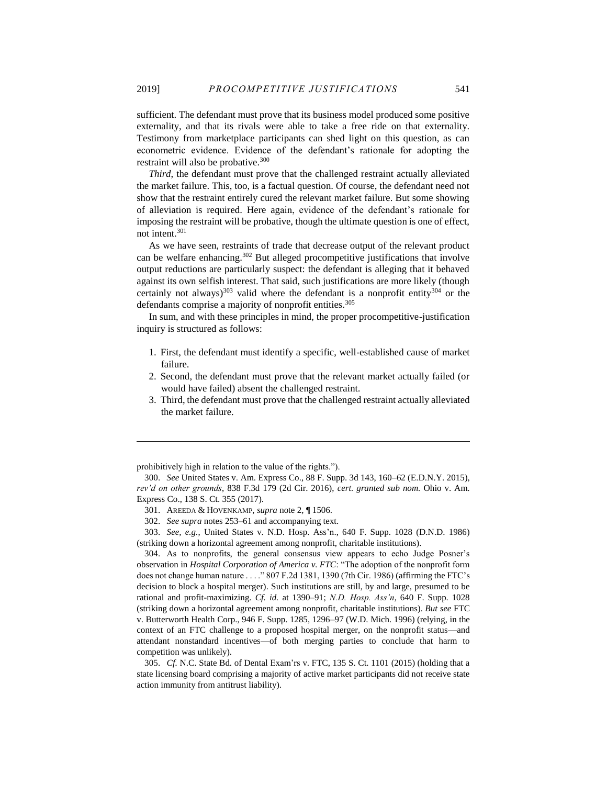sufficient. The defendant must prove that its business model produced some positive externality, and that its rivals were able to take a free ride on that externality. Testimony from marketplace participants can shed light on this question, as can econometric evidence. Evidence of the defendant's rationale for adopting the restraint will also be probative.<sup>300</sup>

*Third*, the defendant must prove that the challenged restraint actually alleviated the market failure. This, too, is a factual question. Of course, the defendant need not show that the restraint entirely cured the relevant market failure. But some showing of alleviation is required. Here again, evidence of the defendant's rationale for imposing the restraint will be probative, though the ultimate question is one of effect, not intent.<sup>301</sup>

As we have seen, restraints of trade that decrease output of the relevant product can be welfare enhancing. <sup>302</sup> But alleged procompetitive justifications that involve output reductions are particularly suspect: the defendant is alleging that it behaved against its own selfish interest. That said, such justifications are more likely (though certainly not always)<sup>303</sup> valid where the defendant is a nonprofit entity<sup>304</sup> or the defendants comprise a majority of nonprofit entities.<sup>305</sup>

In sum, and with these principles in mind, the proper procompetitive-justification inquiry is structured as follows:

- 1. First, the defendant must identify a specific, well-established cause of market failure.
- 2. Second, the defendant must prove that the relevant market actually failed (or would have failed) absent the challenged restraint.
- 3. Third, the defendant must prove that the challenged restraint actually alleviated the market failure.

 $\overline{a}$ 

305. *Cf.* N.C. State Bd. of Dental Exam'rs v. FTC, 135 S. Ct. 1101 (2015) (holding that a state licensing board comprising a majority of active market participants did not receive state action immunity from antitrust liability).

prohibitively high in relation to the value of the rights.").

<sup>300.</sup> *See* United States v. Am. Express Co., 88 F. Supp. 3d 143, 160–62 (E.D.N.Y. 2015), *rev'd on other grounds*, 838 F.3d 179 (2d Cir. 2016), *cert. granted sub nom.* Ohio v. Am. Express Co., 138 S. Ct. 355 (2017).

<sup>301.</sup> AREEDA & HOVENKAMP, *supra* note [2,](#page-2-0) ¶ 1506.

<sup>302.</sup> *See supra* notes 253–61 and accompanying text.

<sup>303.</sup> *See, e.g.*, United States v. N.D. Hosp. Ass'n., 640 F. Supp. 1028 (D.N.D. 1986) (striking down a horizontal agreement among nonprofit, charitable institutions).

<sup>304.</sup> As to nonprofits, the general consensus view appears to echo Judge Posner's observation in *Hospital Corporation of America v. FTC*: "The adoption of the nonprofit form does not change human nature . . . ." 807 F.2d 1381, 1390 (7th Cir. 1986) (affirming the FTC's decision to block a hospital merger). Such institutions are still, by and large, presumed to be rational and profit-maximizing. *Cf. id.* at 1390–91; *N.D. Hosp. Ass'n*, 640 F. Supp. 1028 (striking down a horizontal agreement among nonprofit, charitable institutions). *But see* FTC v. Butterworth Health Corp., 946 F. Supp. 1285, 1296–97 (W.D. Mich. 1996) (relying, in the context of an FTC challenge to a proposed hospital merger, on the nonprofit status—and attendant nonstandard incentives—of both merging parties to conclude that harm to competition was unlikely).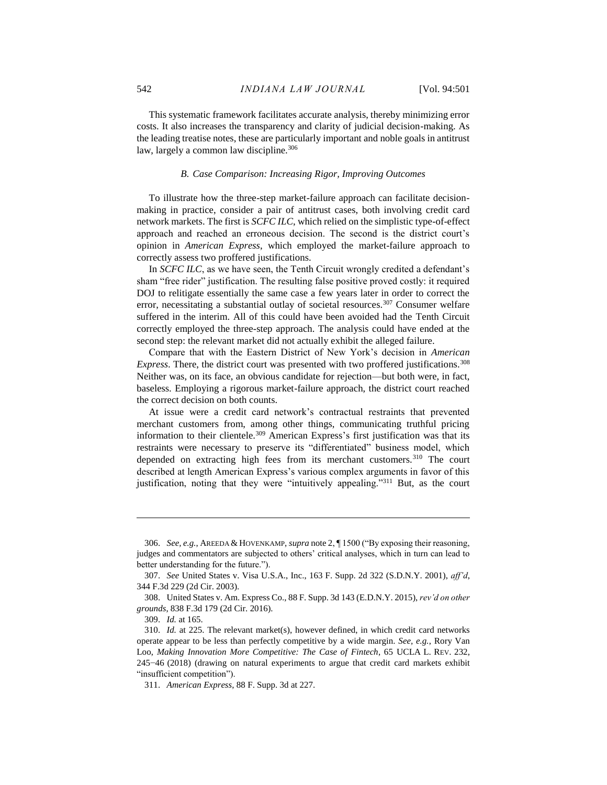This systematic framework facilitates accurate analysis, thereby minimizing error costs. It also increases the transparency and clarity of judicial decision-making. As the leading treatise notes, these are particularly important and noble goals in antitrust law, largely a common law discipline.<sup>306</sup>

## *B. Case Comparison: Increasing Rigor, Improving Outcomes*

To illustrate how the three-step market-failure approach can facilitate decisionmaking in practice, consider a pair of antitrust cases, both involving credit card network markets. The first is *SCFC ILC*, which relied on the simplistic type-of-effect approach and reached an erroneous decision. The second is the district court's opinion in *American Express*, which employed the market-failure approach to correctly assess two proffered justifications.

In *SCFC ILC*, as we have seen, the Tenth Circuit wrongly credited a defendant's sham "free rider" justification. The resulting false positive proved costly: it required DOJ to relitigate essentially the same case a few years later in order to correct the error, necessitating a substantial outlay of societal resources.<sup>307</sup> Consumer welfare suffered in the interim. All of this could have been avoided had the Tenth Circuit correctly employed the three-step approach. The analysis could have ended at the second step: the relevant market did not actually exhibit the alleged failure.

Compare that with the Eastern District of New York's decision in *American Express*. There, the district court was presented with two proffered justifications.<sup>308</sup> Neither was, on its face, an obvious candidate for rejection—but both were, in fact, baseless. Employing a rigorous market-failure approach, the district court reached the correct decision on both counts.

At issue were a credit card network's contractual restraints that prevented merchant customers from, among other things, communicating truthful pricing information to their clientele.<sup>309</sup> American Express's first justification was that its restraints were necessary to preserve its "differentiated" business model, which depended on extracting high fees from its merchant customers.<sup>310</sup> The court described at length American Express's various complex arguments in favor of this justification, noting that they were "intuitively appealing."<sup>311</sup> But, as the court

<sup>306.</sup> *See, e.g.*, AREEDA &HOVENKAMP, *supra* not[e 2,](#page-2-0) ¶ 1500 ("By exposing their reasoning, judges and commentators are subjected to others' critical analyses, which in turn can lead to better understanding for the future.").

<sup>307.</sup> *See* United States v. Visa U.S.A., Inc., 163 F. Supp. 2d 322 (S.D.N.Y. 2001), *aff'd*, 344 F.3d 229 (2d Cir. 2003).

<sup>308.</sup> United States v. Am. Express Co., 88 F. Supp. 3d 143 (E.D.N.Y. 2015), *rev'd on other grounds*, 838 F.3d 179 (2d Cir. 2016).

<sup>309.</sup> *Id.* at 165.

<sup>310.</sup> *Id.* at 225. The relevant market(s), however defined, in which credit card networks operate appear to be less than perfectly competitive by a wide margin. *See, e.g.*, Rory Van Loo, *Making Innovation More Competitive: The Case of Fintech*, 65 UCLA L. REV. 232, 245−46 (2018) (drawing on natural experiments to argue that credit card markets exhibit "insufficient competition").

<sup>311.</sup> *American Express*, 88 F. Supp. 3d at 227.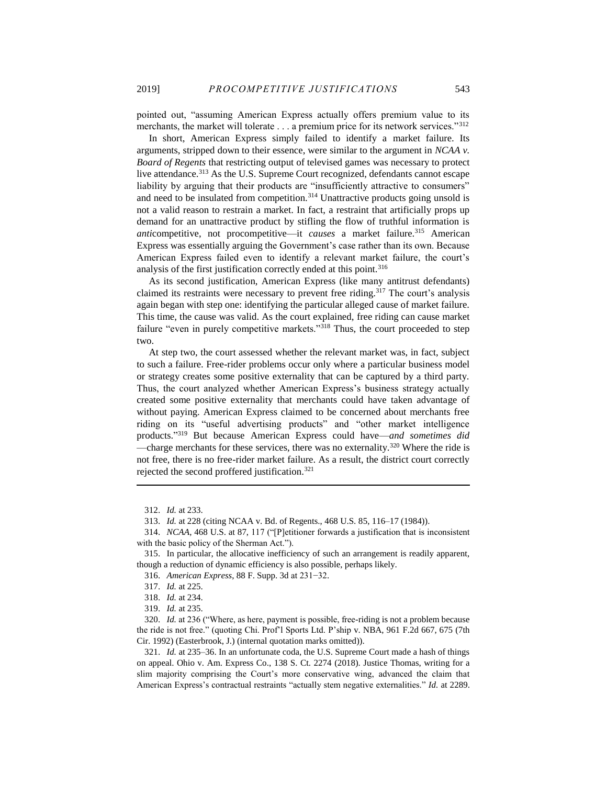pointed out, "assuming American Express actually offers premium value to its merchants, the market will tolerate . . . a premium price for its network services."<sup>312</sup>

In short, American Express simply failed to identify a market failure. Its arguments, stripped down to their essence, were similar to the argument in *NCAA v. Board of Regents* that restricting output of televised games was necessary to protect live attendance.<sup>313</sup> As the U.S. Supreme Court recognized, defendants cannot escape liability by arguing that their products are "insufficiently attractive to consumers" and need to be insulated from competition.<sup>314</sup> Unattractive products going unsold is not a valid reason to restrain a market. In fact, a restraint that artificially props up demand for an unattractive product by stifling the flow of truthful information is *anti*competitive, not procompetitive—it *causes* a market failure.<sup>315</sup> American Express was essentially arguing the Government's case rather than its own. Because American Express failed even to identify a relevant market failure, the court's analysis of the first justification correctly ended at this point.<sup>316</sup>

<span id="page-43-0"></span>As its second justification, American Express (like many antitrust defendants) claimed its restraints were necessary to prevent free riding.<sup>317</sup> The court's analysis again began with step one: identifying the particular alleged cause of market failure. This time, the cause was valid. As the court explained, free riding can cause market failure "even in purely competitive markets."<sup>318</sup> Thus, the court proceeded to step two.

At step two, the court assessed whether the relevant market was, in fact, subject to such a failure. Free-rider problems occur only where a particular business model or strategy creates some positive externality that can be captured by a third party. Thus, the court analyzed whether American Express's business strategy actually created some positive externality that merchants could have taken advantage of without paying. American Express claimed to be concerned about merchants free riding on its "useful advertising products" and "other market intelligence products." <sup>319</sup> But because American Express could have—*and sometimes did* —charge merchants for these services, there was no externality.<sup>320</sup> Where the ride is not free, there is no free-rider market failure. As a result, the district court correctly rejected the second proffered justification.<sup>321</sup>

<sup>312.</sup> *Id.* at 233.

<sup>313.</sup> *Id.* at 228 (citing NCAA v. Bd. of Regents., 468 U.S. 85, 116–17 (1984)).

<sup>314.</sup> *NCAA*, 468 U.S. at 87, 117 ("[P]etitioner forwards a justification that is inconsistent with the basic policy of the Sherman Act.").

<sup>315.</sup> In particular, the allocative inefficiency of such an arrangement is readily apparent, though a reduction of dynamic efficiency is also possible, perhaps likely.

<sup>316.</sup> *American Express*, 88 F. Supp. 3d at 231−32.

<sup>317.</sup> *Id.* at 225.

<sup>318.</sup> *Id.* at 234.

<sup>319.</sup> *Id.* at 235.

<sup>320.</sup> *Id.* at 236 ("Where, as here, payment is possible, free-riding is not a problem because the ride is not free." (quoting Chi. Prof'l Sports Ltd. P'ship v. NBA, 961 F.2d 667, 675 (7th Cir. 1992) (Easterbrook, J.) (internal quotation marks omitted)).

<sup>321.</sup> *Id.* at 235–36. In an unfortunate coda, the U.S. Supreme Court made a hash of things on appeal. Ohio v. Am. Express Co., 138 S. Ct. 2274 (2018). Justice Thomas, writing for a slim majority comprising the Court's more conservative wing, advanced the claim that American Express's contractual restraints "actually stem negative externalities." *Id.* at 2289.